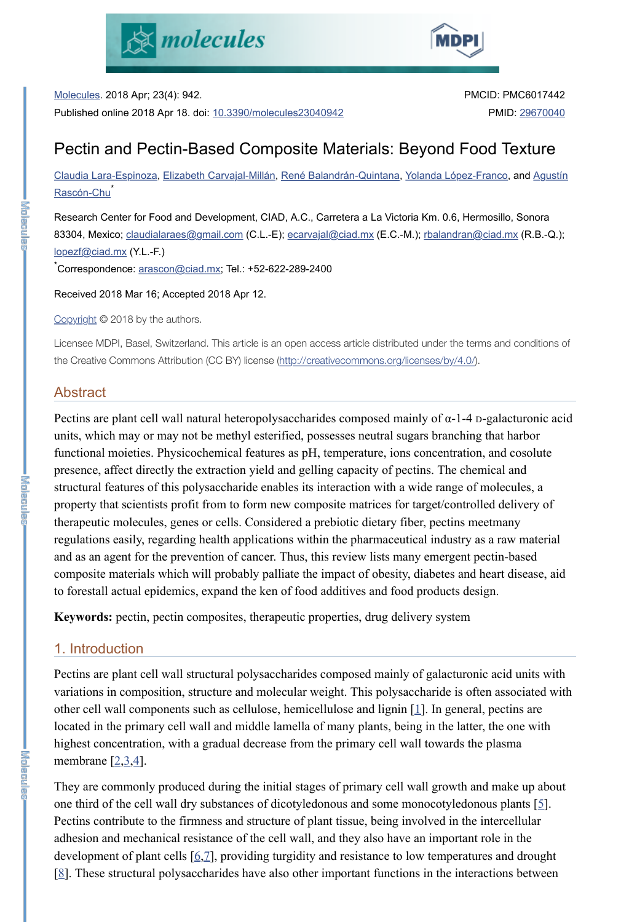Molecules. 2018 Apr; 23(4): 942. Published online 2018 Apr 18. doi: 10.3390/molecules23040942

Claudia Lara-Espinoza, Elizabeth Carvajal-Millán, René Balandrán-Quintana, Yolanda López-Franco, and Agustín Rascón-Chu<sup>\*</sup>





PMCID: PMC6017442

PMID: 29670040

Research Center for Food and Development, CIAD, A.C., Carretera a La Victoria Km. 0.6, Hermosillo, Sonora 83304, Mexico; claudialaraes@gmail.com (C.L.-E); ecarvajal@ciad.mx (E.C.-M.); rbalandran@ciad.mx (R.B.-Q.); lopezf@ciad.mx (Y.L.-F.) \*Correspondence: <u>arascon@ciad.mx;</u> Tel.: +52-622-289-2400

# Pectin and Pectin-Based Composite Materials: Beyond Food Texture

Received 2018 Mar 16; Accepted 2018 Apr 12.

Copyright © 2018 by the authors.

Licensee MDPI, Basel, Switzerland. This article is an open access article distributed under the terms and conditions of the Creative Commons Attribution (CC BY) license (http://creativecommons.org/licenses/by/4.0/).

# Abstract

Pectins are plant cell wall natural heteropolysaccharides composed mainly of  $\alpha$ -1-4 D-galacturonic acid units, which may or may not be methyl esterified, possesses neutral sugars branching that harbor functional moieties. Physicochemical features as pH, temperature, ions concentration, and cosolute presence, affect directly the extraction yield and gelling capacity of pectins. The chemical and structural features of this polysaccharide enables its interaction with a wide range of molecules, a property that scientists profit from to form new composite matrices for target/controlled delivery of therapeutic molecules, genes or cells. Considered a prebiotic dietary fiber, pectins meetmany regulations easily, regarding health applications within the pharmaceutical industry as a raw material and as an agent for the prevention of cancer. Thus, this review lists many emergent pectin-based composite materials which will probably palliate the impact of obesity, diabetes and heart disease, aid to forestall actual epidemics, expand the ken of food additives and food products design.

Pectins are plant cell wall structural polysaccharides composed mainly of galacturonic acid units with variations in composition, structure and molecular weight. This polysaccharide is often associated with other cell wall components such as cellulose, hemicellulose and lignin [1]. In general, pectins are located in the primary cell wall and middle lamella of many plants, being in the latter, the one with highest concentration, with a gradual decrease from the primary cell wall towards the plasma membrane  $[2,3,4]$ .

**Keywords:** pectin, pectin composites, therapeutic properties, drug delivery system

# 1. Introduction

They are commonly produced during the initial stages of primary cell wall growth and make up about one third of the cell wall dry substances of dicotyledonous and some monocotyledonous plants [5]. Pectins contribute to the firmness and structure of plant tissue, being involved in the intercellular adhesion and mechanical resistance of the cell wall, and they also have an important role in the development of plant cells [6,7], providing turgidity and resistance to low temperatures and drought [8]. These structural polysaccharides have also other important functions in the interactions between

**END** RELAC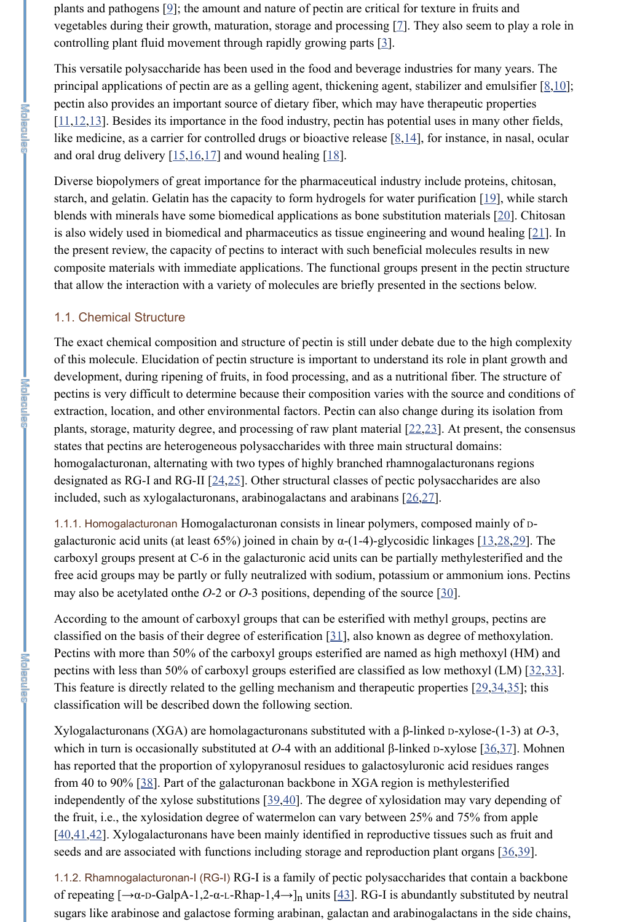This versatile polysaccharide has been used in the food and beverage industries for many years. The principal applications of pectin are as a gelling agent, thickening agent, stabilizer and emulsifier  $[8,10]$ ; pectin also provides an important source of dietary fiber, which may have therapeutic properties  $[11, 12, 13]$ . Besides its importance in the food industry, pectin has potential uses in many other fields, like medicine, as a carrier for controlled drugs or bioactive release  $[8,14]$ , for instance, in nasal, ocular and oral drug delivery  $[15,16,17]$  and wound healing  $[18]$ .

plants and pathogens [9]; the amount and nature of pectin are critical for texture in fruits and vegetables during their growth, maturation, storage and processing [7]. They also seem to play a role in controlling plant fluid movement through rapidly growing parts [3].

Diverse biopolymers of great importance for the pharmaceutical industry include proteins, chitosan, starch, and gelatin. Gelatin has the capacity to form hydrogels for water purification [19], while starch blends with minerals have some biomedical applications as bone substitution materials [20]. Chitosan is also widely used in biomedical and pharmaceutics as tissue engineering and wound healing [21]. In the present review, the capacity of pectins to interact with such beneficial molecules results in new composite materials with immediate applications. The functional groups present in the pectin structure that allow the interaction with a variety of molecules are briefly presented in the sections below.

1.1.1. Homogalacturonan Homogalacturonan consists in linear polymers, composed mainly of Dgalacturonic acid units (at least 65%) joined in chain by  $\alpha$ -(1-4)-glycosidic linkages [13,28,29]. The carboxyl groups present at C-6 in the galacturonic acid units can be partially methylesterified and the free acid groups may be partly or fully neutralized with sodium, potassium or ammonium ions. Pectins may also be acetylated onthe *O*-2 or *O*-3 positions, depending of the source [30].

#### 1.1. Chemical Structure

Xylogalacturonans (XGA) are homolagacturonans substituted with a β-linked D-xylose-(1-3) at *O*-3, which in turn is occasionally substituted at *O*-4 with an additional β-linked D-xylose [36,37]. Mohnen has reported that the proportion of xylopyranosul residues to galactosyluronic acid residues ranges from 40 to 90% [38]. Part of the galacturonan backbone in XGA region is methylesterified independently of the xylose substitutions [39,40]. The degree of xylosidation may vary depending of the fruit, i.e., the xylosidation degree of watermelon can vary between 25% and 75% from apple [40,41,42]. Xylogalacturonans have been mainly identified in reproductive tissues such as fruit and seeds and are associated with functions including storage and reproduction plant organs [36,39].

The exact chemical composition and structure of pectin is still under debate due to the high complexity of this molecule. Elucidation of pectin structure is important to understand its role in plant growth and development, during ripening of fruits, in food processing, and as a nutritional fiber. The structure of pectins is very difficult to determine because their composition varies with the source and conditions of extraction, location, and other environmental factors. Pectin can also change during its isolation from plants, storage, maturity degree, and processing of raw plant material  $[22,23]$ . At present, the consensus states that pectins are heterogeneous polysaccharides with three main structural domains: homogalacturonan, alternating with two types of highly branched rhamnogalacturonans regions designated as RG-I and RG-II [24,25]. Other structural classes of pectic polysaccharides are also included, such as xylogalacturonans, arabinogalactans and arabinans [26,27].

1.1.2. Rhamnogalacturonan-I (RG-I) RG-I is a family of pectic polysaccharides that contain a backbone of repeating  $[\rightarrow \alpha$ -D-GalpA-1,2- $\alpha$ -L-Rhap-1,4 $\rightarrow$ ]<sub>n</sub> units [43]. RG-I is abundantly substituted by neutral sugars like arabinose and galactose forming arabinan, galactan and arabinogalactans in the side chains,

According to the amount of carboxyl groups that can be esterified with methyl groups, pectins are classified on the basis of their degree of esterification [31], also known as degree of methoxylation. Pectins with more than 50% of the carboxyl groups esterified are named as high methoxyl (HM) and pectins with less than 50% of carboxyl groups esterified are classified as low methoxyl (LM) [32,33]. This feature is directly related to the gelling mechanism and therapeutic properties [29,34,35]; this classification will be described down the following section.

**KEIMENER**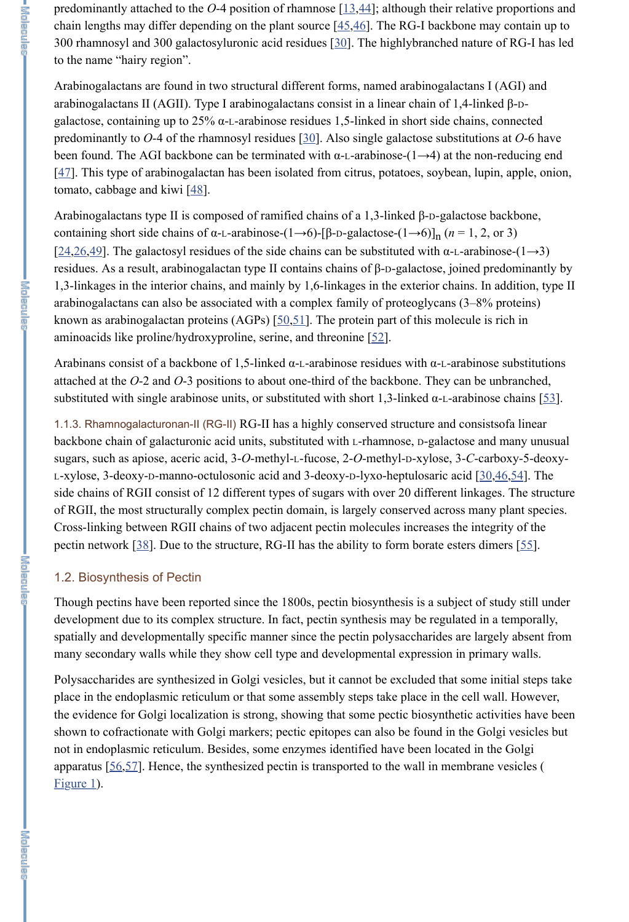predominantly attached to the  $O$ -4 position of rhamnose  $[13, 44]$ ; although their relative proportions and chain lengths may differ depending on the plant source  $[45,46]$ . The RG-I backbone may contain up to 300 rhamnosyl and 300 galactosyluronic acid residues [30]. The highlybranched nature of RG-I has led to the name "hairy region".

Arabinogalactans are found in two structural different forms, named arabinogalactans I (AGI) and arabinogalactans II (AGII). Type I arabinogalactans consist in a linear chain of 1,4-linked β-Dgalactose, containing up to 25%  $\alpha$ -L-arabinose residues 1,5-linked in short side chains, connected predominantly to *O*-4 of the rhamnosyl residues [30]. Also single galactose substitutions at *O*-6 have been found. The AGI backbone can be terminated with  $\alpha$ -L-arabinose-(1→4) at the non-reducing end  $[47]$ . This type of arabinogalactan has been isolated from citrus, potatoes, soybean, lupin, apple, onion, tomato, cabbage and kiwi  $[48]$ .

Arabinogalactans type II is composed of ramified chains of a 1,3-linked β-D-galactose backbone, containing short side chains of  $\alpha$ -L-arabinose-(1→6)-[β-D-galactose-(1→6)]<sub>n</sub> (*n* = 1, 2, or 3) [ $24,26,49$ ]. The galactosyl residues of the side chains can be substituted with  $\alpha$ -L-arabinose-(1→3) residues. As a result, arabinogalactan type II contains chains of β-D-galactose, joined predominantly by 1,3-linkages in the interior chains, and mainly by 1,6-linkages in the exterior chains. In addition, type II arabinogalactans can also be associated with a complex family of proteoglycans (3–8% proteins) known as arabinogalactan proteins  $(AGPs)$  [ $\underline{50,51}$ ]. The protein part of this molecule is rich in aminoacids like proline/hydroxyproline, serine, and threonine [52].

Arabinans consist of a backbone of 1,5-linked  $\alpha$ -L-arabinose residues with  $\alpha$ -L-arabinose substitutions attached at the *O*-2 and *O*-3 positions to about one-third of the backbone. They can be unbranched, substituted with single arabinose units, or substituted with short 1,3-linked  $\alpha$ -L-arabinose chains [53].

1.1.3. Rhamnogalacturonan-II (RG-II) RG-II has a highly conserved structure and consistsofa linear backbone chain of galacturonic acid units, substituted with L-rhamnose, D-galactose and many unusual sugars, such as apiose, aceric acid, 3-*O*-methyl-L-fucose, 2-*O*-methyl-D-xylose, 3-*C*-carboxy-5-deoxy-L-xylose, 3-deoxy-D-manno-octulosonic acid and 3-deoxy-D-lyxo-heptulosaric acid [30,46,54]. The side chains of RGII consist of 12 different types of sugars with over 20 different linkages. The structure of RGII, the most structurally complex pectin domain, is largely conserved across many plant species. Cross-linking between RGII chains of two adjacent pectin molecules increases the integrity of the pectin network [38]. Due to the structure, RG-II has the ability to form borate esters dimers [55].

the evidence for Golgi localization is strong, showing that some pectic biosynthetic activities have been shown to cofractionate with Golgi markers; pectic epitopes can also be found in the Golgi vesicles but not in endoplasmic reticulum. Besides, some enzymes identified have been located in the Golgi apparatus [56,57]. Hence, the synthesized pectin is transported to the wall in membrane vesicles ( Figure 1).

#### 1.2. Biosynthesis of Pectin

Though pectins have been reported since the 1800s, pectin biosynthesis is a subject of study still under development due to its complex structure. In fact, pectin synthesis may be regulated in a temporally, spatially and developmentally specific manner since the pectin polysaccharides are largely absent from many secondary walls while they show cell type and developmental expression in primary walls.

Polysaccharides are synthesized in Golgi vesicles, but it cannot be excluded that some initial steps take place in the endoplasmic reticulum or that some assembly steps take place in the cell wall. However,

**I Kalangan**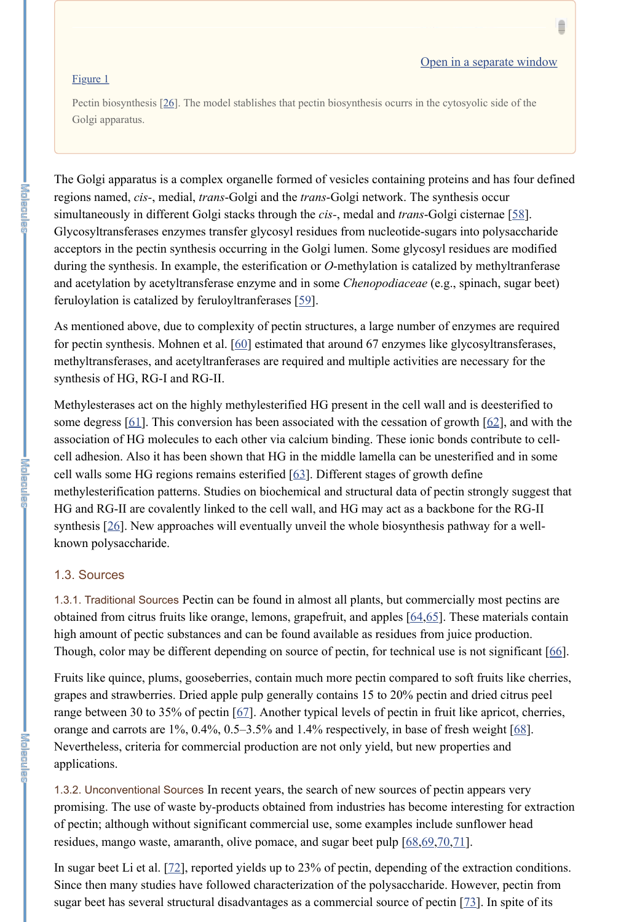1.3.2. Unconventional Sources In recent years, the search of new sources of pectin appears very promising. The use of waste by-products obtained from industries has become interesting for extraction of pectin; although without significant commercial use, some examples include sunflower head residues, mango waste, amaranth, olive pomace, and sugar beet pulp  $[68, 69, 70, 71]$ .

Ê

Pectin biosynthesis [26]. The model stablishes that pectin biosynthesis ocurrs in the cytosyolic side of the Golgi apparatus.

The Golgi apparatus is a complex organelle formed of vesicles containing proteins and has four defined regions named, *cis-*, medial, *trans*-Golgi and the *trans*-Golgi network. The synthesis occur simultaneously in different Golgi stacks through the *cis-*, medal and *trans*-Golgi cisternae [58]. Glycosyltransferases enzymes transfer glycosyl residues from nucleotide-sugars into polysaccharide acceptors in the pectin synthesis occurring in the Golgi lumen. Some glycosyl residues are modified during the synthesis. In example, the esterification or *O*-methylation is catalized by methyltranferase and acetylation by acetyltransferase enzyme and in some *Chenopodiaceae* (e.g., spinach, sugar beet) feruloylation is catalized by feruloyltranferases [59].

As mentioned above, due to complexity of pectin structures, a large number of enzymes are required for pectin synthesis. Mohnen et al. [60] estimated that around 67 enzymes like glycosyltransferases, methyltransferases, and acetyltranferases are required and multiple activities are necessary for the synthesis of HG, RG-I and RG-II.

In sugar beet Li et al. [72], reported yields up to 23% of pectin, depending of the extraction conditions. Since then many studies have followed characterization of the polysaccharide. However, pectin from sugar beet has several structural disadvantages as a commercial source of pectin [73]. In spite of its

Methylesterases act on the highly methylesterified HG present in the cell wall and is deesterified to some degress [61]. This conversion has been associated with the cessation of growth [62], and with the association of HG molecules to each other via calcium binding. These ionic bonds contribute to cellcell adhesion. Also it has been shown that HG in the middle lamella can be unesterified and in some cell walls some HG regions remains esterified [63]. Different stages of growth define methylesterification patterns. Studies on biochemical and structural data of pectin strongly suggest that HG and RG-II are covalently linked to the cell wall, and HG may act as a backbone for the RG-II synthesis [26]. New approaches will eventually unveil the whole biosynthesis pathway for a wellknown polysaccharide.

#### 1.3. Sources

1.3.1. Traditional Sources Pectin can be found in almost all plants, but commercially most pectins are obtained from citrus fruits like orange, lemons, grapefruit, and apples [64,65]. These materials contain high amount of pectic substances and can be found available as residues from juice production. Though, color may be different depending on source of pectin, for technical use is not significant [66].

Fruits like quince, plums, gooseberries, contain much more pectin compared to soft fruits like cherries, grapes and strawberries. Dried apple pulp generally contains 15 to 20% pectin and dried citrus peel

range between 30 to 35% of pectin [67]. Another typical levels of pectin in fruit like apricot, cherries, orange and carrots are 1%, 0.4%, 0.5–3.5% and 1.4% respectively, in base of fresh weight [68]. Nevertheless, criteria for commercial production are not only yield, but new properties and applications.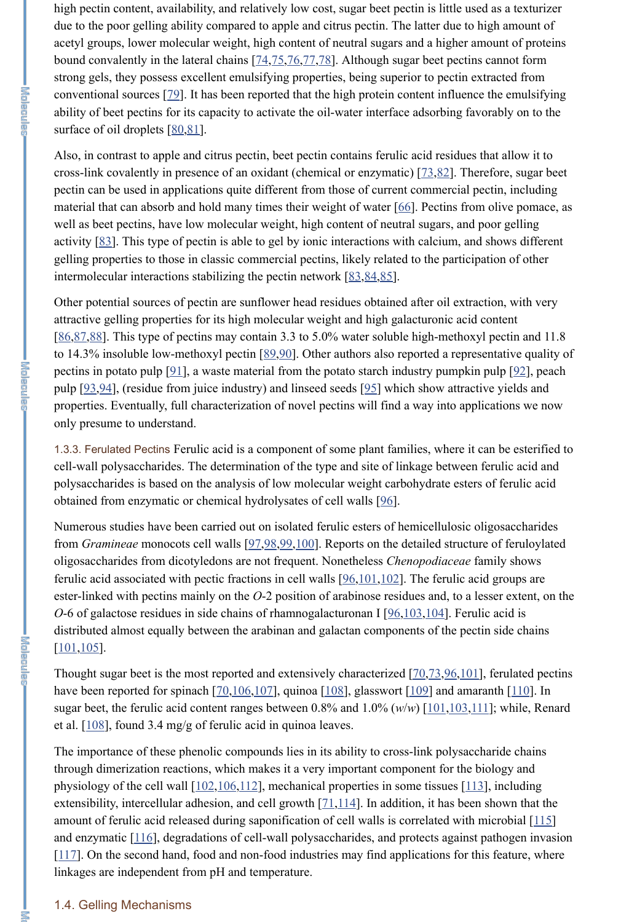high pectin content, availability, and relatively low cost, sugar beet pectin is little used as a texturizer due to the poor gelling ability compared to apple and citrus pectin. The latter due to high amount of acetyl groups, lower molecular weight, high content of neutral sugars and a higher amount of proteins bound convalently in the lateral chains [74,75,76,77,78]. Although sugar beet pectins cannot form strong gels, they possess excellent emulsifying properties, being superior to pectin extracted from conventional sources [79]. It has been reported that the high protein content influence the emulsifying ability of beet pectins for its capacity to activate the oil-water interface adsorbing favorably on to the surface of oil droplets [80,81].

Also, in contrast to apple and citrus pectin, beet pectin contains ferulic acid residues that allow it to cross-link covalently in presence of an oxidant (chemical or enzymatic) [73,82]. Therefore, sugar beet pectin can be used in applications quite different from those of current commercial pectin, including material that can absorb and hold many times their weight of water [66]. Pectins from olive pomace, as well as beet pectins, have low molecular weight, high content of neutral sugars, and poor gelling activity [83]. This type of pectin is able to gel by ionic interactions with calcium, and shows different gelling properties to those in classic commercial pectins, likely related to the participation of other intermolecular interactions stabilizing the pectin network [83,84,85].

1.3.3. Ferulated Pectins Ferulic acid is a component of some plant families, where it can be esterified to cell-wall polysaccharides. The determination of the type and site of linkage between ferulic acid and polysaccharides is based on the analysis of low molecular weight carbohydrate esters of ferulic acid obtained from enzymatic or chemical hydrolysates of cell walls [96].

Numerous studies have been carried out on isolated ferulic esters of hemicellulosic oligosaccharides from *Gramineae* monocots cell walls [97,98,99,100]. Reports on the detailed structure of feruloylated oligosaccharides from dicotyledons are not frequent. Nonetheless *Chenopodiaceae* family shows ferulic acid associated with pectic fractions in cell walls [96,101,102]. The ferulic acid groups are ester-linked with pectins mainly on the *O*-2 position of arabinose residues and, to a lesser extent, on the *O*-6 of galactose residues in side chains of rhamnogalacturonan I [96,103,104]. Ferulic acid is distributed almost equally between the arabinan and galactan components of the pectin side chains  $[101, 105]$ .

Thought sugar beet is the most reported and extensively characterized [70,73,96,101], ferulated pectins have been reported for spinach  $[70,106,107]$ , quinoa  $[108]$ , glasswort  $[109]$  and amaranth  $[110]$ . In sugar beet, the ferulic acid content ranges between 0.8% and 1.0% (*w*/*w*) [101,103,111]; while, Renard et al. [108], found 3.4 mg/g of ferulic acid in quinoa leaves.

Other potential sources of pectin are sunflower head residues obtained after oil extraction, with very attractive gelling properties for its high molecular weight and high galacturonic acid content [86,87,88]. This type of pectins may contain 3.3 to 5.0% water soluble high-methoxyl pectin and 11.8 to 14.3% insoluble low-methoxyl pectin [89,90]. Other authors also reported a representative quality of pectins in potato pulp [91], a waste material from the potato starch industry pumpkin pulp [92], peach pulp [93,94], (residue from juice industry) and linseed seeds [95] which show attractive yields and properties. Eventually, full characterization of novel pectins will find a way into applications we now only presume to understand.

The importance of these phenolic compounds lies in its ability to cross-link polysaccharide chains through dimerization reactions, which makes it a very important component for the biology and physiology of the cell wall  $[102,106,112]$ , mechanical properties in some tissues  $[113]$ , including extensibility, intercellular adhesion, and cell growth [71,114]. In addition, it has been shown that the amount of ferulic acid released during saponification of cell walls is correlated with microbial [115] and enzymatic [116], degradations of cell-wall polysaccharides, and protects against pathogen invasion  $[117]$ . On the second hand, food and non-food industries may find applications for this feature, where linkages are independent from pH and temperature.

医过度足血肿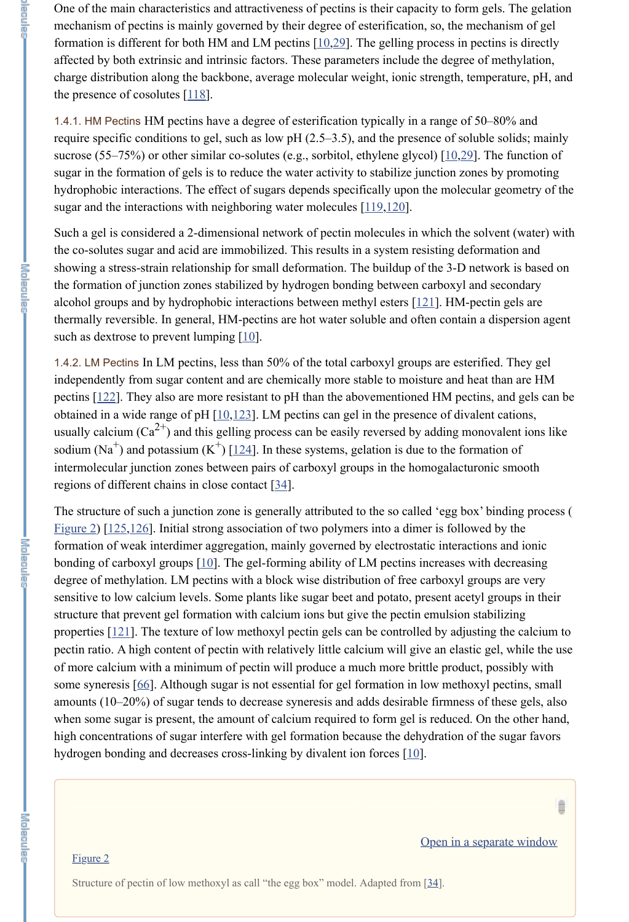One of the main characteristics and attractiveness of pectins is their capacity to form gels. The gelation mechanism of pectins is mainly governed by their degree of esterification, so, the mechanism of gel formation is different for both HM and LM pectins [10,29]. The gelling process in pectins is directly affected by both extrinsic and intrinsic factors. These parameters include the degree of methylation, charge distribution along the backbone, average molecular weight, ionic strength, temperature, pH, and the presence of cosolutes  $[118]$ .

1.4.1. HM Pectins HM pectins have a degree of esterification typically in a range of 50–80% and require specific conditions to gel, such as low pH (2.5–3.5), and the presence of soluble solids; mainly sucrose (55–75%) or other similar co-solutes (e.g., sorbitol, ethylene glycol) [10,29]. The function of sugar in the formation of gels is to reduce the water activity to stabilize junction zones by promoting hydrophobic interactions. The effect of sugars depends specifically upon the molecular geometry of the sugar and the interactions with neighboring water molecules [119,120].

Such a gel is considered a 2-dimensional network of pectin molecules in which the solvent (water) with the co-solutes sugar and acid are immobilized. This results in a system resisting deformation and showing a stress-strain relationship for small deformation. The buildup of the 3-D network is based on the formation of junction zones stabilized by hydrogen bonding between carboxyl and secondary alcohol groups and by hydrophobic interactions between methyl esters [121]. HM-pectin gels are thermally reversible. In general, HM-pectins are hot water soluble and often contain a dispersion agent such as dextrose to prevent lumping  $[10]$ .

1.4.2. LM Pectins In LM pectins, less than 50% of the total carboxyl groups are esterified. They gel independently from sugar content and are chemically more stable to moisture and heat than are HM pectins [122]. They also are more resistant to pH than the abovementioned HM pectins, and gels can be obtained in a wide range of pH  $[10,123]$ . LM pectins can gel in the presence of divalent cations, usually calcium (Ca<sup>2+</sup>) and this gelling process can be easily reversed by adding monovalent ions like sodium (Na<sup>+</sup>) and potassium (K<sup>+</sup>) [124]. In these systems, gelation is due to the formation of intermolecular junction zones between pairs of carboxyl groups in the homogalacturonic smooth regions of different chains in close contact [34].

The structure of such a junction zone is generally attributed to the so called 'egg box' binding process ( Figure 2) [125,126]. Initial strong association of two polymers into a dimer is followed by the formation of weak interdimer aggregation, mainly governed by electrostatic interactions and ionic bonding of carboxyl groups [10]. The gel-forming ability of LM pectins increases with decreasing degree of methylation. LM pectins with a block wise distribution of free carboxyl groups are very sensitive to low calcium levels. Some plants like sugar beet and potato, present acetyl groups in their structure that prevent gel formation with calcium ions but give the pectin emulsion stabilizing properties [121]. The texture of low methoxyl pectin gels can be controlled by adjusting the calcium to pectin ratio. A high content of pectin with relatively little calcium will give an elastic gel, while the use of more calcium with a minimum of pectin will produce a much more brittle product, possibly with some syneresis [66]. Although sugar is not essential for gel formation in low methoxyl pectins, small amounts (10–20%) of sugar tends to decrease syneresis and adds desirable firmness of these gels, also when some sugar is present, the amount of calcium required to form gel is reduced. On the other hand, high concentrations of sugar interfere with gel formation because the dehydration of the sugar favors hydrogen bonding and decreases cross-linking by divalent ion forces [10].

医可用原生理的

d are an

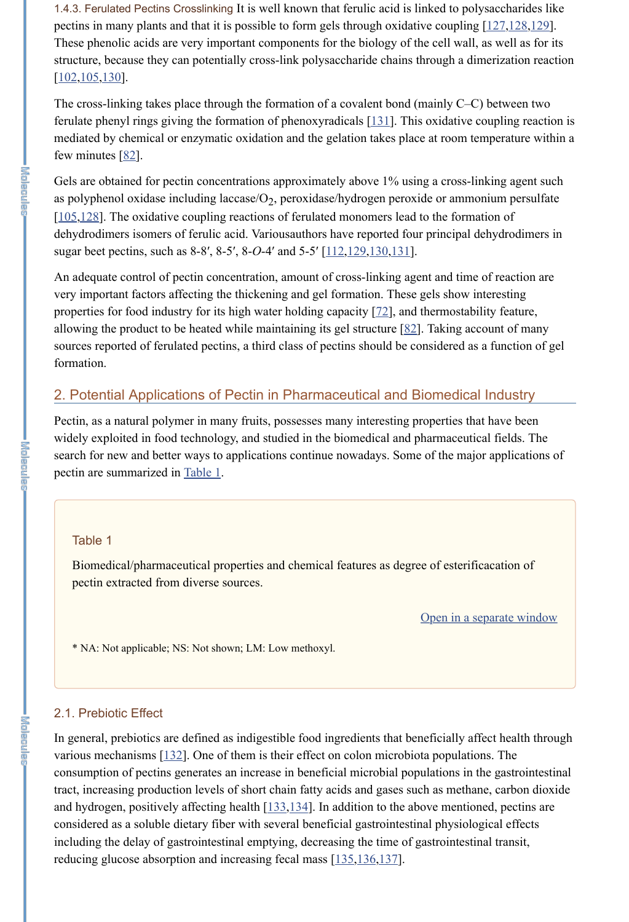1.4.3. Ferulated Pectins Crosslinking It is well known that ferulic acid is linked to polysaccharides like pectins in many plants and that it is possible to form gels through oxidative coupling [127,128,129]. These phenolic acids are very important components for the biology of the cell wall, as well as for its structure, because they can potentially cross-link polysaccharide chains through a dimerization reaction  $[102, 105, 130]$ .

The cross-linking takes place through the formation of a covalent bond (mainly C–C) between two ferulate phenyl rings giving the formation of phenoxyradicals  $[131]$ . This oxidative coupling reaction is mediated by chemical or enzymatic oxidation and the gelation takes place at room temperature within a few minutes  $[82]$ .

Gels are obtained for pectin concentrations approximately above 1% using a cross-linking agent such as polyphenol oxidase including laccase/ $\mathrm{O}_2$ , peroxidase/hydrogen peroxide or ammonium persulfate [105,128]. The oxidative coupling reactions of ferulated monomers lead to the formation of dehydrodimers isomers of ferulic acid. Variousauthors have reported four principal dehydrodimers in sugar beet pectins, such as 8-8', 8-5', 8-*O*-4' and 5-5' [112, 129, 130, 131].

In general, prebiotics are defined as indigestible food ingredients that beneficially affect health through various mechanisms [132]. One of them is their effect on colon microbiota populations. The consumption of pectins generates an increase in beneficial microbial populations in the gastrointestinal tract, increasing production levels of short chain fatty acids and gases such as methane, carbon dioxide and hydrogen, positively affecting health [133,134]. In addition to the above mentioned, pectins are considered as a soluble dietary fiber with several beneficial gastrointestinal physiological effects including the delay of gastrointestinal emptying, decreasing the time of gastrointestinal transit, reducing glucose absorption and increasing fecal mass [135,136,137].

An adequate control of pectin concentration, amount of cross-linking agent and time of reaction are very important factors affecting the thickening and gel formation. These gels show interesting properties for food industry for its high water holding capacity [72], and thermostability feature, allowing the product to be heated while maintaining its gel structure  $[82]$ . Taking account of many sources reported of ferulated pectins, a third class of pectins should be considered as a function of gel formation.

# 2. Potential Applications of Pectin in Pharmaceutical and Biomedical Industry

Pectin, as a natural polymer in many fruits, possesses many interesting properties that have been widely exploited in food technology, and studied in the biomedical and pharmaceutical fields. The search for new and better ways to applications continue nowadays. Some of the major applications of pectin are summarized in Table 1.

#### Table 1

Biomedical/pharmaceutical properties and chemical features as degree of esterificacation of pectin extracted from diverse sources.

#### Open in a separate window

\* NA: Not applicable; NS: Not shown; LM: Low methoxyl.

#### 2.1. Prebiotic Effect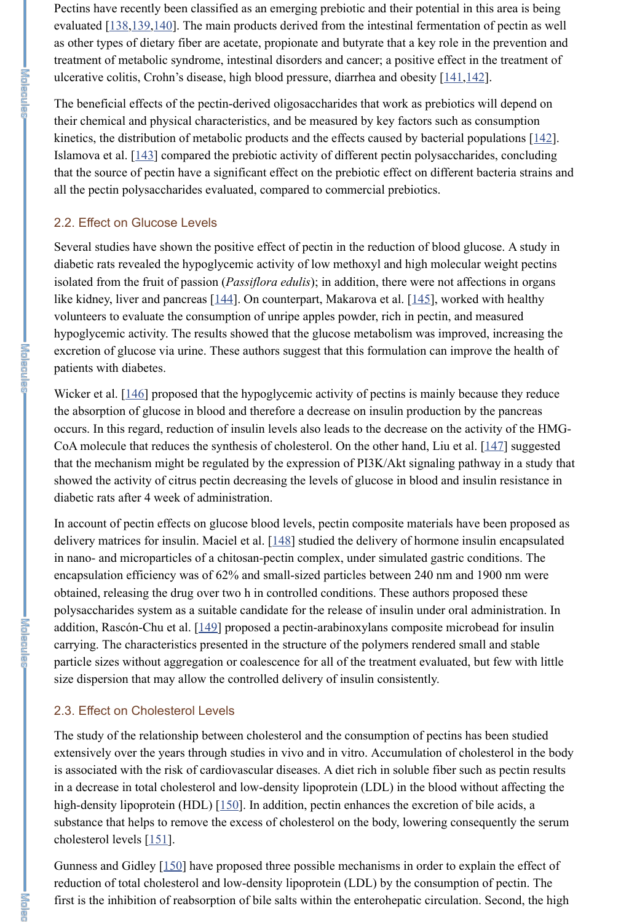Pectins have recently been classified as an emerging prebiotic and their potential in this area is being evaluated [138,139,140]. The main products derived from the intestinal fermentation of pectin as well as other types of dietary fiber are acetate, propionate and butyrate that a key role in the prevention and treatment of metabolic syndrome, intestinal disorders and cancer; a positive effect in the treatment of ulcerative colitis, Crohn's disease, high blood pressure, diarrhea and obesity [141,142].

The beneficial effects of the pectin-derived oligosaccharides that work as prebiotics will depend on their chemical and physical characteristics, and be measured by key factors such as consumption kinetics, the distribution of metabolic products and the effects caused by bacterial populations [142]. Islamova et al. [143] compared the prebiotic activity of different pectin polysaccharides, concluding that the source of pectin have a significant effect on the prebiotic effect on different bacteria strains and all the pectin polysaccharides evaluated, compared to commercial prebiotics.

#### 2.2. Effect on Glucose Levels

Wicker et al. [146] proposed that the hypoglycemic activity of pectins is mainly because they reduce the absorption of glucose in blood and therefore a decrease on insulin production by the pancreas occurs. In this regard, reduction of insulin levels also leads to the decrease on the activity of the HMG-CoA molecule that reduces the synthesis of cholesterol. On the other hand, Liu et al. [147] suggested that the mechanism might be regulated by the expression of PI3K/Akt signaling pathway in a study that showed the activity of citrus pectin decreasing the levels of glucose in blood and insulin resistance in diabetic rats after 4 week of administration.

Several studies have shown the positive effect of pectin in the reduction of blood glucose. A study in diabetic rats revealed the hypoglycemic activity of low methoxyl and high molecular weight pectins isolated from the fruit of passion (*Passiflora edulis*); in addition, there were not affections in organs like kidney, liver and pancreas [144]. On counterpart, Makarova et al. [145], worked with healthy volunteers to evaluate the consumption of unripe apples powder, rich in pectin, and measured hypoglycemic activity. The results showed that the glucose metabolism was improved, increasing the excretion of glucose via urine. These authors suggest that this formulation can improve the health of patients with diabetes.

In account of pectin effects on glucose blood levels, pectin composite materials have been proposed as delivery matrices for insulin. Maciel et al. [148] studied the delivery of hormone insulin encapsulated in nano- and microparticles of a chitosan-pectin complex, under simulated gastric conditions. The encapsulation efficiency was of 62% and small-sized particles between 240 nm and 1900 nm were obtained, releasing the drug over two h in controlled conditions. These authors proposed these polysaccharides system as a suitable candidate for the release of insulin under oral administration. In addition, Rascón-Chu et al. [149] proposed a pectin-arabinoxylans composite microbead for insulin carrying. The characteristics presented in the structure of the polymers rendered small and stable particle sizes without aggregation or coalescence for all of the treatment evaluated, but few with little size dispersion that may allow the controlled delivery of insulin consistently.

#### 2.3. Effect on Cholesterol Levels

The study of the relationship between cholesterol and the consumption of pectins has been studied extensively over the years through studies in vivo and in vitro. Accumulation of cholesterol in the body is associated with the risk of cardiovascular diseases. A diet rich in soluble fiber such as pectin results in a decrease in total cholesterol and low-density lipoprotein (LDL) in the blood without affecting the high-density lipoprotein (HDL) [150]. In addition, pectin enhances the excretion of bile acids, a substance that helps to remove the excess of cholesterol on the body, lowering consequently the serum cholesterol levels [151].

Gunness and Gidley [150] have proposed three possible mechanisms in order to explain the effect of reduction of total cholesterol and low-density lipoprotein (LDL) by the consumption of pectin. The first is the inhibition of reabsorption of bile salts within the enterohepatic circulation. Second, the high

**Shinghan**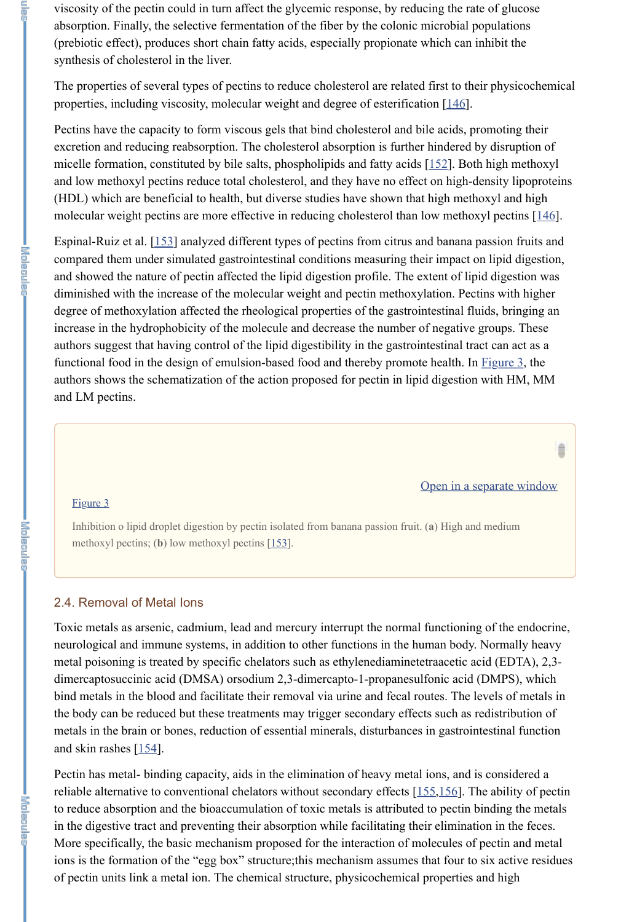viscosity of the pectin could in turn affect the glycemic response, by reducing the rate of glucose absorption. Finally, the selective fermentation of the fiber by the colonic microbial populations (prebiotic effect), produces short chain fatty acids, especially propionate which can inhibit the synthesis of cholesterol in the liver.

Pectins have the capacity to form viscous gels that bind cholesterol and bile acids, promoting their excretion and reducing reabsorption. The cholesterol absorption is further hindered by disruption of micelle formation, constituted by bile salts, phospholipids and fatty acids [152]. Both high methoxyl and low methoxyl pectins reduce total cholesterol, and they have no effect on high-density lipoproteins (HDL) which are beneficial to health, but diverse studies have shown that high methoxyl and high molecular weight pectins are more effective in reducing cholesterol than low methoxyl pectins [146].

The properties of several types of pectins to reduce cholesterol are related first to their physicochemical properties, including viscosity, molecular weight and degree of esterification [146].

Toxic metals as arsenic, cadmium, lead and mercury interrupt the normal functioning of the endocrine, neurological and immune systems, in addition to other functions in the human body. Normally heavy metal poisoning is treated by specific chelators such as ethylenediaminetetraacetic acid (EDTA), 2,3 dimercaptosuccinic acid (DMSA) orsodium 2,3-dimercapto-1-propanesulfonic acid (DMPS), which bind metals in the blood and facilitate their removal via urine and fecal routes. The levels of metals in the body can be reduced but these treatments may trigger secondary effects such as redistribution of metals in the brain or bones, reduction of essential minerals, disturbances in gastrointestinal function and skin rashes  $[154]$ .

Espinal-Ruiz et al. [153] analyzed different types of pectins from citrus and banana passion fruits and compared them under simulated gastrointestinal conditions measuring their impact on lipid digestion, and showed the nature of pectin affected the lipid digestion profile. The extent of lipid digestion was diminished with the increase of the molecular weight and pectin methoxylation. Pectins with higher degree of methoxylation affected the rheological properties of the gastrointestinal fluids, bringing an increase in the hydrophobicity of the molecule and decrease the number of negative groups. These authors suggest that having control of the lipid digestibility in the gastrointestinal tract can act as a functional food in the design of emulsion-based food and thereby promote health. In Figure 3, the authors shows the schematization of the action proposed for pectin in lipid digestion with HM, MM and LM pectins.

#### Open in a separate window

Ê

#### Figure 3

Inhibition o lipid droplet digestion by pectin isolated from banana passion fruit. (**a**) High and medium methoxyl pectins; (**b**) low methoxyl pectins [153].

## 2.4. Removal of Metal Ions

Pectin has metal- binding capacity, aids in the elimination of heavy metal ions, and is considered a reliable alternative to conventional chelators without secondary effects [155,156]. The ability of pectin to reduce absorption and the bioaccumulation of toxic metals is attributed to pectin binding the metals in the digestive tract and preventing their absorption while facilitating their elimination in the feces. More specifically, the basic mechanism proposed for the interaction of molecules of pectin and metal ions is the formation of the "egg box" structure;this mechanism assumes that four to six active residues of pectin units link a metal ion. The chemical structure, physicochemical properties and high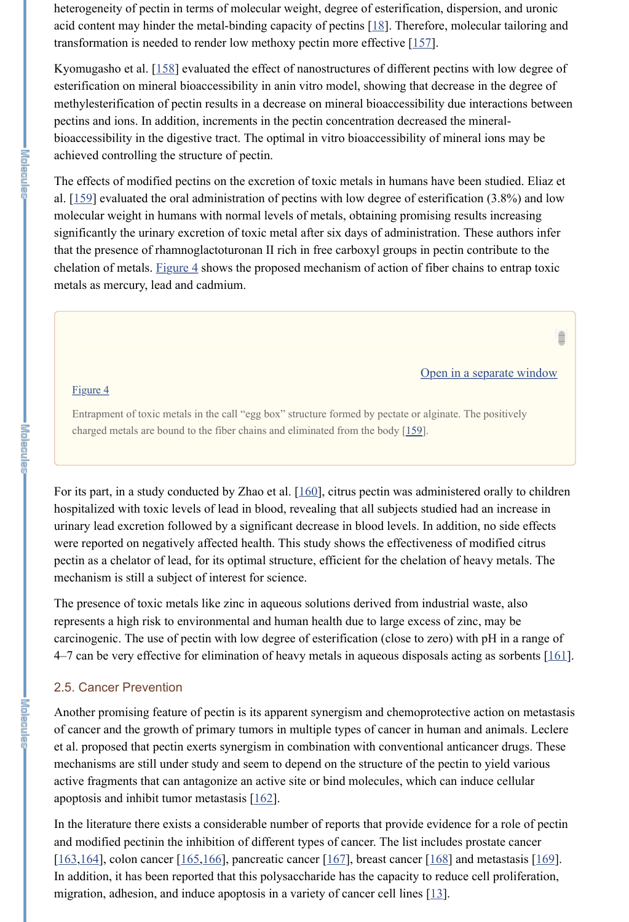heterogeneity of pectin in terms of molecular weight, degree of esterification, dispersion, and uronic acid content may hinder the metal-binding capacity of pectins [18]. Therefore, molecular tailoring and transformation is needed to render low methoxy pectin more effective [157].

Kyomugasho et al. [158] evaluated the effect of nanostructures of different pectins with low degree of esterification on mineral bioaccessibility in anin vitro model, showing that decrease in the degree of methylesterification of pectin results in a decrease on mineral bioaccessibility due interactions between pectins and ions. In addition, increments in the pectin concentration decreased the mineralbioaccessibility in the digestive tract. The optimal in vitro bioaccessibility of mineral ions may be achieved controlling the structure of pectin.

For its part, in a study conducted by Zhao et al. [160], citrus pectin was administered orally to children hospitalized with toxic levels of lead in blood, revealing that all subjects studied had an increase in urinary lead excretion followed by a significant decrease in blood levels. In addition, no side effects were reported on negatively affected health. This study shows the effectiveness of modified citrus pectin as a chelator of lead, for its optimal structure, efficient for the chelation of heavy metals. The mechanism is still a subject of interest for science.

The effects of modified pectins on the excretion of toxic metals in humans have been studied. Eliaz et al.  $[159]$  evaluated the oral administration of pectins with low degree of esterification (3.8%) and low molecular weight in humans with normal levels of metals, obtaining promising results increasing significantly the urinary excretion of toxic metal after six days of administration. These authors infer that the presence of rhamnoglactoturonan II rich in free carboxyl groups in pectin contribute to the chelation of metals. Figure  $4$  shows the proposed mechanism of action of fiber chains to entrap toxic metals as mercury, lead and cadmium.

Another promising feature of pectin is its apparent synergism and chemoprotective action on metastasis of cancer and the growth of primary tumors in multiple types of cancer in human and animals. Leclere et al. proposed that pectin exerts synergism in combination with conventional anticancer drugs. These mechanisms are still under study and seem to depend on the structure of the pectin to yield various active fragments that can antagonize an active site or bind molecules, which can induce cellular apoptosis and inhibit tumor metastasis  $[162]$ .

#### Open in a separate window

Ê

#### Figure 4

Entrapment of toxic metals in the call "egg box" structure formed by pectate or alginate. The positively charged metals are bound to the fiber chains and eliminated from the body [159].

In the literature there exists a considerable number of reports that provide evidence for a role of pectin and modified pectinin the inhibition of different types of cancer. The list includes prostate cancer  $[163, 164]$ , colon cancer  $[165, 166]$ , pancreatic cancer  $[167]$ , breast cancer  $[168]$  and metastasis  $[169]$ . In addition, it has been reported that this polysaccharide has the capacity to reduce cell proliferation, migration, adhesion, and induce apoptosis in a variety of cancer cell lines [13].

The presence of toxic metals like zinc in aqueous solutions derived from industrial waste, also represents a high risk to environmental and human health due to large excess of zinc, may be carcinogenic. The use of pectin with low degree of esterification (close to zero) with pH in a range of 4–7 can be very effective for elimination of heavy metals in aqueous disposals acting as sorbents [161].

#### 2.5. Cancer Prevention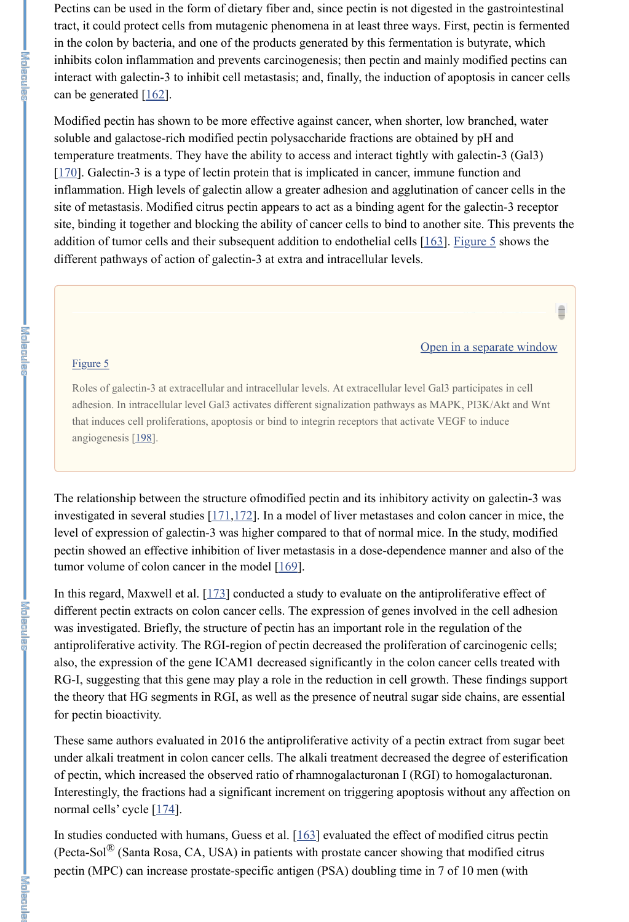The relationship between the structure ofmodified pectin and its inhibitory activity on galectin-3 was investigated in several studies [171,172]. In a model of liver metastases and colon cancer in mice, the level of expression of galectin-3 was higher compared to that of normal mice. In the study, modified pectin showed an effective inhibition of liver metastasis in a dose-dependence manner and also of the tumor volume of colon cancer in the model [169].

Pectins can be used in the form of dietary fiber and, since pectin is not digested in the gastrointestinal tract, it could protect cells from mutagenic phenomena in at least three ways. First, pectin is fermented in the colon by bacteria, and one of the products generated by this fermentation is butyrate, which inhibits colon inflammation and prevents carcinogenesis; then pectin and mainly modified pectins can interact with galectin-3 to inhibit cell metastasis; and, finally, the induction of apoptosis in cancer cells can be generated  $[162]$ .

Modified pectin has shown to be more effective against cancer, when shorter, low branched, water soluble and galactose-rich modified pectin polysaccharide fractions are obtained by pH and temperature treatments. They have the ability to access and interact tightly with galectin-3 (Gal3) [170]. Galectin-3 is a type of lectin protein that is implicated in cancer, immune function and inflammation. High levels of galectin allow a greater adhesion and agglutination of cancer cells in the site of metastasis. Modified citrus pectin appears to act as a binding agent for the galectin-3 receptor site, binding it together and blocking the ability of cancer cells to bind to another site. This prevents the addition of tumor cells and their subsequent addition to endothelial cells [163]. Figure 5 shows the different pathways of action of galectin-3 at extra and intracellular levels.

#### Open in a separate window

#### Figure 5

In this regard, Maxwell et al. [173] conducted a study to evaluate on the antiproliferative effect of different pectin extracts on colon cancer cells. The expression of genes involved in the cell adhesion was investigated. Briefly, the structure of pectin has an important role in the regulation of the antiproliferative activity. The RGI-region of pectin decreased the proliferation of carcinogenic cells; also, the expression of the gene ICAM1 decreased significantly in the colon cancer cells treated with RG-I, suggesting that this gene may play a role in the reduction in cell growth. These findings support the theory that HG segments in RGI, as well as the presence of neutral sugar side chains, are essential

|李百||鬼鬼三鬼。

These same authors evaluated in 2016 the antiproliferative activity of a pectin extract from sugar beet under alkali treatment in colon cancer cells. The alkali treatment decreased the degree of esterification of pectin, which increased the observed ratio of rhamnogalacturonan I (RGI) to homogalacturonan. Interestingly, the fractions had a significant increment on triggering apoptosis without any affection on normal cells' cycle [174].

Roles of galectin-3 at extracellular and intracellular levels. At extracellular level Gal3 participates in cell adhesion. In intracellular level Gal3 activates different signalization pathways as MAPK, PI3K/Akt and Wnt that induces cell proliferations, apoptosis or bind to integrin receptors that activate VEGF to induce angiogenesis [198].

In studies conducted with humans, Guess et al. [163] evaluated the effect of modified citrus pectin (Pecta-Sol $^{\circledR}$  (Santa Rosa, CA, USA) in patients with prostate cancer showing that modified citrus pectin (MPC) can increase prostate-specific antigen (PSA) doubling time in 7 of 10 men (with

#### for pectin bioactivity.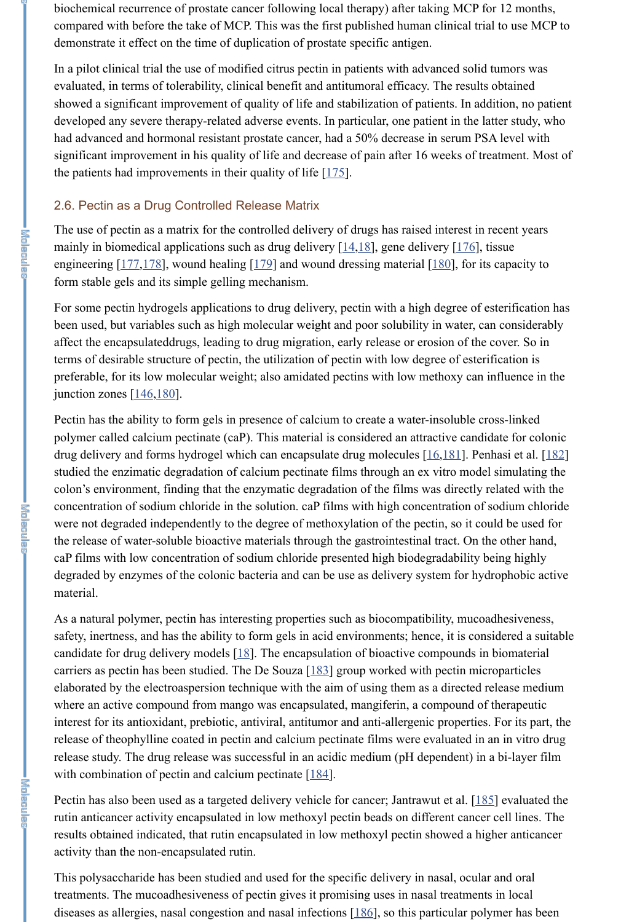biochemical recurrence of prostate cancer following local therapy) after taking MCP for 12 months, compared with before the take of MCP. This was the first published human clinical trial to use MCP to demonstrate it effect on the time of duplication of prostate specific antigen.

In a pilot clinical trial the use of modified citrus pectin in patients with advanced solid tumors was evaluated, in terms of tolerability, clinical benefit and antitumoral efficacy. The results obtained showed a significant improvement of quality of life and stabilization of patients. In addition, no patient developed any severe therapy-related adverse events. In particular, one patient in the latter study, who had advanced and hormonal resistant prostate cancer, had a 50% decrease in serum PSA level with significant improvement in his quality of life and decrease of pain after 16 weeks of treatment. Most of the patients had improvements in their quality of life  $[175]$ .

For some pectin hydrogels applications to drug delivery, pectin with a high degree of esterification has been used, but variables such as high molecular weight and poor solubility in water, can considerably affect the encapsulateddrugs, leading to drug migration, early release or erosion of the cover. So in terms of desirable structure of pectin, the utilization of pectin with low degree of esterification is preferable, for its low molecular weight; also amidated pectins with low methoxy can influence in the junction zones  $[146,180]$ .

#### 2.6. Pectin as a Drug Controlled Release Matrix

The use of pectin as a matrix for the controlled delivery of drugs has raised interest in recent years mainly in biomedical applications such as drug delivery  $[14,18]$ , gene delivery  $[176]$ , tissue engineering [177,178], wound healing [179] and wound dressing material [180], for its capacity to form stable gels and its simple gelling mechanism.

As a natural polymer, pectin has interesting properties such as biocompatibility, mucoadhesiveness, safety, inertness, and has the ability to form gels in acid environments; hence, it is considered a suitable candidate for drug delivery models  $[18]$ . The encapsulation of bioactive compounds in biomaterial carriers as pectin has been studied. The De Souza  $[183]$  group worked with pectin microparticles elaborated by the electroaspersion technique with the aim of using them as a directed release medium where an active compound from mango was encapsulated, mangiferin, a compound of therapeutic interest for its antioxidant, prebiotic, antiviral, antitumor and anti-allergenic properties. For its part, the release of theophylline coated in pectin and calcium pectinate films were evaluated in an in vitro drug release study. The drug release was successful in an acidic medium (pH dependent) in a bi-layer film with combination of pectin and calcium pectinate [184].

Pectin has also been used as a targeted delivery vehicle for cancer; Jantrawut et al. [185] evaluated the rutin anticancer activity encapsulated in low methoxyl pectin beads on different cancer cell lines. The results obtained indicated, that rutin encapsulated in low methoxyl pectin showed a higher anticancer activity than the non-encapsulated rutin.

Pectin has the ability to form gels in presence of calcium to create a water-insoluble cross-linked polymer called calcium pectinate (caP). This material is considered an attractive candidate for colonic drug delivery and forms hydrogel which can encapsulate drug molecules [16,181]. Penhasi et al. [182] studied the enzimatic degradation of calcium pectinate films through an ex vitro model simulating the colon's environment, finding that the enzymatic degradation of the films was directly related with the concentration of sodium chloride in the solution. caP films with high concentration of sodium chloride were not degraded independently to the degree of methoxylation of the pectin, so it could be used for the release of water-soluble bioactive materials through the gastrointestinal tract. On the other hand, caP films with low concentration of sodium chloride presented high biodegradability being highly degraded by enzymes of the colonic bacteria and can be use as delivery system for hydrophobic active material.

This polysaccharide has been studied and used for the specific delivery in nasal, ocular and oral treatments. The mucoadhesiveness of pectin gives it promising uses in nasal treatments in local diseases as allergies, nasal congestion and nasal infections [186], so this particular polymer has been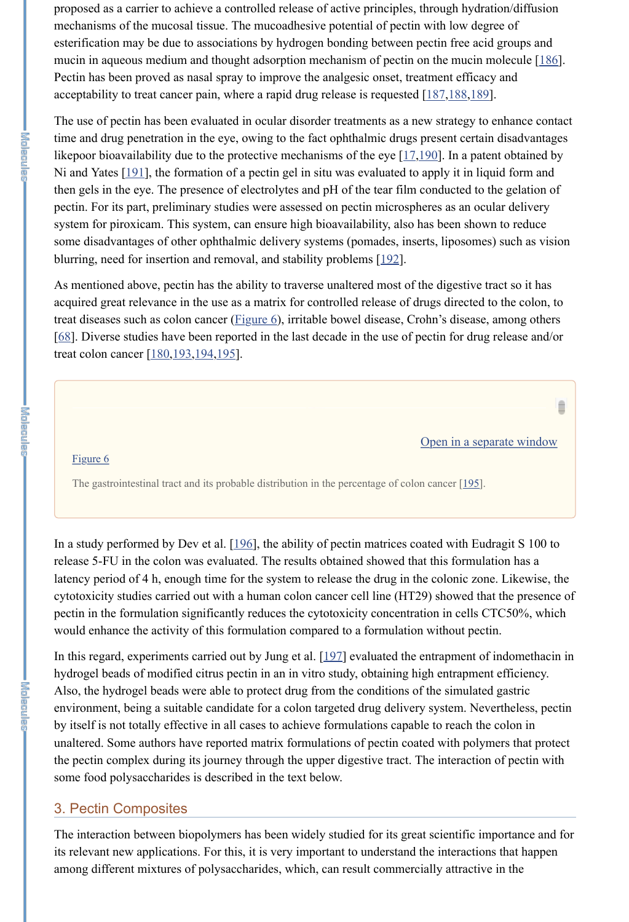As mentioned above, pectin has the ability to traverse unaltered most of the digestive tract so it has acquired great relevance in the use as a matrix for controlled release of drugs directed to the colon, to treat diseases such as colon cancer (**Figure 6**), irritable bowel disease, Crohn's disease, among others [68]. Diverse studies have been reported in the last decade in the use of pectin for drug release and/or treat colon cancer [180, 193, 194, 195].

proposed as a carrier to achieve a controlled release of active principles, through hydration/diffusion mechanisms of the mucosal tissue. The mucoadhesive potential of pectin with low degree of esterification may be due to associations by hydrogen bonding between pectin free acid groups and mucin in aqueous medium and thought adsorption mechanism of pectin on the mucin molecule [186]. Pectin has been proved as nasal spray to improve the analgesic onset, treatment efficacy and acceptability to treat cancer pain, where a rapid drug release is requested [187,188,189].

The use of pectin has been evaluated in ocular disorder treatments as a new strategy to enhance contact time and drug penetration in the eye, owing to the fact ophthalmic drugs present certain disadvantages likepoor bioavailability due to the protective mechanisms of the eye  $[17,190]$ . In a patent obtained by Ni and Yates [191], the formation of a pectin gel in situ was evaluated to apply it in liquid form and then gels in the eye. The presence of electrolytes and pH of the tear film conducted to the gelation of pectin. For its part, preliminary studies were assessed on pectin microspheres as an ocular delivery system for piroxicam. This system, can ensure high bioavailability, also has been shown to reduce some disadvantages of other ophthalmic delivery systems (pomades, inserts, liposomes) such as vision blurring, need for insertion and removal, and stability problems [192].

In a study performed by Dev et al. [196], the ability of pectin matrices coated with Eudragit S 100 to release 5-FU in the colon was evaluated. The results obtained showed that this formulation has a latency period of 4 h, enough time for the system to release the drug in the colonic zone. Likewise, the cytotoxicity studies carried out with a human colon cancer cell line (HT29) showed that the presence of pectin in the formulation significantly reduces the cytotoxicity concentration in cells CTC50%, which would enhance the activity of this formulation compared to a formulation without pectin.

In this regard, experiments carried out by Jung et al. [197] evaluated the entrapment of indomethacin in hydrogel beads of modified citrus pectin in an in vitro study, obtaining high entrapment efficiency. Also, the hydrogel beads were able to protect drug from the conditions of the simulated gastric environment, being a suitable candidate for a colon targeted drug delivery system. Nevertheless, pectin by itself is not totally effective in all cases to achieve formulations capable to reach the colon in unaltered. Some authors have reported matrix formulations of pectin coated with polymers that protect the pectin complex during its journey through the upper digestive tract. The interaction of pectin with some food polysaccharides is described in the text below.

Open in a separate window

#### Figure 6

The gastrointestinal tract and its probable distribution in the percentage of colon cancer [195].

# 3. Pectin Composites

The interaction between biopolymers has been widely studied for its great scientific importance and for its relevant new applications. For this, it is very important to understand the interactions that happen among different mixtures of polysaccharides, which, can result commercially attractive in the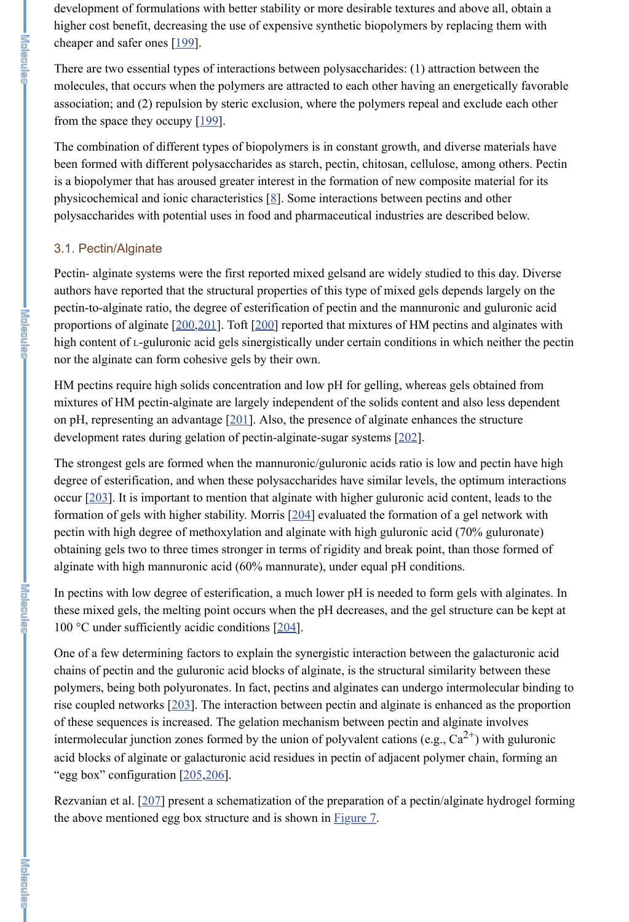development of formulations with better stability or more desirable textures and above all, obtain a higher cost benefit, decreasing the use of expensive synthetic biopolymers by replacing them with cheaper and safer ones [199].

There are two essential types of interactions between polysaccharides: (1) attraction between the molecules, that occurs when the polymers are attracted to each other having an energetically favorable association; and (2) repulsion by steric exclusion, where the polymers repeal and exclude each other from the space they occupy  $[199]$ .

The combination of different types of biopolymers is in constant growth, and diverse materials have been formed with different polysaccharides as starch, pectin, chitosan, cellulose, among others. Pectin is a biopolymer that has aroused greater interest in the formation of new composite material for its physicochemical and ionic characteristics  $[8]$ . Some interactions between pectins and other polysaccharides with potential uses in food and pharmaceutical industries are described below.

# 3.1. Pectin/Alginate

In pectins with low degree of esterification, a much lower pH is needed to form gels with alginates. In these mixed gels, the melting point occurs when the pH decreases, and the gel structure can be kept at 100 °C under sufficiently acidic conditions [204].

Pectin- alginate systems were the first reported mixed gelsand are widely studied to this day. Diverse authors have reported that the structural properties of this type of mixed gels depends largely on the pectin-to-alginate ratio, the degree of esterification of pectin and the mannuronic and guluronic acid proportions of alginate [200,201]. Toft [200] reported that mixtures of HM pectins and alginates with high content of L-guluronic acid gels sinergistically under certain conditions in which neither the pectin nor the alginate can form cohesive gels by their own.

One of a few determining factors to explain the synergistic interaction between the galacturonic acid chains of pectin and the guluronic acid blocks of alginate, is the structural similarity between these polymers, being both polyuronates. In fact, pectins and alginates can undergo intermolecular binding to rise coupled networks [203]. The interaction between pectin and alginate is enhanced as the proportion of these sequences is increased. The gelation mechanism between pectin and alginate involves intermolecular junction zones formed by the union of polyvalent cations (e.g.,  $Ca^{2+}$ ) with guluronic acid blocks of alginate or galacturonic acid residues in pectin of adjacent polymer chain, forming an "egg box" configuration [205,206].

**.**<br>Figure

**I Minimedia** 

HM pectins require high solids concentration and low pH for gelling, whereas gels obtained from mixtures of HM pectin-alginate are largely independent of the solids content and also less dependent on pH, representing an advantage  $[201]$ . Also, the presence of alginate enhances the structure development rates during gelation of pectin-alginate-sugar systems [202].

The strongest gels are formed when the mannuronic/guluronic acids ratio is low and pectin have high degree of esterification, and when these polysaccharides have similar levels, the optimum interactions occur [203]. It is important to mention that alginate with higher guluronic acid content, leads to the formation of gels with higher stability. Morris [204] evaluated the formation of a gel network with pectin with high degree of methoxylation and alginate with high guluronic acid (70% guluronate) obtaining gels two to three times stronger in terms of rigidity and break point, than those formed of alginate with high mannuronic acid (60% mannurate), under equal pH conditions.

Rezvanian et al. [207] present a schematization of the preparation of a pectin/alginate hydrogel forming the above mentioned egg box structure and is shown in Figure 7.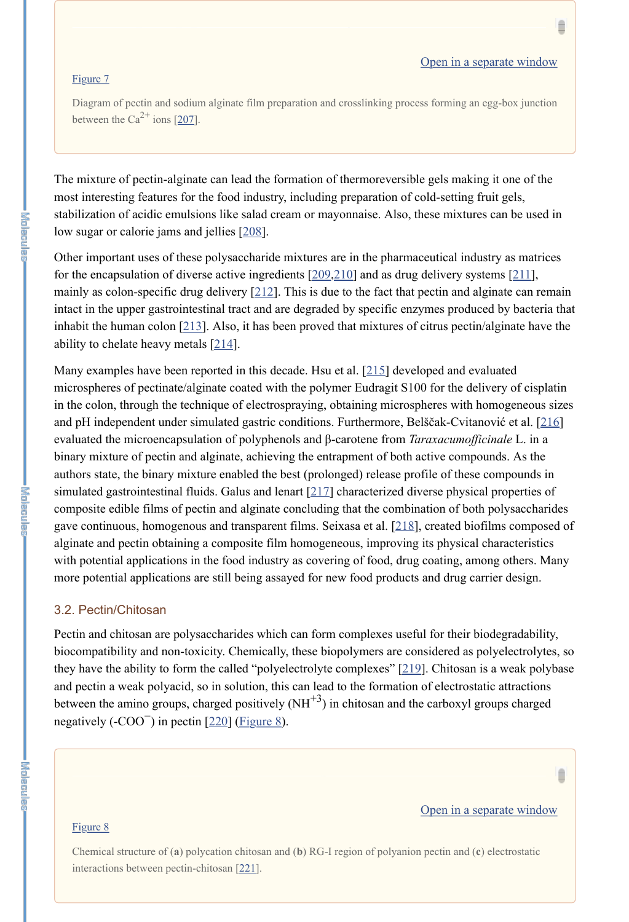Diagram of pectin and sodium alginate film preparation and crosslinking process forming an egg-box junction between the Ca<sup>2+</sup> ions  $[207]$ .

Ê

Other important uses of these polysaccharide mixtures are in the pharmaceutical industry as matrices for the encapsulation of diverse active ingredients  $[209,210]$  and as drug delivery systems  $[211]$ , mainly as colon-specific drug delivery  $[212]$ . This is due to the fact that pectin and alginate can remain intact in the upper gastrointestinal tract and are degraded by specific enzymes produced by bacteria that inhabit the human colon [213]. Also, it has been proved that mixtures of citrus pectin/alginate have the ability to chelate heavy metals  $[214]$ .

The mixture of pectin-alginate can lead the formation of thermoreversible gels making it one of the most interesting features for the food industry, including preparation of cold-setting fruit gels, stabilization of acidic emulsions like salad cream or mayonnaise. Also, these mixtures can be used in low sugar or calorie jams and jellies [208].

Pectin and chitosan are polysaccharides which can form complexes useful for their biodegradability, biocompatibility and non-toxicity. Chemically, these biopolymers are considered as polyelectrolytes, so they have the ability to form the called "polyelectrolyte complexes" [219]. Chitosan is a weak polybase and pectin a weak polyacid, so in solution, this can lead to the formation of electrostatic attractions between the amino groups, charged positively  $(NH^{+3})$  in chitosan and the carboxyl groups charged

# negatively  $(-COO<sup>-</sup>)$  in pectin  $[220]$  (*Figure 8*).

Many examples have been reported in this decade. Hsu et al. [215] developed and evaluated microspheres of pectinate/alginate coated with the polymer Eudragit S100 for the delivery of cisplatin in the colon, through the technique of electrospraying, obtaining microspheres with homogeneous sizes and pH independent under simulated gastric conditions. Furthermore, Belščak-Cvitanović et al. [216] evaluated the microencapsulation of polyphenols and β-carotene from *Taraxacumofficinale* L. in a binary mixture of pectin and alginate, achieving the entrapment of both active compounds. As the authors state, the binary mixture enabled the best (prolonged) release profile of these compounds in simulated gastrointestinal fluids. Galus and lenart [217] characterized diverse physical properties of composite edible films of pectin and alginate concluding that the combination of both polysaccharides gave continuous, homogenous and transparent films. Seixasa et al. [218], created biofilms composed of alginate and pectin obtaining a composite film homogeneous, improving its physical characteristics with potential applications in the food industry as covering of food, drug coating, among others. Many more potential applications are still being assayed for new food products and drug carrier design.

#### 3.2. Pectin/Chitosan



Chemical structure of (**a**) polycation chitosan and (**b**) RG-I region of polyanion pectin and (**c**) electrostatic interactions between pectin-chitosan [221].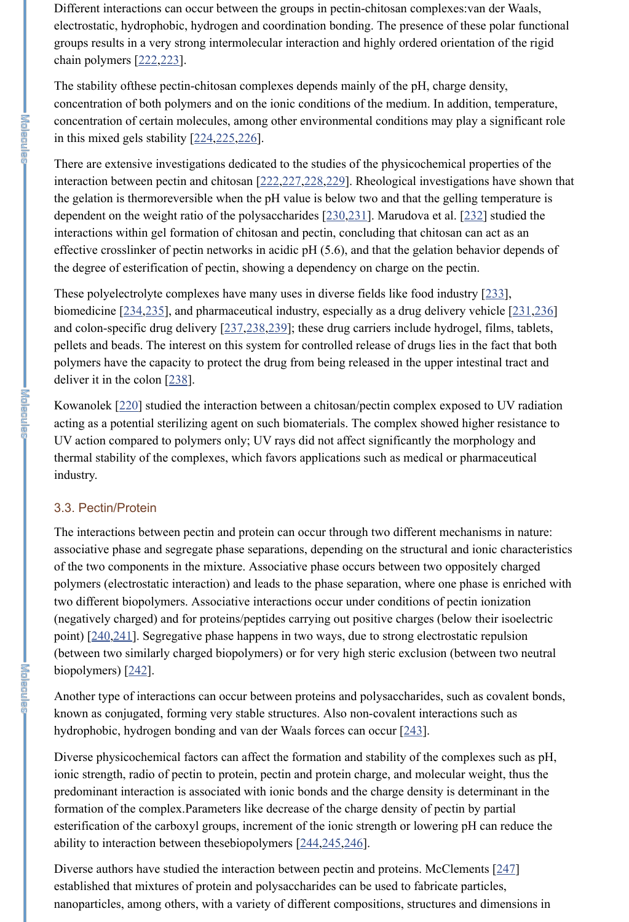Different interactions can occur between the groups in pectin-chitosan complexes:van der Waals, electrostatic, hydrophobic, hydrogen and coordination bonding. The presence of these polar functional groups results in a very strong intermolecular interaction and highly ordered orientation of the rigid chain polymers [222,223].

The stability ofthese pectin-chitosan complexes depends mainly of the pH, charge density, concentration of both polymers and on the ionic conditions of the medium. In addition, temperature, concentration of certain molecules, among other environmental conditions may play a significant role in this mixed gels stability [224,225,226].

There are extensive investigations dedicated to the studies of the physicochemical properties of the interaction between pectin and chitosan [222,227,228,229]. Rheological investigations have shown that the gelation is thermoreversible when the pH value is below two and that the gelling temperature is dependent on the weight ratio of the polysaccharides [230,231]. Marudova et al. [232] studied the interactions within gel formation of chitosan and pectin, concluding that chitosan can act as an effective crosslinker of pectin networks in acidic pH (5.6), and that the gelation behavior depends of the degree of esterification of pectin, showing a dependency on charge on the pectin.

These polyelectrolyte complexes have many uses in diverse fields like food industry [233], biomedicine [234,235], and pharmaceutical industry, especially as a drug delivery vehicle [231,236] and colon-specific drug delivery [237,238,239]; these drug carriers include hydrogel, films, tablets, pellets and beads. The interest on this system for controlled release of drugs lies in the fact that both polymers have the capacity to protect the drug from being released in the upper intestinal tract and deliver it in the colon [238].

Kowanolek [220] studied the interaction between a chitosan/pectin complex exposed to UV radiation acting as a potential sterilizing agent on such biomaterials. The complex showed higher resistance to UV action compared to polymers only; UV rays did not affect significantly the morphology and thermal stability of the complexes, which favors applications such as medical or pharmaceutical industry.

Diverse authors have studied the interaction between pectin and proteins. McClements [247] established that mixtures of protein and polysaccharides can be used to fabricate particles, nanoparticles, among others, with a variety of different compositions, structures and dimensions in

# 3.3. Pectin/Protein

The interactions between pectin and protein can occur through two different mechanisms in nature: associative phase and segregate phase separations, depending on the structural and ionic characteristics of the two components in the mixture. Associative phase occurs between two oppositely charged polymers (electrostatic interaction) and leads to the phase separation, where one phase is enriched with two different biopolymers. Associative interactions occur under conditions of pectin ionization (negatively charged) and for proteins/peptides carrying out positive charges (below their isoelectric point) [240,241]. Segregative phase happens in two ways, due to strong electrostatic repulsion (between two similarly charged biopolymers) or for very high steric exclusion (between two neutral biopolymers) [242].

Another type of interactions can occur between proteins and polysaccharides, such as covalent bonds,

known as conjugated, forming very stable structures. Also non-covalent interactions such as hydrophobic, hydrogen bonding and van der Waals forces can occur [243].

Diverse physicochemical factors can affect the formation and stability of the complexes such as pH, ionic strength, radio of pectin to protein, pectin and protein charge, and molecular weight, thus the predominant interaction is associated with ionic bonds and the charge density is determinant in the formation of the complex.Parameters like decrease of the charge density of pectin by partial esterification of the carboxyl groups, increment of the ionic strength or lowering pH can reduce the ability to interaction between thesebiopolymers [244,245,246].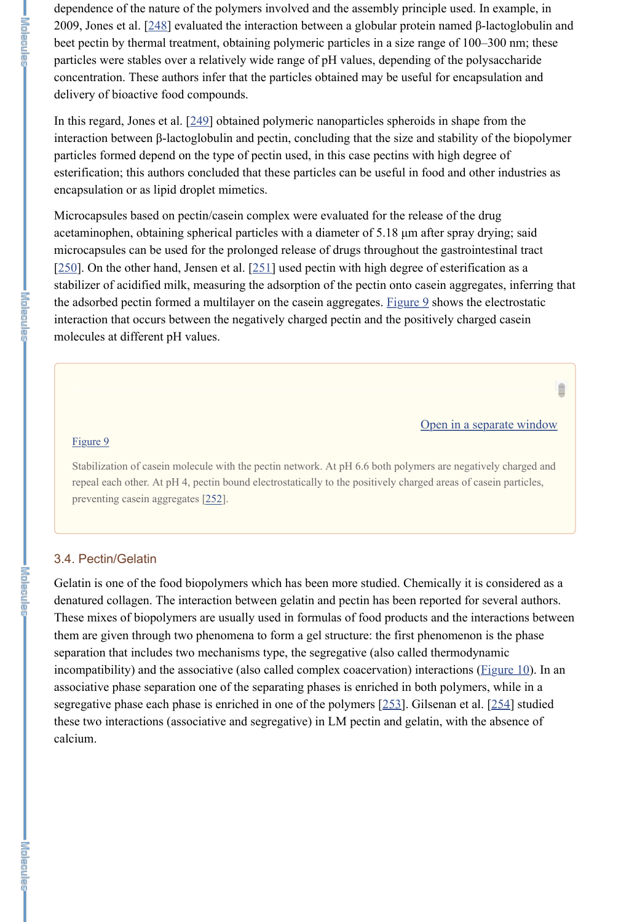dependence of the nature of the polymers involved and the assembly principle used. In example, in 2009, Jones et al. [248] evaluated the interaction between a globular protein named β-lactoglobulin and beet pectin by thermal treatment, obtaining polymeric particles in a size range of 100–300 nm; these particles were stables over a relatively wide range of pH values, depending of the polysaccharide concentration. These authors infer that the particles obtained may be useful for encapsulation and delivery of bioactive food compounds.

In this regard, Jones et al. [249] obtained polymeric nanoparticles spheroids in shape from the interaction between β-lactoglobulin and pectin, concluding that the size and stability of the biopolymer particles formed depend on the type of pectin used, in this case pectins with high degree of esterification; this authors concluded that these particles can be useful in food and other industries as encapsulation or as lipid droplet mimetics.

Stabilization of casein molecule with the pectin network. At pH 6.6 both polymers are negatively charged and repeal each other. At pH 4, pectin bound electrostatically to the positively charged areas of casein particles, preventing casein aggregates [252].

Microcapsules based on pectin/casein complex were evaluated for the release of the drug acetaminophen, obtaining spherical particles with a diameter of 5.18 µm after spray drying; said microcapsules can be used for the prolonged release of drugs throughout the gastrointestinal tract  $[250]$ . On the other hand, Jensen et al.  $[251]$  used pectin with high degree of esterification as a stabilizer of acidified milk, measuring the adsorption of the pectin onto casein aggregates, inferring that the adsorbed pectin formed a multilayer on the casein aggregates. Figure 9 shows the electrostatic interaction that occurs between the negatively charged pectin and the positively charged casein molecules at different pH values.

#### Open in a separate window

Ê

#### Figure 9

#### 3.4. Pectin/Gelatin

Gelatin is one of the food biopolymers which has been more studied. Chemically it is considered as a denatured collagen. The interaction between gelatin and pectin has been reported for several authors. These mixes of biopolymers are usually used in formulas of food products and the interactions between them are given through two phenomena to form a gel structure: the first phenomenon is the phase separation that includes two mechanisms type, the segregative (also called thermodynamic incompatibility) and the associative (also called complex coacervation) interactions (**Figure 10**). In an associative phase separation one of the separating phases is enriched in both polymers, while in a segregative phase each phase is enriched in one of the polymers [253]. Gilsenan et al. [254] studied these two interactions (associative and segregative) in LM pectin and gelatin, with the absence of calcium.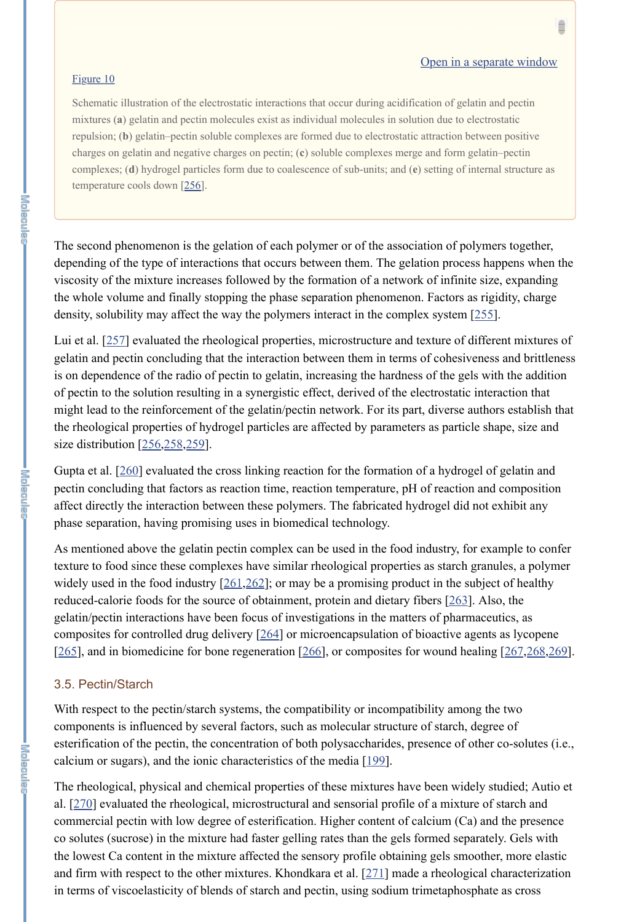#### Open in a separate window

#### Figure 10

Schematic illustration of the electrostatic interactions that occur during acidification of gelatin and pectin mixtures (**a**) gelatin and pectin molecules exist as individual molecules in solution due to electrostatic repulsion; (**b**) gelatin–pectin soluble complexes are formed due to electrostatic attraction between positive charges on gelatin and negative charges on pectin; (**c**) soluble complexes merge and form gelatin–pectin complexes; (**d**) hydrogel particles form due to coalescence of sub-units; and (**e**) setting of internal structure as temperature cools down [256].

Lui et al. [257] evaluated the rheological properties, microstructure and texture of different mixtures of gelatin and pectin concluding that the interaction between them in terms of cohesiveness and brittleness is on dependence of the radio of pectin to gelatin, increasing the hardness of the gels with the addition of pectin to the solution resulting in a synergistic effect, derived of the electrostatic interaction that might lead to the reinforcement of the gelatin/pectin network. For its part, diverse authors establish that the rheological properties of hydrogel particles are affected by parameters as particle shape, size and size distribution [256,258,259].

The second phenomenon is the gelation of each polymer or of the association of polymers together, depending of the type of interactions that occurs between them. The gelation process happens when the viscosity of the mixture increases followed by the formation of a network of infinite size, expanding the whole volume and finally stopping the phase separation phenomenon. Factors as rigidity, charge density, solubility may affect the way the polymers interact in the complex system [255].

As mentioned above the gelatin pectin complex can be used in the food industry, for example to confer texture to food since these complexes have similar rheological properties as starch granules, a polymer widely used in the food industry  $[261,262]$ ; or may be a promising product in the subject of healthy reduced-calorie foods for the source of obtainment, protein and dietary fibers [263]. Also, the gelatin/pectin interactions have been focus of investigations in the matters of pharmaceutics, as composites for controlled drug delivery [264] or microencapsulation of bioactive agents as lycopene [265], and in biomedicine for bone regeneration [266], or composites for wound healing  $[267,268,269]$ .

With respect to the pectin/starch systems, the compatibility or incompatibility among the two components is influenced by several factors, such as molecular structure of starch, degree of esterification of the pectin, the concentration of both polysaccharides, presence of other co-solutes (i.e., calcium or sugars), and the ionic characteristics of the media  $[199]$ .

Gupta et al. [260] evaluated the cross linking reaction for the formation of a hydrogel of gelatin and pectin concluding that factors as reaction time, reaction temperature, pH of reaction and composition affect directly the interaction between these polymers. The fabricated hydrogel did not exhibit any phase separation, having promising uses in biomedical technology.

#### 3.5. Pectin/Starch

The rheological, physical and chemical properties of these mixtures have been widely studied; Autio et al. [270] evaluated the rheological, microstructural and sensorial profile of a mixture of starch and commercial pectin with low degree of esterification. Higher content of calcium (Ca) and the presence co solutes (sucrose) in the mixture had faster gelling rates than the gels formed separately. Gels with the lowest Ca content in the mixture affected the sensory profile obtaining gels smoother, more elastic and firm with respect to the other mixtures. Khondkara et al. [271] made a rheological characterization in terms of viscoelasticity of blends of starch and pectin, using sodium trimetaphosphate as cross

**I**<br>Sidnacion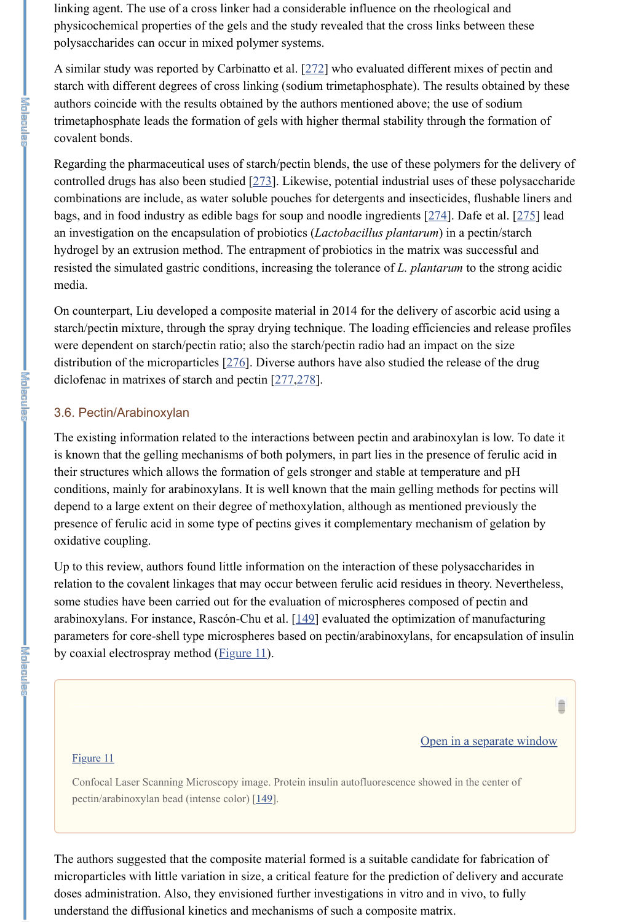linking agent. The use of a cross linker had a considerable influence on the rheological and physicochemical properties of the gels and the study revealed that the cross links between these polysaccharides can occur in mixed polymer systems.

A similar study was reported by Carbinatto et al. [272] who evaluated different mixes of pectin and starch with different degrees of cross linking (sodium trimetaphosphate). The results obtained by these authors coincide with the results obtained by the authors mentioned above; the use of sodium trimetaphosphate leads the formation of gels with higher thermal stability through the formation of covalent bonds.

Regarding the pharmaceutical uses of starch/pectin blends, the use of these polymers for the delivery of controlled drugs has also been studied [273]. Likewise, potential industrial uses of these polysaccharide combinations are include, as water soluble pouches for detergents and insecticides, flushable liners and bags, and in food industry as edible bags for soup and noodle ingredients [274]. Dafe et al. [275] lead an investigation on the encapsulation of probiotics (*Lactobacillus plantarum*) in a pectin/starch hydrogel by an extrusion method. The entrapment of probiotics in the matrix was successful and resisted the simulated gastric conditions, increasing the tolerance of *L. plantarum* to the strong acidic media.

Up to this review, authors found little information on the interaction of these polysaccharides in relation to the covalent linkages that may occur between ferulic acid residues in theory. Nevertheless, some studies have been carried out for the evaluation of microspheres composed of pectin and arabinoxylans. For instance, Rascón-Chu et al. [149] evaluated the optimization of manufacturing parameters for core-shell type microspheres based on pectin/arabinoxylans, for encapsulation of insulin by coaxial electrospray method  $(Figure 11)$ .

On counterpart, Liu developed a composite material in 2014 for the delivery of ascorbic acid using a starch/pectin mixture, through the spray drying technique. The loading efficiencies and release profiles were dependent on starch/pectin ratio; also the starch/pectin radio had an impact on the size distribution of the microparticles [276]. Diverse authors have also studied the release of the drug diclofenac in matrixes of starch and pectin [277,278].

# 3.6. Pectin/Arabinoxylan

The existing information related to the interactions between pectin and arabinoxylan is low. To date it is known that the gelling mechanisms of both polymers, in part lies in the presence of ferulic acid in their structures which allows the formation of gels stronger and stable at temperature and pH conditions, mainly for arabinoxylans. It is well known that the main gelling methods for pectins will depend to a large extent on their degree of methoxylation, although as mentioned previously the presence of ferulic acid in some type of pectins gives it complementary mechanism of gelation by oxidative coupling.



≘

#### Figure 11

Confocal Laser Scanning Microscopy image. Protein insulin autofluorescence showed in the center of pectin/arabinoxylan bead (intense color) [149].

The authors suggested that the composite material formed is a suitable candidate for fabrication of microparticles with little variation in size, a critical feature for the prediction of delivery and accurate doses administration. Also, they envisioned further investigations in vitro and in vivo, to fully understand the diffusional kinetics and mechanisms of such a composite matrix.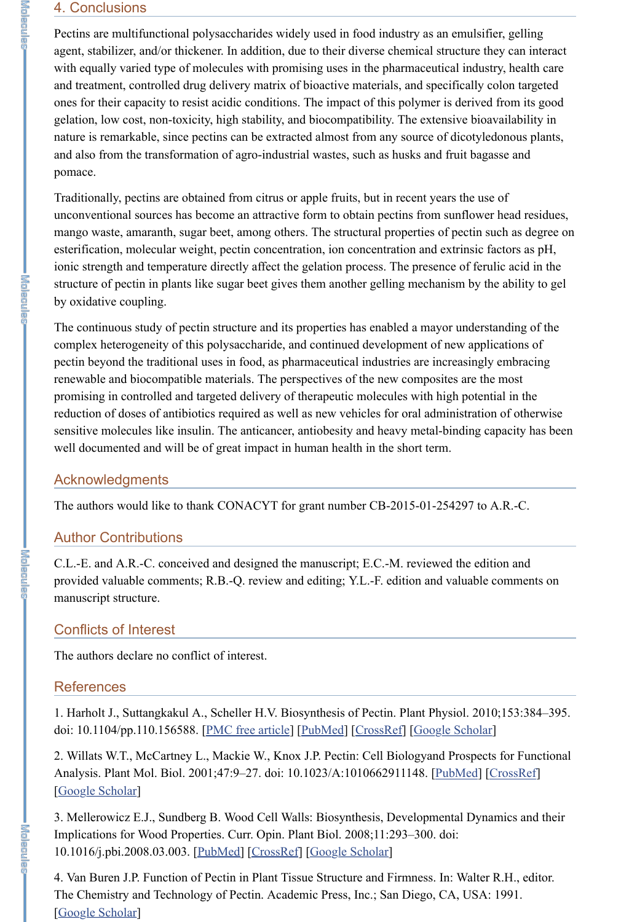## 4. Conclusions

Pectins are multifunctional polysaccharides widely used in food industry as an emulsifier, gelling agent, stabilizer, and/or thickener. In addition, due to their diverse chemical structure they can interact with equally varied type of molecules with promising uses in the pharmaceutical industry, health care and treatment, controlled drug delivery matrix of bioactive materials, and specifically colon targeted ones for their capacity to resist acidic conditions. The impact of this polymer is derived from its good gelation, low cost, non-toxicity, high stability, and biocompatibility. The extensive bioavailability in nature is remarkable, since pectins can be extracted almost from any source of dicotyledonous plants, and also from the transformation of agro-industrial wastes, such as husks and fruit bagasse and pomace.

Traditionally, pectins are obtained from citrus or apple fruits, but in recent years the use of unconventional sources has become an attractive form to obtain pectins from sunflower head residues, mango waste, amaranth, sugar beet, among others. The structural properties of pectin such as degree on esterification, molecular weight, pectin concentration, ion concentration and extrinsic factors as pH, ionic strength and temperature directly affect the gelation process. The presence of ferulic acid in the structure of pectin in plants like sugar beet gives them another gelling mechanism by the ability to gel by oxidative coupling.

The continuous study of pectin structure and its properties has enabled a mayor understanding of the complex heterogeneity of this polysaccharide, and continued development of new applications of pectin beyond the traditional uses in food, as pharmaceutical industries are increasingly embracing renewable and biocompatible materials. The perspectives of the new composites are the most promising in controlled and targeted delivery of therapeutic molecules with high potential in the reduction of doses of antibiotics required as well as new vehicles for oral administration of otherwise sensitive molecules like insulin. The anticancer, antiobesity and heavy metal-binding capacity has been well documented and will be of great impact in human health in the short term.

### Acknowledgments

The authors would like to thank CONACYT for grant number CB-2015-01-254297 to A.R.-C.

# Author Contributions

C.L.-E. and A.R.-C. conceived and designed the manuscript; E.C.-M. reviewed the edition and provided valuable comments; R.B.-Q. review and editing; Y.L.-F. edition and valuable comments on manuscript structure.

# Conflicts of Interest

The authors declare no conflict of interest.

## **References**

1. Harholt J., Suttangkakul A., Scheller H.V. Biosynthesis of Pectin. Plant Physiol. 2010;153:384–395. doi: 10.1104/pp.110.156588. [PMC free article] [PubMed] [CrossRef] [Google Scholar]

2. Willats W.T., McCartney L., Mackie W., Knox J.P. Pectin: Cell Biologyand Prospects for Functional Analysis. Plant Mol. Biol. 2001;47:9-27. doi: 10.1023/A:1010662911148. [PubMed] [CrossRef] [Google Scholar]

3. Mellerowicz E.J., Sundberg B. Wood Cell Walls: Biosynthesis, Developmental Dynamics and their Implications for Wood Properties. Curr. Opin. Plant Biol. 2008;11:293–300. doi: 10.1016/j.pbi.2008.03.003. [PubMed] [CrossRef] [Google Scholar]

4. Van Buren J.P. Function of Pectin in Plant Tissue Structure and Firmness. In: Walter R.H., editor. The Chemistry and Technology of Pectin. Academic Press, Inc.; San Diego, CA, USA: 1991. [Google Scholar]

**I WOORDELAND**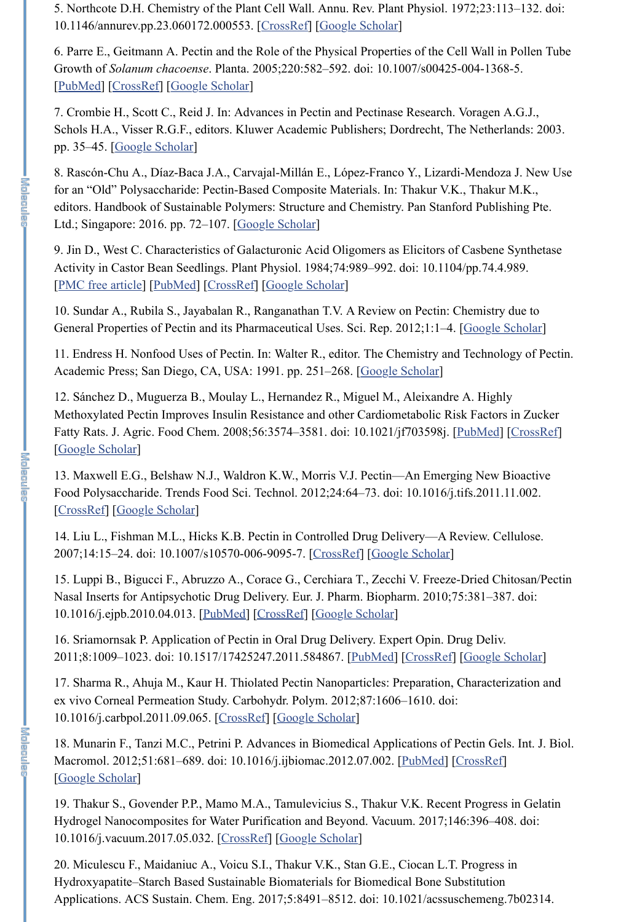5. Northcote D.H. Chemistry of the Plant Cell Wall. Annu. Rev. Plant Physiol. 1972;23:113–132. doi: 10.1146/annurev.pp.23.060172.000553. [CrossRef] [Google Scholar]

6. Parre E., Geitmann A. Pectin and the Role of the Physical Properties of the Cell Wall in Pollen Tube Growth of *Solanum chacoense*. Planta. 2005;220:582–592. doi: 10.1007/s00425-004-1368-5. [PubMed] [CrossRef] [Google Scholar]

7. Crombie H., Scott C., Reid J. In: Advances in Pectin and Pectinase Research. Voragen A.G.J., Schols H.A., Visser R.G.F., editors. Kluwer Academic Publishers; Dordrecht, The Netherlands: 2003. pp. 35–45. [Google Scholar]

10. Sundar A., Rubila S., Jayabalan R., Ranganathan T.V. A Review on Pectin: Chemistry due to General Properties of Pectin and its Pharmaceutical Uses. Sci. Rep. 2012;1:1-4. [Google Scholar]

8. Rascón-Chu A., Díaz-Baca J.A., Carvajal-Millán E., López-Franco Y., Lizardi-Mendoza J. New Use for an "Old" Polysaccharide: Pectin-Based Composite Materials. In: Thakur V.K., Thakur M.K., editors. Handbook of Sustainable Polymers: Structure and Chemistry. Pan Stanford Publishing Pte. Ltd.; Singapore: 2016. pp. 72–107. [Google Scholar]

9. Jin D., West C. Characteristics of Galacturonic Acid Oligomers as Elicitors of Casbene Synthetase Activity in Castor Bean Seedlings. Plant Physiol. 1984;74:989–992. doi: 10.1104/pp.74.4.989. [PMC free article] [PubMed] [CrossRef] [Google Scholar]

11. Endress H. Nonfood Uses of Pectin. In: Walter R., editor. The Chemistry and Technology of Pectin. Academic Press; San Diego, CA, USA: 1991. pp. 251–268. [Google Scholar]

12. Sánchez D., Muguerza B., Moulay L., Hernandez R., Miguel M., Aleixandre A. Highly Methoxylated Pectin Improves Insulin Resistance and other Cardiometabolic Risk Factors in Zucker Fatty Rats. J. Agric. Food Chem. 2008;56:3574–3581. doi: 10.1021/jf703598j. [PubMed] [CrossRef] [Google Scholar]

13. Maxwell E.G., Belshaw N.J., Waldron K.W., Morris V.J. Pectin—An Emerging New Bioactive Food Polysaccharide. Trends Food Sci. Technol. 2012;24:64–73. doi: 10.1016/j.tifs.2011.11.002. [CrossRef] [Google Scholar]

14. Liu L., Fishman M.L., Hicks K.B. Pectin in Controlled Drug Delivery—A Review. Cellulose. 2007;14:15–24. doi: 10.1007/s10570-006-9095-7. [CrossRef] [Google Scholar]

15. Luppi B., Bigucci F., Abruzzo A., Corace G., Cerchiara T., Zecchi V. Freeze-Dried Chitosan/Pectin Nasal Inserts for Antipsychotic Drug Delivery. Eur. J. Pharm. Biopharm. 2010;75:381–387. doi: 10.1016/j.ejpb.2010.04.013. [PubMed] [CrossRef] [Google Scholar]

16. Sriamornsak P. Application of Pectin in Oral Drug Delivery. Expert Opin. Drug Deliv. 2011;8:1009–1023. doi: 10.1517/17425247.2011.584867. [PubMed] [CrossRef] [Google Scholar]

17. Sharma R., Ahuja M., Kaur H. Thiolated Pectin Nanoparticles: Preparation, Characterization and ex vivo Corneal Permeation Study. Carbohydr. Polym. 2012;87:1606–1610. doi:

I Kalendar

10.1016/j.carbpol.2011.09.065. [CrossRef] [Google Scholar]

18. Munarin F., Tanzi M.C., Petrini P. Advances in Biomedical Applications of Pectin Gels. Int. J. Biol. Macromol. 2012;51:681–689. doi: 10.1016/j.ijbiomac.2012.07.002. [PubMed] [CrossRef] [Google Scholar]

19. Thakur S., Govender P.P., Mamo M.A., Tamulevicius S., Thakur V.K. Recent Progress in Gelatin Hydrogel Nanocomposites for Water Purification and Beyond. Vacuum. 2017;146:396–408. doi: 10.1016/j.vacuum.2017.05.032. [CrossRef] [Google Scholar]

20. Miculescu F., Maidaniuc A., Voicu S.I., Thakur V.K., Stan G.E., Ciocan L.T. Progress in Hydroxyapatite–Starch Based Sustainable Biomaterials for Biomedical Bone Substitution Applications. ACS Sustain. Chem. Eng. 2017;5:8491–8512. doi: 10.1021/acssuschemeng.7b02314.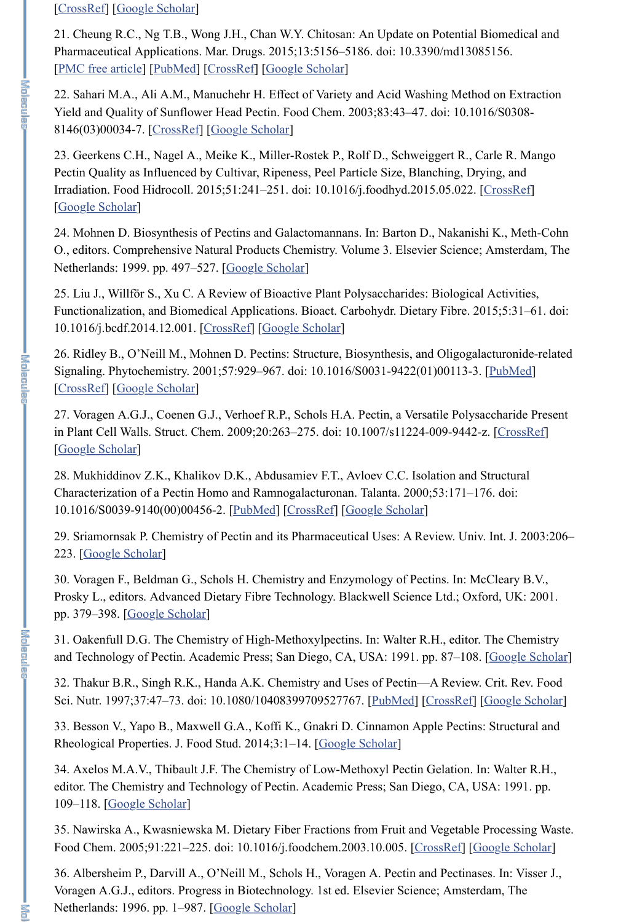[CrossRef] [Google Scholar]

21. Cheung R.C., Ng T.B., Wong J.H., Chan W.Y. Chitosan: An Update on Potential Biomedical and Pharmaceutical Applications. Mar. Drugs. 2015;13:5156–5186. doi: 10.3390/md13085156. [PMC free article] [PubMed] [CrossRef] [Google Scholar]

23. Geerkens C.H., Nagel A., Meike K., Miller-Rostek P., Rolf D., Schweiggert R., Carle R. Mango Pectin Quality as Influenced by Cultivar, Ripeness, Peel Particle Size, Blanching, Drying, and Irradiation. Food Hidrocoll. 2015;51:241–251. doi: 10.1016/j.foodhyd.2015.05.022. [CrossRef] [Google Scholar]

22. Sahari M.A., Ali A.M., Manuchehr H. Effect of Variety and Acid Washing Method on Extraction Yield and Quality of Sunflower Head Pectin. Food Chem. 2003;83:43–47. doi: 10.1016/S0308- 8146(03)00034-7. [CrossRef] [Google Scholar]

24. Mohnen D. Biosynthesis of Pectins and Galactomannans. In: Barton D., Nakanishi K., Meth-Cohn O., editors. Comprehensive Natural Products Chemistry. Volume 3. Elsevier Science; Amsterdam, The Netherlands: 1999. pp. 497–527. [Google Scholar]

27. Voragen A.G.J., Coenen G.J., Verhoef R.P., Schols H.A. Pectin, a Versatile Polysaccharide Present in Plant Cell Walls. Struct. Chem. 2009;20:263–275. doi: 10.1007/s11224-009-9442-z. [CrossRef] [Google Scholar]

30. Voragen F., Beldman G., Schols H. Chemistry and Enzymology of Pectins. In: McCleary B.V., Prosky L., editors. Advanced Dietary Fibre Technology. Blackwell Science Ltd.; Oxford, UK: 2001. pp. 379–398. [Google Scholar]

25. Liu J., Willför S., Xu C. A Review of Bioactive Plant Polysaccharides: Biological Activities, Functionalization, and Biomedical Applications. Bioact. Carbohydr. Dietary Fibre. 2015;5:31–61. doi: 10.1016/j.bcdf.2014.12.001. [CrossRef] [Google Scholar]

32. Thakur B.R., Singh R.K., Handa A.K. Chemistry and Uses of Pectin—A Review. Crit. Rev. Food Sci. Nutr. 1997;37:47-73. doi: 10.1080/10408399709527767. [PubMed] [CrossRef] [Google Scholar]

**I MADIA RELAX** 

33. Besson V., Yapo B., Maxwell G.A., Koffi K., Gnakri D. Cinnamon Apple Pectins: Structural and Rheological Properties. J. Food Stud. 2014;3:1-14. [Google Scholar]

26. Ridley B., O'Neill M., Mohnen D. Pectins: Structure, Biosynthesis, and Oligogalacturonide-related Signaling. Phytochemistry. 2001;57:929–967. doi: 10.1016/S0031-9422(01)00113-3. [PubMed] [CrossRef] [Google Scholar]

36. Albersheim P., Darvill A., O'Neill M., Schols H., Voragen A. Pectin and Pectinases. In: Visser J., Voragen A.G.J., editors. Progress in Biotechnology. 1st ed. Elsevier Science; Amsterdam, The Netherlands: 1996. pp. 1-987. [Google Scholar]

**I**<br>Enclose

28. Mukhiddinov Z.K., Khalikov D.K., Abdusamiev F.T., Avloev C.C. Isolation and Structural Characterization of a Pectin Homo and Ramnogalacturonan. Talanta. 2000;53:171–176. doi: 10.1016/S0039-9140(00)00456-2. [PubMed] [CrossRef] [Google Scholar]

29. Sriamornsak P. Chemistry of Pectin and its Pharmaceutical Uses: A Review. Univ. Int. J. 2003:206– 223. [Google Scholar]

31. Oakenfull D.G. The Chemistry of High-Methoxylpectins. In: Walter R.H., editor. The Chemistry and Technology of Pectin. Academic Press; San Diego, CA, USA: 1991. pp. 87–108. [Google Scholar]

34. Axelos M.A.V., Thibault J.F. The Chemistry of Low-Methoxyl Pectin Gelation. In: Walter R.H., editor. The Chemistry and Technology of Pectin. Academic Press; San Diego, CA, USA: 1991. pp. 109–118. [Google Scholar]

35. Nawirska A., Kwasniewska M. Dietary Fiber Fractions from Fruit and Vegetable Processing Waste. Food Chem. 2005;91:221–225. doi: 10.1016/j.foodchem.2003.10.005. [CrossRef] [Google Scholar]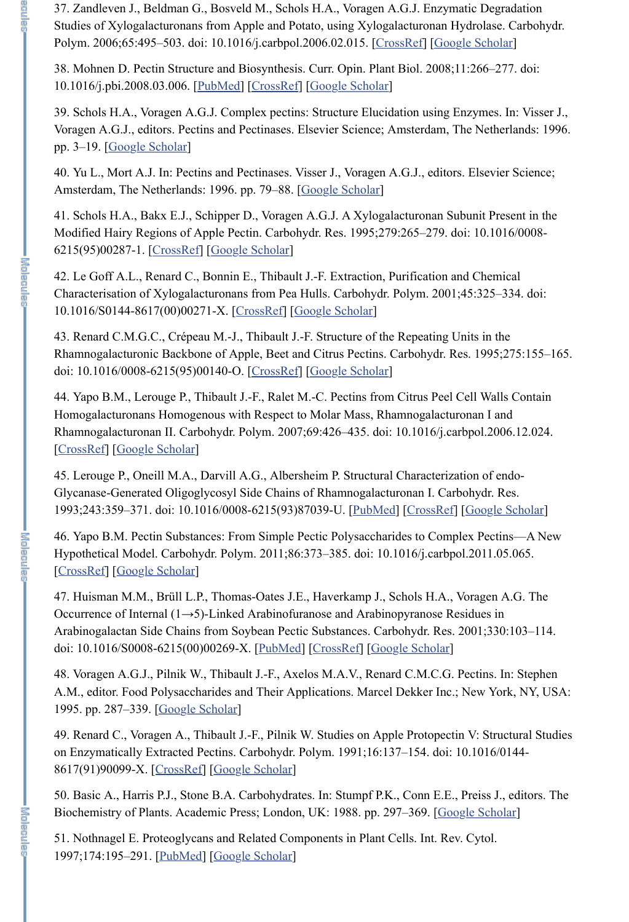37. Zandleven J., Beldman G., Bosveld M., Schols H.A., Voragen A.G.J. Enzymatic Degradation Studies of Xylogalacturonans from Apple and Potato, using Xylogalacturonan Hydrolase. Carbohydr. Polym. 2006;65:495–503. doi: 10.1016/j.carbpol.2006.02.015. [CrossRef] [Google Scholar]

40. Yu L., Mort A.J. In: Pectins and Pectinases. Visser J., Voragen A.G.J., editors. Elsevier Science; Amsterdam, The Netherlands: 1996. pp. 79–88. [Google Scholar]

38. Mohnen D. Pectin Structure and Biosynthesis. Curr. Opin. Plant Biol. 2008;11:266–277. doi: 10.1016/j.pbi.2008.03.006. [PubMed] [CrossRef] [Google Scholar]

39. Schols H.A., Voragen A.G.J. Complex pectins: Structure Elucidation using Enzymes. In: Visser J., Voragen A.G.J., editors. Pectins and Pectinases. Elsevier Science; Amsterdam, The Netherlands: 1996. pp. 3–19. [Google Scholar]

41. Schols H.A., Bakx E.J., Schipper D., Voragen A.G.J. A Xylogalacturonan Subunit Present in the Modified Hairy Regions of Apple Pectin. Carbohydr. Res. 1995;279:265–279. doi: 10.1016/0008- 6215(95)00287-1. [CrossRef] [Google Scholar]

42. Le Goff A.L., Renard C., Bonnin E., Thibault J.-F. Extraction, Purification and Chemical Characterisation of Xylogalacturonans from Pea Hulls. Carbohydr. Polym. 2001;45:325–334. doi: 10.1016/S0144-8617(00)00271-X. [CrossRef] [Google Scholar]

43. Renard C.M.G.C., Crépeau M.-J., Thibault J.-F. Structure of the Repeating Units in the Rhamnogalacturonic Backbone of Apple, Beet and Citrus Pectins. Carbohydr. Res. 1995;275:155–165. doi: 10.1016/0008-6215(95)00140-O. [CrossRef] [Google Scholar]

50. Basic A., Harris P.J., Stone B.A. Carbohydrates. In: Stumpf P.K., Conn E.E., Preiss J., editors. The Biochemistry of Plants. Academic Press; London, UK: 1988. pp. 297–369. [Google Scholar]

44. Yapo B.M., Lerouge P., Thibault J.-F., Ralet M.-C. Pectins from Citrus Peel Cell Walls Contain Homogalacturonans Homogenous with Respect to Molar Mass, Rhamnogalacturonan I and Rhamnogalacturonan II. Carbohydr. Polym. 2007;69:426–435. doi: 10.1016/j.carbpol.2006.12.024. [CrossRef] [Google Scholar]

45. Lerouge P., Oneill M.A., Darvill A.G., Albersheim P. Structural Characterization of endo-Glycanase-Generated Oligoglycosyl Side Chains of Rhamnogalacturonan I. Carbohydr. Res. 1993;243:359–371. doi: 10.1016/0008-6215(93)87039-U. [PubMed] [CrossRef] [Google Scholar]

46. Yapo B.M. Pectin Substances: From Simple Pectic Polysaccharides to Complex Pectins—A New Hypothetical Model. Carbohydr. Polym. 2011;86:373–385. doi: 10.1016/j.carbpol.2011.05.065. [CrossRef] [Google Scholar]

47. Huisman M.M., Brüll L.P., Thomas-Oates J.E., Haverkamp J., Schols H.A., Voragen A.G. The Occurrence of Internal (1→5)-Linked Arabinofuranose and Arabinopyranose Residues in Arabinogalactan Side Chains from Soybean Pectic Substances. Carbohydr. Res. 2001;330:103–114. doi: 10.1016/S0008-6215(00)00269-X. [PubMed] [CrossRef] [Google Scholar]

48. Voragen A.G.J., Pilnik W., Thibault J.-F., Axelos M.A.V., Renard C.M.C.G. Pectins. In: Stephen A.M., editor. Food Polysaccharides and Their Applications. Marcel Dekker Inc.; New York, NY, USA:

高高麗星區

# 1995. pp. 287–339. [Google Scholar]

49. Renard C., Voragen A., Thibault J.-F., Pilnik W. Studies on Apple Protopectin V: Structural Studies on Enzymatically Extracted Pectins. Carbohydr. Polym. 1991;16:137–154. doi: 10.1016/0144- 8617(91)90099-X. [CrossRef] [Google Scholar]

51. Nothnagel E. Proteoglycans and Related Components in Plant Cells. Int. Rev. Cytol. 1997;174:195–291. [PubMed] [Google Scholar]

**I will not be**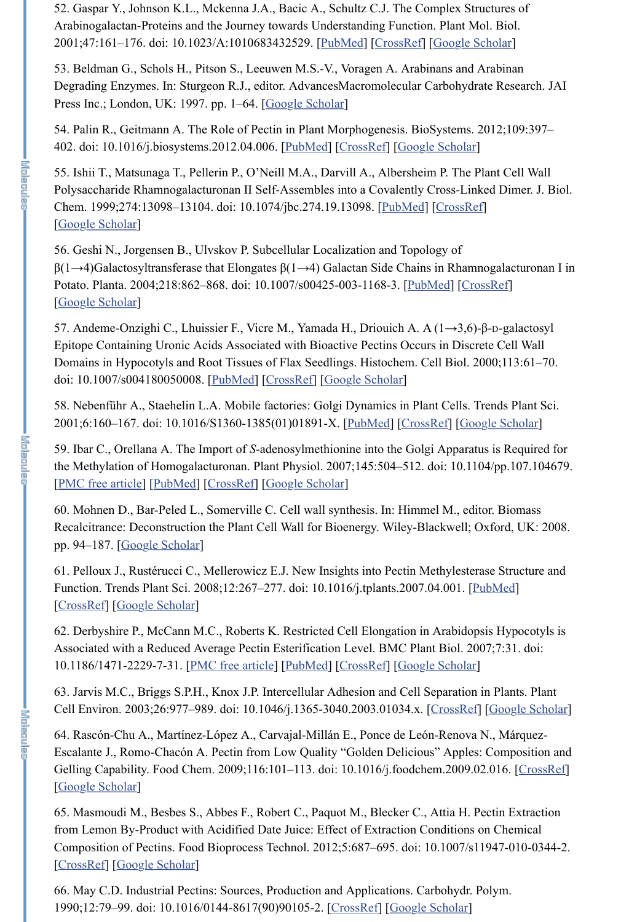52. Gaspar Y., Johnson K.L., Mckenna J.A., Bacic A., Schultz C.J. The Complex Structures of Arabinogalactan-Proteins and the Journey towards Understanding Function. Plant Mol. Biol. 2001;47:161–176. doi: 10.1023/A:1010683432529. [PubMed] [CrossRef] [Google Scholar]

53. Beldman G., Schols H., Pitson S., Leeuwen M.S.-V., Voragen A. Arabinans and Arabinan Degrading Enzymes. In: Sturgeon R.J., editor. AdvancesMacromolecular Carbohydrate Research. JAI Press Inc.; London, UK: 1997. pp. 1–64. [Google Scholar]

55. Ishii T., Matsunaga T., Pellerin P., O'Neill M.A., Darvill A., Albersheim P. The Plant Cell Wall Polysaccharide Rhamnogalacturonan II Self-Assembles into a Covalently Cross-Linked Dimer. J. Biol. Chem. 1999;274:13098–13104. doi: 10.1074/jbc.274.19.13098. [PubMed] [CrossRef] [Google Scholar]

54. Palin R., Geitmann A. The Role of Pectin in Plant Morphogenesis. BioSystems. 2012;109:397– 402. doi: 10.1016/j.biosystems.2012.04.006. [PubMed] [CrossRef] [Google Scholar]

56. Geshi N., Jorgensen B., Ulvskov P. Subcellular Localization and Topology of β(1→4)Galactosyltransferase that Elongates β(1→4) Galactan Side Chains in Rhamnogalacturonan I in Potato. Planta. 2004;218:862–868. doi: 10.1007/s00425-003-1168-3. [PubMed] [CrossRef] [Google Scholar]

57. Andeme-Onzighi C., Lhuissier F., Vicre M., Yamada H., Driouich A. A (1→3,6)-β-D-galactosyl Epitope Containing Uronic Acids Associated with Bioactive Pectins Occurs in Discrete Cell Wall Domains in Hypocotyls and Root Tissues of Flax Seedlings. Histochem. Cell Biol. 2000;113:61–70. doi: 10.1007/s004180050008. [PubMed] [CrossRef] [Google Scholar]

64. Rascón-Chu A., Martínez-López A., Carvajal-Millán E., Ponce de León-Renova N., Márquez-Escalante J., Romo-Chacón A. Pectin from Low Quality "Golden Delicious" Apples: Composition and Gelling Capability. Food Chem. 2009;116:101–113. doi: 10.1016/j.foodchem.2009.02.016. [CrossRef] [Google Scholar]

58. Nebenführ A., Staehelin L.A. Mobile factories: Golgi Dynamics in Plant Cells. Trends Plant Sci. 2001;6:160–167. doi: 10.1016/S1360-1385(01)01891-X. [PubMed] [CrossRef] [Google Scholar]

59. Ibar C., Orellana A. The Import of *S*-adenosylmethionine into the Golgi Apparatus is Required for the Methylation of Homogalacturonan. Plant Physiol. 2007;145:504–512. doi: 10.1104/pp.107.104679. [PMC free article] [PubMed] [CrossRef] [Google Scholar]

60. Mohnen D., Bar-Peled L., Somerville C. Cell wall synthesis. In: Himmel M., editor. Biomass Recalcitrance: Deconstruction the Plant Cell Wall for Bioenergy. Wiley-Blackwell; Oxford, UK: 2008. pp. 94–187. [Google Scholar]

61. Pelloux J., Rustérucci C., Mellerowicz E.J. New Insights into Pectin Methylesterase Structure and Function. Trends Plant Sci. 2008;12:267–277. doi: 10.1016/j.tplants.2007.04.001. [PubMed] [CrossRef] [Google Scholar]

62. Derbyshire P., McCann M.C., Roberts K. Restricted Cell Elongation in Arabidopsis Hypocotyls is Associated with a Reduced Average Pectin Esterification Level. BMC Plant Biol. 2007;7:31. doi: 10.1186/1471-2229-7-31. [PMC free article] [PubMed] [CrossRef] [Google Scholar]

63. Jarvis M.C., Briggs S.P.H., Knox J.P. Intercellular Adhesion and Cell Separation in Plants. Plant

**I With MAGE IN** 

Cell Environ. 2003;26:977–989. doi: 10.1046/j.1365-3040.2003.01034.x. [CrossRef] [Google Scholar]

65. Masmoudi M., Besbes S., Abbes F., Robert C., Paquot M., Blecker C., Attia H. Pectin Extraction from Lemon By-Product with Acidified Date Juice: Effect of Extraction Conditions on Chemical Composition of Pectins. Food Bioprocess Technol. 2012;5:687–695. doi: 10.1007/s11947-010-0344-2. [CrossRef] [Google Scholar]

66. May C.D. Industrial Pectins: Sources, Production and Applications. Carbohydr. Polym. 1990;12:79–99. doi: 10.1016/0144-8617(90)90105-2. [CrossRef] [Google Scholar]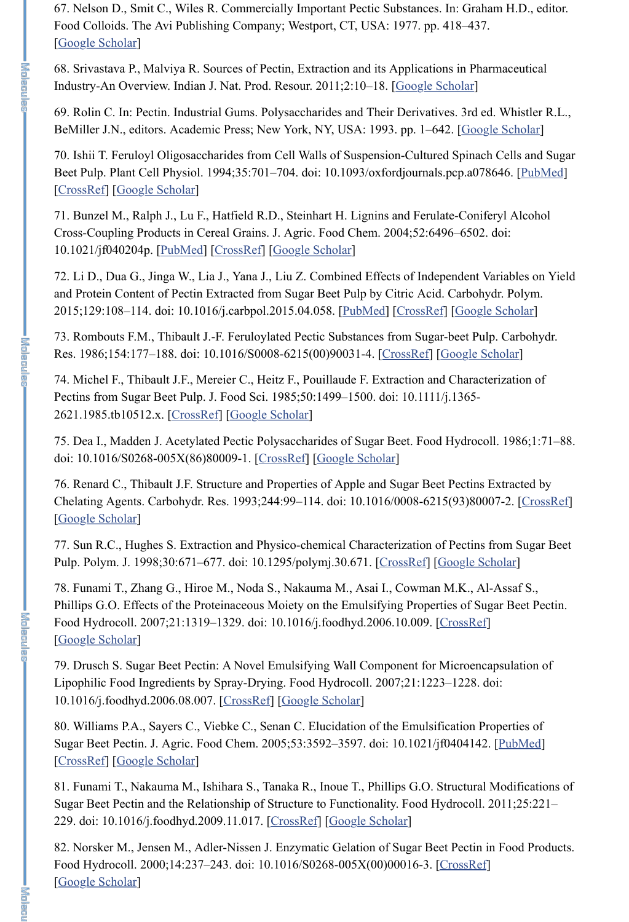69. Rolin C. In: Pectin. Industrial Gums. Polysaccharides and Their Derivatives. 3rd ed. Whistler R.L., BeMiller J.N., editors. Academic Press; New York, NY, USA: 1993. pp. 1–642. [Google Scholar]

67. Nelson D., Smit C., Wiles R. Commercially Important Pectic Substances. In: Graham H.D., editor. Food Colloids. The Avi Publishing Company; Westport, CT, USA: 1977. pp. 418–437. [Google Scholar]

68. Srivastava P., Malviya R. Sources of Pectin, Extraction and its Applications in Pharmaceutical Industry-An Overview. Indian J. Nat. Prod. Resour. 2011;2:10–18. [Google Scholar]

70. Ishii T. Feruloyl Oligosaccharides from Cell Walls of Suspension-Cultured Spinach Cells and Sugar Beet Pulp. Plant Cell Physiol. 1994;35:701–704. doi: 10.1093/oxfordjournals.pcp.a078646. [PubMed] [CrossRef] [Google Scholar]

71. Bunzel M., Ralph J., Lu F., Hatfield R.D., Steinhart H. Lignins and Ferulate-Coniferyl Alcohol Cross-Coupling Products in Cereal Grains. J. Agric. Food Chem. 2004;52:6496–6502. doi: 10.1021/jf040204p. [PubMed] [CrossRef] [Google Scholar]

72. Li D., Dua G., Jinga W., Lia J., Yana J., Liu Z. Combined Effects of Independent Variables on Yield and Protein Content of Pectin Extracted from Sugar Beet Pulp by Citric Acid. Carbohydr. Polym. 2015;129:108–114. doi: 10.1016/j.carbpol.2015.04.058. [PubMed] [CrossRef] [Google Scholar]

73. Rombouts F.M., Thibault J.-F. Feruloylated Pectic Substances from Sugar-beet Pulp. Carbohydr. Res. 1986;154:177–188. doi: 10.1016/S0008-6215(00)90031-4. [CrossRef] [Google Scholar]

74. Michel F., Thibault J.F., Mereier C., Heitz F., Pouillaude F. Extraction and Characterization of Pectins from Sugar Beet Pulp. J. Food Sci. 1985;50:1499–1500. doi: 10.1111/j.1365- 2621.1985.tb10512.x. [CrossRef] [Google Scholar]

75. Dea I., Madden J. Acetylated Pectic Polysaccharides of Sugar Beet. Food Hydrocoll. 1986;1:71–88. doi: 10.1016/S0268-005X(86)80009-1. [CrossRef] [Google Scholar]

76. Renard C., Thibault J.F. Structure and Properties of Apple and Sugar Beet Pectins Extracted by Chelating Agents. Carbohydr. Res. 1993;244:99–114. doi: 10.1016/0008-6215(93)80007-2. [CrossRef] [Google Scholar]

77. Sun R.C., Hughes S. Extraction and Physico-chemical Characterization of Pectins from Sugar Beet Pulp. Polym. J. 1998;30:671–677. doi: 10.1295/polymj.30.671. [CrossRef] [Google Scholar]

78. Funami T., Zhang G., Hiroe M., Noda S., Nakauma M., Asai I., Cowman M.K., Al-Assaf S., Phillips G.O. Effects of the Proteinaceous Moiety on the Emulsifying Properties of Sugar Beet Pectin. Food Hydrocoll. 2007;21:1319–1329. doi: 10.1016/j.foodhyd.2006.10.009. [CrossRef] [Google Scholar]

79. Drusch S. Sugar Beet Pectin: A Novel Emulsifying Wall Component for Microencapsulation of Lipophilic Food Ingredients by Spray-Drying. Food Hydrocoll. 2007;21:1223–1228. doi: 10.1016/j.foodhyd.2006.08.007. [CrossRef] [Google Scholar]

80. Williams P.A., Sayers C., Viebke C., Senan C. Elucidation of the Emulsification Properties of Sugar Beet Pectin. J. Agric. Food Chem. 2005;53:3592–3597. doi: 10.1021/jf0404142. [PubMed] [CrossRef] [Google Scholar]

81. Funami T., Nakauma M., Ishihara S., Tanaka R., Inoue T., Phillips G.O. Structural Modifications of Sugar Beet Pectin and the Relationship of Structure to Functionality. Food Hydrocoll. 2011;25:221– 229. doi: 10.1016/j.foodhyd.2009.11.017. [CrossRef] [Google Scholar]

82. Norsker M., Jensen M., Adler-Nissen J. Enzymatic Gelation of Sugar Beet Pectin in Food Products. Food Hydrocoll. 2000;14:237–243. doi: 10.1016/S0268-005X(00)00016-3. [CrossRef] [Google Scholar]

**I MADI REAL REA**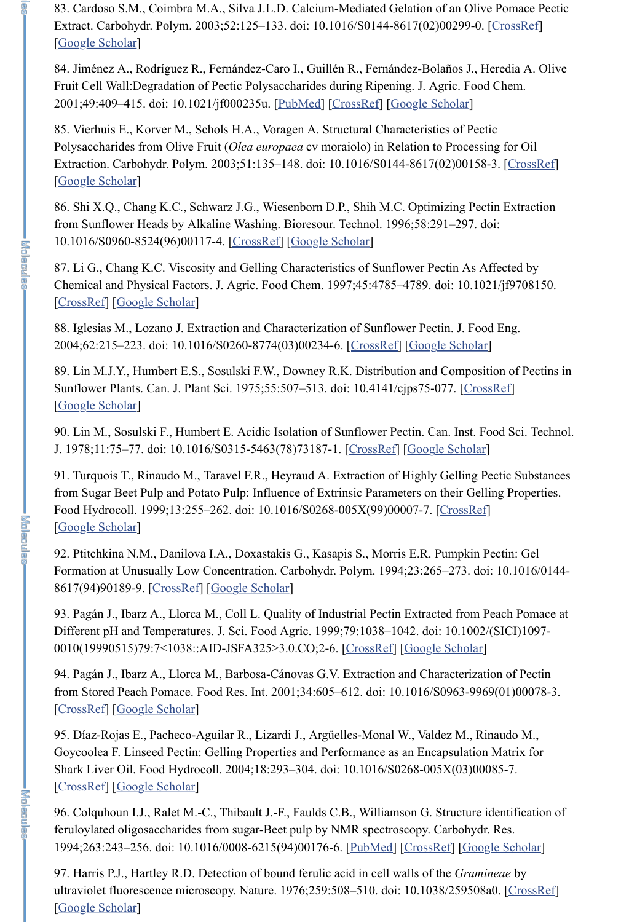83. Cardoso S.M., Coimbra M.A., Silva J.L.D. Calcium-Mediated Gelation of an Olive Pomace Pectic Extract. Carbohydr. Polym. 2003;52:125–133. doi: 10.1016/S0144-8617(02)00299-0. [CrossRef] [Google Scholar]

84. Jiménez A., Rodríguez R., Fernández-Caro I., Guillén R., Fernández-Bolaños J., Heredia A. Olive Fruit Cell Wall:Degradation of Pectic Polysaccharides during Ripening. J. Agric. Food Chem. 2001;49:409–415. doi: 10.1021/jf000235u. [PubMed] [CrossRef] [Google Scholar]

85. Vierhuis E., Korver M., Schols H.A., Voragen A. Structural Characteristics of Pectic Polysaccharides from Olive Fruit (*Olea europaea* cv moraiolo) in Relation to Processing for Oil Extraction. Carbohydr. Polym. 2003;51:135–148. doi: 10.1016/S0144-8617(02)00158-3. [CrossRef] [Google Scholar]

86. Shi X.Q., Chang K.C., Schwarz J.G., Wiesenborn D.P., Shih M.C. Optimizing Pectin Extraction from Sunflower Heads by Alkaline Washing. Bioresour. Technol. 1996;58:291–297. doi: 10.1016/S0960-8524(96)00117-4. [CrossRef] [Google Scholar]

91. Turquois T., Rinaudo M., Taravel F.R., Heyraud A. Extraction of Highly Gelling Pectic Substances from Sugar Beet Pulp and Potato Pulp: Influence of Extrinsic Parameters on their Gelling Properties. Food Hydrocoll. 1999;13:255–262. doi: 10.1016/S0268-005X(99)00007-7. [CrossRef] [Google Scholar]

87. Li G., Chang K.C. Viscosity and Gelling Characteristics of Sunflower Pectin As Affected by Chemical and Physical Factors. J. Agric. Food Chem. 1997;45:4785–4789. doi: 10.1021/jf9708150. [CrossRef] [Google Scholar]

88. Iglesias M., Lozano J. Extraction and Characterization of Sunflower Pectin. J. Food Eng. 2004;62:215–223. doi: 10.1016/S0260-8774(03)00234-6. [CrossRef] [Google Scholar]

89. Lin M.J.Y., Humbert E.S., Sosulski F.W., Downey R.K. Distribution and Composition of Pectins in Sunflower Plants. Can. J. Plant Sci. 1975;55:507–513. doi: 10.4141/cjps75-077. [CrossRef] [Google Scholar]

90. Lin M., Sosulski F., Humbert E. Acidic Isolation of Sunflower Pectin. Can. Inst. Food Sci. Technol. J. 1978;11:75–77. doi: 10.1016/S0315-5463(78)73187-1. [CrossRef] [Google Scholar]

92. Ptitchkina N.M., Danilova I.A., Doxastakis G., Kasapis S., Morris E.R. Pumpkin Pectin: Gel Formation at Unusually Low Concentration. Carbohydr. Polym. 1994;23:265–273. doi: 10.1016/0144- 8617(94)90189-9. [CrossRef] [Google Scholar]

93. Pagán J., Ibarz A., Llorca M., Coll L. Quality of Industrial Pectin Extracted from Peach Pomace at Different pH and Temperatures. J. Sci. Food Agric. 1999;79:1038–1042. doi: 10.1002/(SICI)1097- 0010(19990515)79:7<1038::AID-JSFA325>3.0.CO;2-6. [CrossRef] [Google Scholar]

94. Pagán J., Ibarz A., Llorca M., Barbosa-Cánovas G.V. Extraction and Characterization of Pectin from Stored Peach Pomace. Food Res. Int. 2001;34:605–612. doi: 10.1016/S0963-9969(01)00078-3.

**DEALER** 

**I with and a** 

# [CrossRef] [Google Scholar]

95. Díaz-Rojas E., Pacheco-Aguilar R., Lizardi J., Argüelles-Monal W., Valdez M., Rinaudo M., Goycoolea F. Linseed Pectin: Gelling Properties and Performance as an Encapsulation Matrix for Shark Liver Oil. Food Hydrocoll. 2004;18:293–304. doi: 10.1016/S0268-005X(03)00085-7. [CrossRef] [Google Scholar]

96. Colquhoun I.J., Ralet M.-C., Thibault J.-F., Faulds C.B., Williamson G. Structure identification of feruloylated oligosaccharides from sugar-Beet pulp by NMR spectroscopy. Carbohydr. Res. 1994;263:243–256. doi: 10.1016/0008-6215(94)00176-6. [PubMed] [CrossRef] [Google Scholar]

97. Harris P.J., Hartley R.D. Detection of bound ferulic acid in cell walls of the *Gramineae* by ultraviolet fluorescence microscopy. Nature. 1976;259:508-510. doi: 10.1038/259508a0. [CrossRef] [Google Scholar]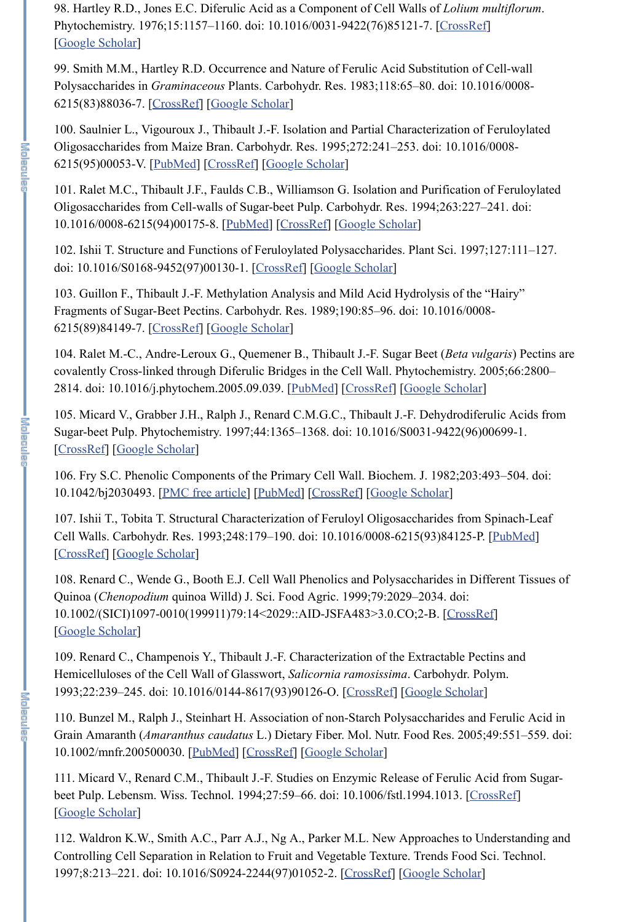98. Hartley R.D., Jones E.C. Diferulic Acid as a Component of Cell Walls of *Lolium multiflorum*. Phytochemistry. 1976;15:1157-1160. doi: 10.1016/0031-9422(76)85121-7. [CrossRef] [Google Scholar]

99. Smith M.M., Hartley R.D. Occurrence and Nature of Ferulic Acid Substitution of Cell-wall Polysaccharides in *Graminaceous* Plants. Carbohydr. Res. 1983;118:65–80. doi: 10.1016/0008- 6215(83)88036-7. [CrossRef] [Google Scholar]

100. Saulnier L., Vigouroux J., Thibault J.-F. Isolation and Partial Characterization of Feruloylated Oligosaccharides from Maize Bran. Carbohydr. Res. 1995;272:241–253. doi: 10.1016/0008- 6215(95)00053-V. [PubMed] [CrossRef] [Google Scholar]

101. Ralet M.C., Thibault J.F., Faulds C.B., Williamson G. Isolation and Purification of Feruloylated Oligosaccharides from Cell-walls of Sugar-beet Pulp. Carbohydr. Res. 1994;263:227–241. doi: 10.1016/0008-6215(94)00175-8. [PubMed] [CrossRef] [Google Scholar]

102. Ishii T. Structure and Functions of Feruloylated Polysaccharides. Plant Sci. 1997;127:111–127. doi: 10.1016/S0168-9452(97)00130-1. [CrossRef] [Google Scholar]

108. Renard C., Wende G., Booth E.J. Cell Wall Phenolics and Polysaccharides in Different Tissues of Quinoa (*Chenopodium* quinoa Willd) J. Sci. Food Agric. 1999;79:2029–2034. doi: 10.1002/(SICI)1097-0010(199911)79:14<2029::AID-JSFA483>3.0.CO;2-B. [CrossRef] [Google Scholar]

103. Guillon F., Thibault J.-F. Methylation Analysis and Mild Acid Hydrolysis of the "Hairy" Fragments of Sugar-Beet Pectins. Carbohydr. Res. 1989;190:85–96. doi: 10.1016/0008- 6215(89)84149-7. [CrossRef] [Google Scholar]

104. Ralet M.-C., Andre-Leroux G., Quemener B., Thibault J.-F. Sugar Beet (*Beta vulgaris*) Pectins are covalently Cross-linked through Diferulic Bridges in the Cell Wall. Phytochemistry. 2005;66:2800– 2814. doi: 10.1016/j.phytochem.2005.09.039. [PubMed] [CrossRef] [Google Scholar]

111. Micard V., Renard C.M., Thibault J.-F. Studies on Enzymic Release of Ferulic Acid from Sugarbeet Pulp. Lebensm. Wiss. Technol. 1994;27:59–66. doi: 10.1006/fstl.1994.1013. [CrossRef] [Google Scholar]

105. Micard V., Grabber J.H., Ralph J., Renard C.M.G.C., Thibault J.-F. Dehydrodiferulic Acids from Sugar-beet Pulp. Phytochemistry. 1997;44:1365–1368. doi: 10.1016/S0031-9422(96)00699-1. [CrossRef] [Google Scholar]

106. Fry S.C. Phenolic Components of the Primary Cell Wall. Biochem. J. 1982;203:493–504. doi: 10.1042/bj2030493. [PMC free article] [PubMed] [CrossRef] [Google Scholar]

107. Ishii T., Tobita T. Structural Characterization of Feruloyl Oligosaccharides from Spinach-Leaf Cell Walls. Carbohydr. Res. 1993;248:179–190. doi: 10.1016/0008-6215(93)84125-P. [PubMed] [CrossRef] [Google Scholar]

109. Renard C., Champenois Y., Thibault J.-F. Characterization of the Extractable Pectins and Hemicelluloses of the Cell Wall of Glasswort, *Salicornia ramosissima*. Carbohydr. Polym. 1993;22:239–245. doi: 10.1016/0144-8617(93)90126-O. [CrossRef] [Google Scholar]

110. Bunzel M., Ralph J., Steinhart H. Association of non-Starch Polysaccharides and Ferulic Acid in Grain Amaranth (*Amaranthus caudatus* L.) Dietary Fiber. Mol. Nutr. Food Res. 2005;49:551–559. doi: 10.1002/mnfr.200500030. [PubMed] [CrossRef] [Google Scholar]

112. Waldron K.W., Smith A.C., Parr A.J., Ng A., Parker M.L. New Approaches to Understanding and Controlling Cell Separation in Relation to Fruit and Vegetable Texture. Trends Food Sci. Technol. 1997;8:213–221. doi: 10.1016/S0924-2244(97)01052-2. [CrossRef] [Google Scholar]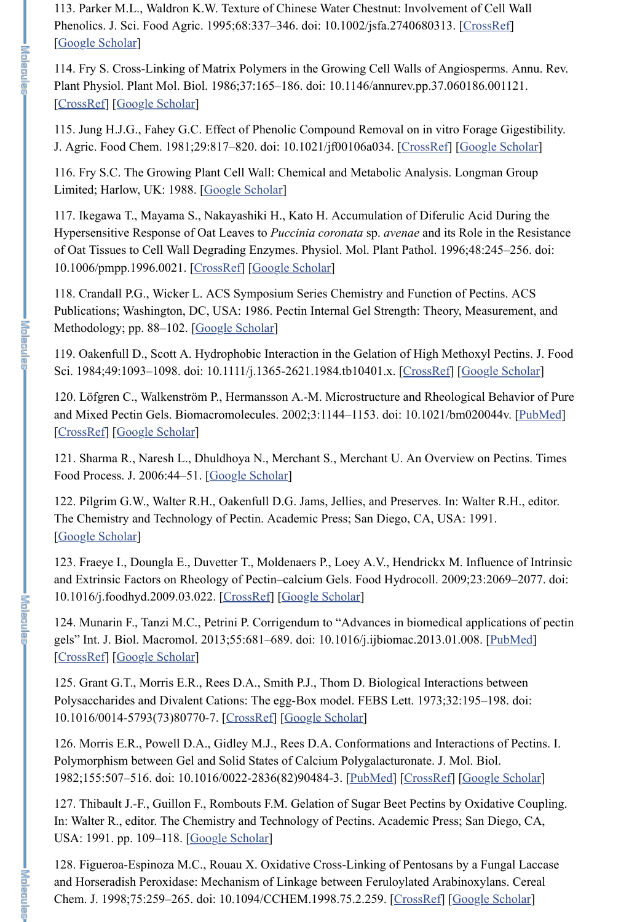113. Parker M.L., Waldron K.W. Texture of Chinese Water Chestnut: Involvement of Cell Wall Phenolics. J. Sci. Food Agric. 1995;68:337–346. doi: 10.1002/jsfa.2740680313. [CrossRef] [Google Scholar]

114. Fry S. Cross-Linking of Matrix Polymers in the Growing Cell Walls of Angiosperms. Annu. Rev. Plant Physiol. Plant Mol. Biol. 1986;37:165–186. doi: 10.1146/annurev.pp.37.060186.001121. [CrossRef] [Google Scholar]

115. Jung H.J.G., Fahey G.C. Effect of Phenolic Compound Removal on in vitro Forage Gigestibility. J. Agric. Food Chem. 1981;29:817–820. doi: 10.1021/jf00106a034. [CrossRef] [Google Scholar]

118. Crandall P.G., Wicker L. ACS Symposium Series Chemistry and Function of Pectins. ACS Publications; Washington, DC, USA: 1986. Pectin Internal Gel Strength: Theory, Measurement, and Methodology; pp. 88–102. [Google Scholar]

119. Oakenfull D., Scott A. Hydrophobic Interaction in the Gelation of High Methoxyl Pectins. J. Food Sci. 1984;49:1093-1098. doi: 10.1111/j.1365-2621.1984.tb10401.x. [CrossRef] [Google Scholar]

116. Fry S.C. The Growing Plant Cell Wall: Chemical and Metabolic Analysis. Longman Group Limited; Harlow, UK: 1988. [Google Scholar]

117. Ikegawa T., Mayama S., Nakayashiki H., Kato H. Accumulation of Diferulic Acid During the Hypersensitive Response of Oat Leaves to *Puccinia coronata* sp. *avenae* and its Role in the Resistance of Oat Tissues to Cell Wall Degrading Enzymes. Physiol. Mol. Plant Pathol. 1996;48:245–256. doi: 10.1006/pmpp.1996.0021. [CrossRef] [Google Scholar]

127. Thibault J.-F., Guillon F., Rombouts F.M. Gelation of Sugar Beet Pectins by Oxidative Coupling. In: Walter R., editor. The Chemistry and Technology of Pectins. Academic Press; San Diego, CA, USA: 1991. pp. 109–118. [Google Scholar]

120. Löfgren C., Walkenström P., Hermansson A.-M. Microstructure and Rheological Behavior of Pure and Mixed Pectin Gels. Biomacromolecules. 2002;3:1144-1153. doi: 10.1021/bm020044v. [PubMed] [CrossRef] [Google Scholar]

121. Sharma R., Naresh L., Dhuldhoya N., Merchant S., Merchant U. An Overview on Pectins. Times Food Process. J. 2006:44–51. [Google Scholar]

122. Pilgrim G.W., Walter R.H., Oakenfull D.G. Jams, Jellies, and Preserves. In: Walter R.H., editor. The Chemistry and Technology of Pectin. Academic Press; San Diego, CA, USA: 1991. [Google Scholar]

123. Fraeye I., Doungla E., Duvetter T., Moldenaers P., Loey A.V., Hendrickx M. Influence of Intrinsic and Extrinsic Factors on Rheology of Pectin–calcium Gels. Food Hydrocoll. 2009;23:2069–2077. doi: 10.1016/j.foodhyd.2009.03.022. [CrossRef] [Google Scholar]

124. Munarin F., Tanzi M.C., Petrini P. Corrigendum to "Advances in biomedical applications of pectin gels" Int. J. Biol. Macromol. 2013;55:681–689. doi: 10.1016/j.ijbiomac.2013.01.008. [PubMed] [CrossRef] [Google Scholar]

125. Grant G.T., Morris E.R., Rees D.A., Smith P.J., Thom D. Biological Interactions between Polysaccharides and Divalent Cations: The egg-Box model. FEBS Lett. 1973;32:195–198. doi:

I Kolonalo

# 10.1016/0014-5793(73)80770-7. [CrossRef] [Google Scholar]

126. Morris E.R., Powell D.A., Gidley M.J., Rees D.A. Conformations and Interactions of Pectins. I. Polymorphism between Gel and Solid States of Calcium Polygalacturonate. J. Mol. Biol. 1982;155:507–516. doi: 10.1016/0022-2836(82)90484-3. [PubMed] [CrossRef] [Google Scholar]

128. Figueroa-Espinoza M.C., Rouau X. Oxidative Cross-Linking of Pentosans by a Fungal Laccase and Horseradish Peroxidase: Mechanism of Linkage between Feruloylated Arabinoxylans. Cereal Chem. J. 1998;75:259–265. doi: 10.1094/CCHEM.1998.75.2.259. [CrossRef] [Google Scholar]

**I widingsin**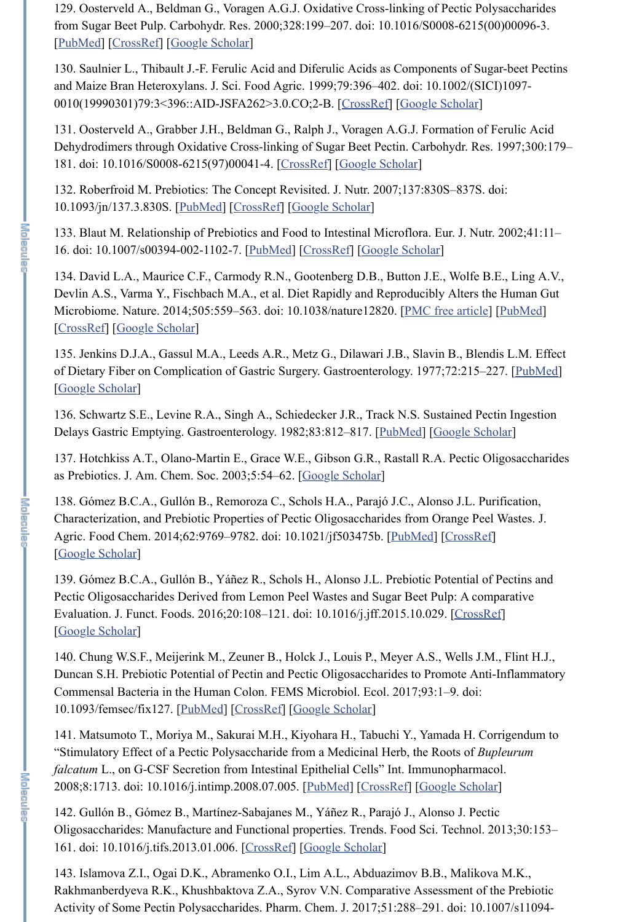129. Oosterveld A., Beldman G., Voragen A.G.J. Oxidative Cross-linking of Pectic Polysaccharides from Sugar Beet Pulp. Carbohydr. Res. 2000;328:199–207. doi: 10.1016/S0008-6215(00)00096-3. [PubMed] [CrossRef] [Google Scholar]

130. Saulnier L., Thibault J.-F. Ferulic Acid and Diferulic Acids as Components of Sugar-beet Pectins and Maize Bran Heteroxylans. J. Sci. Food Agric. 1999;79:396–402. doi: 10.1002/(SICI)1097- 0010(19990301)79:3<396::AID-JSFA262>3.0.CO;2-B. [CrossRef] [Google Scholar]

131. Oosterveld A., Grabber J.H., Beldman G., Ralph J., Voragen A.G.J. Formation of Ferulic Acid Dehydrodimers through Oxidative Cross-linking of Sugar Beet Pectin. Carbohydr. Res. 1997;300:179– 181. doi: 10.1016/S0008-6215(97)00041-4. [CrossRef] [Google Scholar]

132. Roberfroid M. Prebiotics: The Concept Revisited. J. Nutr. 2007;137:830S–837S. doi: 10.1093/jn/137.3.830S. [PubMed] [CrossRef] [Google Scholar]

138. Gómez B.C.A., Gullón B., Remoroza C., Schols H.A., Parajó J.C., Alonso J.L. Purification, Characterization, and Prebiotic Properties of Pectic Oligosaccharides from Orange Peel Wastes. J. Agric. Food Chem. 2014;62:9769–9782. doi: 10.1021/jf503475b. [PubMed] [CrossRef] [Google Scholar]

133. Blaut M. Relationship of Prebiotics and Food to Intestinal Microflora. Eur. J. Nutr. 2002;41:11– 16. doi: 10.1007/s00394-002-1102-7. [PubMed] [CrossRef] [Google Scholar]

134. David L.A., Maurice C.F., Carmody R.N., Gootenberg D.B., Button J.E., Wolfe B.E., Ling A.V., Devlin A.S., Varma Y., Fischbach M.A., et al. Diet Rapidly and Reproducibly Alters the Human Gut Microbiome. Nature. 2014;505:559–563. doi: 10.1038/nature12820. [PMC free article] [PubMed] [CrossRef] [Google Scholar]

135. Jenkins D.J.A., Gassul M.A., Leeds A.R., Metz G., Dilawari J.B., Slavin B., Blendis L.M. Effect of Dietary Fiber on Complication of Gastric Surgery. Gastroenterology. 1977;72:215-227. [PubMed] [Google Scholar]

136. Schwartz S.E., Levine R.A., Singh A., Schiedecker J.R., Track N.S. Sustained Pectin Ingestion Delays Gastric Emptying. Gastroenterology. 1982;83:812–817. [PubMed] [Google Scholar]

137. Hotchkiss A.T., Olano-Martin E., Grace W.E., Gibson G.R., Rastall R.A. Pectic Oligosaccharides as Prebiotics. J. Am. Chem. Soc. 2003;5:54–62. [Google Scholar]

139. Gómez B.C.A., Gullón B., Yáñez R., Schols H., Alonso J.L. Prebiotic Potential of Pectins and Pectic Oligosaccharides Derived from Lemon Peel Wastes and Sugar Beet Pulp: A comparative Evaluation. J. Funct. Foods. 2016;20:108–121. doi: 10.1016/j.jff.2015.10.029. [CrossRef] [Google Scholar]

140. Chung W.S.F., Meijerink M., Zeuner B., Holck J., Louis P., Meyer A.S., Wells J.M., Flint H.J., Duncan S.H. Prebiotic Potential of Pectin and Pectic Oligosaccharides to Promote Anti-Inflammatory Commensal Bacteria in the Human Colon. FEMS Microbiol. Ecol. 2017;93:1–9. doi:

**I Kiningela** 

10.1093/femsec/fix127. [PubMed] [CrossRef] [Google Scholar]

141. Matsumoto T., Moriya M., Sakurai M.H., Kiyohara H., Tabuchi Y., Yamada H. Corrigendum to "Stimulatory Effect of a Pectic Polysaccharide from a Medicinal Herb, the Roots of *Bupleurum falcatum* L., on G-CSF Secretion from Intestinal Epithelial Cells" Int. Immunopharmacol. 2008;8:1713. doi: 10.1016/j.intimp.2008.07.005. [PubMed] [CrossRef] [Google Scholar]

142. Gullón B., Gómez B., Martínez-Sabajanes M., Yáñez R., Parajó J., Alonso J. Pectic Oligosaccharides: Manufacture and Functional properties. Trends. Food Sci. Technol. 2013;30:153– 161. doi: 10.1016/j.tifs.2013.01.006. [CrossRef] [Google Scholar]

143. Islamova Z.I., Ogai D.K., Abramenko O.I., Lim A.L., Abduazimov B.B., Malikova M.K., Rakhmanberdyeva R.K., Khushbaktova Z.A., Syrov V.N. Comparative Assessment of the Prebiotic Activity of Some Pectin Polysaccharides. Pharm. Chem. J. 2017;51:288–291. doi: 10.1007/s11094-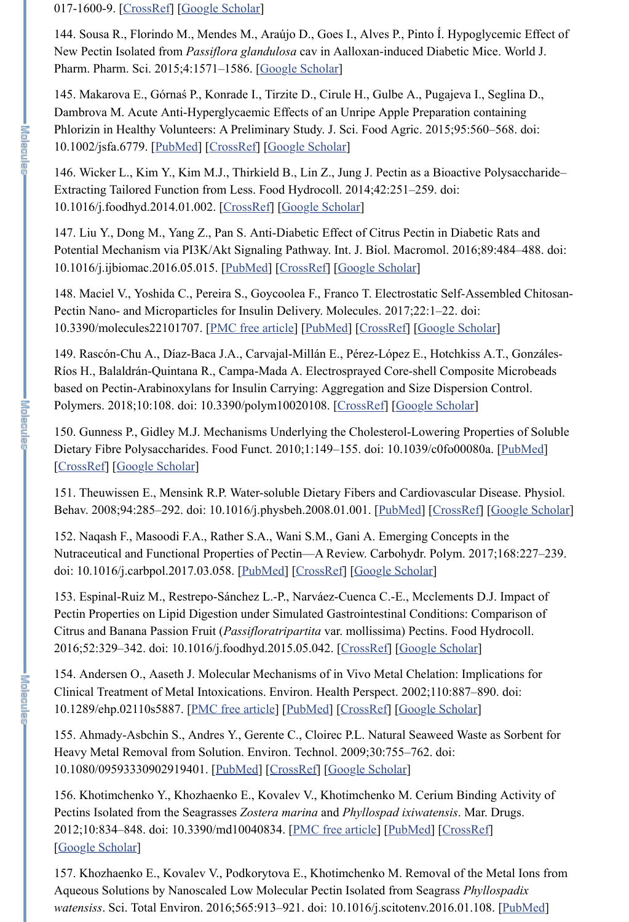#### 017-1600-9. [CrossRef] [Google Scholar]

144. Sousa R., Florindo M., Mendes M., Araújo D., Goes I., Alves P., Pinto Í. Hypoglycemic Effect of New Pectin Isolated from *Passiflora glandulosa* cav in Aalloxan-induced Diabetic Mice. World J. Pharm. Pharm. Sci. 2015;4:1571-1586. [Google Scholar]

145. Makarova E., Górnaś P., Konrade I., Tirzite D., Cirule H., Gulbe A., Pugajeva I., Seglina D., Dambrova M. Acute Anti-Hyperglycaemic Effects of an Unripe Apple Preparation containing Phlorizin in Healthy Volunteers: A Preliminary Study. J. Sci. Food Agric. 2015;95:560–568. doi: 10.1002/jsfa.6779. [PubMed] [CrossRef] [Google Scholar]

146. Wicker L., Kim Y., Kim M.J., Thirkield B., Lin Z., Jung J. Pectin as a Bioactive Polysaccharide– Extracting Tailored Function from Less. Food Hydrocoll. 2014;42:251–259. doi: 10.1016/j.foodhyd.2014.01.002. [CrossRef] [Google Scholar]

147. Liu Y., Dong M., Yang Z., Pan S. Anti-Diabetic Effect of Citrus Pectin in Diabetic Rats and Potential Mechanism via PI3K/Akt Signaling Pathway. Int. J. Biol. Macromol. 2016;89:484–488. doi: 10.1016/j.ijbiomac.2016.05.015. [PubMed] [CrossRef] [Google Scholar]

152. Naqash F., Masoodi F.A., Rather S.A., Wani S.M., Gani A. Emerging Concepts in the Nutraceutical and Functional Properties of Pectin—A Review. Carbohydr. Polym. 2017;168:227–239. doi: 10.1016/j.carbpol.2017.03.058. [PubMed] [CrossRef] [Google Scholar]

148. Maciel V., Yoshida C., Pereira S., Goycoolea F., Franco T. Electrostatic Self-Assembled Chitosan-Pectin Nano- and Microparticles for Insulin Delivery. Molecules. 2017;22:1–22. doi: 10.3390/molecules22101707. [PMC free article] [PubMed] [CrossRef] [Google Scholar]

149. Rascón-Chu A., Díaz-Baca J.A., Carvajal-Millán E., Pérez-López E., Hotchkiss A.T., Gonzáles-Ríos H., Balaldrán-Quintana R., Campa-Mada A. Electrosprayed Core-shell Composite Microbeads based on Pectin-Arabinoxylans for Insulin Carrying: Aggregation and Size Dispersion Control. Polymers. 2018;10:108. doi: 10.3390/polym10020108. [CrossRef] [Google Scholar]

156. Khotimchenko Y., Khozhaenko E., Kovalev V., Khotimchenko M. Cerium Binding Activity of Pectins Isolated from the Seagrasses *Zostera marina* and *Phyllospad ixiwatensis*. Mar. Drugs. 2012;10:834–848. doi: 10.3390/md10040834. [PMC free article] [PubMed] [CrossRef] [Google Scholar]

150. Gunness P., Gidley M.J. Mechanisms Underlying the Cholesterol-Lowering Properties of Soluble Dietary Fibre Polysaccharides. Food Funct. 2010;1:149-155. doi: 10.1039/c0fo00080a. [PubMed] [CrossRef] [Google Scholar]

151. Theuwissen E., Mensink R.P. Water-soluble Dietary Fibers and Cardiovascular Disease. Physiol. Behav. 2008;94:285–292. doi: 10.1016/j.physbeh.2008.01.001. [PubMed] [CrossRef] [Google Scholar]

153. Espinal-Ruiz M., Restrepo-Sánchez L.-P., Narváez-Cuenca C.-E., Mcclements D.J. Impact of Pectin Properties on Lipid Digestion under Simulated Gastrointestinal Conditions: Comparison of Citrus and Banana Passion Fruit (*Passifloratripartita* var. mollissima) Pectins. Food Hydrocoll. 2016;52:329–342. doi: 10.1016/j.foodhyd.2015.05.042. [CrossRef] [Google Scholar]

154. Andersen O., Aaseth J. Molecular Mechanisms of in Vivo Metal Chelation: Implications for Clinical Treatment of Metal Intoxications. Environ. Health Perspect. 2002;110:887–890. doi: 10.1289/ehp.02110s5887. [PMC free article] [PubMed] [CrossRef] [Google Scholar]

155. Ahmady-Asbchin S., Andres Y., Gerente C., Cloirec P.L. Natural Seaweed Waste as Sorbent for Heavy Metal Removal from Solution. Environ. Technol. 2009;30:755–762. doi: 10.1080/09593330902919401. [PubMed] [CrossRef] [Google Scholar]

157. Khozhaenko E., Kovalev V., Podkorytova E., Khotimchenko M. Removal of the Metal Ions from Aqueous Solutions by Nanoscaled Low Molecular Pectin Isolated from Seagrass *Phyllospadix watensiss*. Sci. Total Environ. 2016;565:913–921. doi: 10.1016/j.scitotenv.2016.01.108. [PubMed]

|客道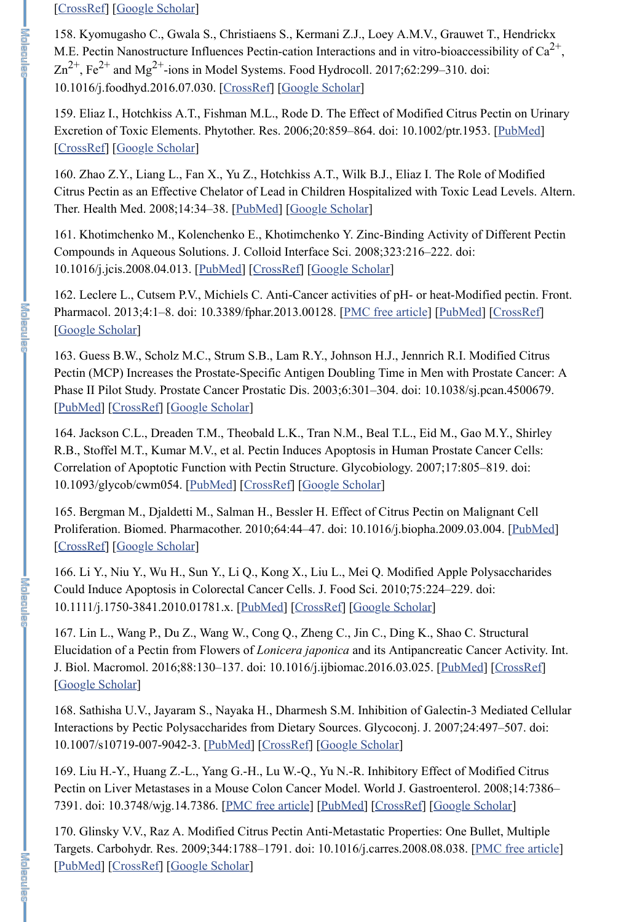## [CrossRef] [Google Scholar]

158. Kyomugasho C., Gwala S., Christiaens S., Kermani Z.J., Loey A.M.V., Grauwet T., Hendrickx M.E. Pectin Nanostructure Influences Pectin-cation Interactions and in vitro-bioaccessibility of  $Ca^{2+}$ ,  $\text{Zn}^{2+}$ , Fe<sup>2+</sup> and Mg<sup>2+</sup>-ions in Model Systems. Food Hydrocoll. 2017;62:299–310. doi: 10.1016/j.foodhyd.2016.07.030. [CrossRef] [Google Scholar]

159. Eliaz I., Hotchkiss A.T., Fishman M.L., Rode D. The Effect of Modified Citrus Pectin on Urinary Excretion of Toxic Elements. Phytother. Res. 2006;20:859–864. doi: 10.1002/ptr.1953. [PubMed] [CrossRef] [Google Scholar]

160. Zhao Z.Y., Liang L., Fan X., Yu Z., Hotchkiss A.T., Wilk B.J., Eliaz I. The Role of Modified Citrus Pectin as an Effective Chelator of Lead in Children Hospitalized with Toxic Lead Levels. Altern. Ther. Health Med. 2008;14:34–38. [PubMed] [Google Scholar]

161. Khotimchenko M., Kolenchenko E., Khotimchenko Y. Zinc-Binding Activity of Different Pectin Compounds in Aqueous Solutions. J. Colloid Interface Sci. 2008;323:216–222. doi: 10.1016/j.jcis.2008.04.013. [PubMed] [CrossRef] [Google Scholar]

162. Leclere L., Cutsem P.V., Michiels C. Anti-Cancer activities of pH- or heat-Modified pectin. Front. Pharmacol. 2013;4:1-8. doi: 10.3389/fphar.2013.00128. [PMC free article] [PubMed] [CrossRef] [Google Scholar]

163. Guess B.W., Scholz M.C., Strum S.B., Lam R.Y., Johnson H.J., Jennrich R.I. Modified Citrus Pectin (MCP) Increases the Prostate-Specific Antigen Doubling Time in Men with Prostate Cancer: A Phase II Pilot Study. Prostate Cancer Prostatic Dis. 2003;6:301–304. doi: 10.1038/sj.pcan.4500679. [PubMed] [CrossRef] [Google Scholar]

164. Jackson C.L., Dreaden T.M., Theobald L.K., Tran N.M., Beal T.L., Eid M., Gao M.Y., Shirley R.B., Stoffel M.T., Kumar M.V., et al. Pectin Induces Apoptosis in Human Prostate Cancer Cells: Correlation of Apoptotic Function with Pectin Structure. Glycobiology. 2007;17:805–819. doi: 10.1093/glycob/cwm054. [PubMed] [CrossRef] [Google Scholar]

165. Bergman M., Djaldetti M., Salman H., Bessler H. Effect of Citrus Pectin on Malignant Cell Proliferation. Biomed. Pharmacother. 2010;64:44–47. doi: 10.1016/j.biopha.2009.03.004. [PubMed] [CrossRef] [Google Scholar]

166. Li Y., Niu Y., Wu H., Sun Y., Li Q., Kong X., Liu L., Mei Q. Modified Apple Polysaccharides Could Induce Apoptosis in Colorectal Cancer Cells. J. Food Sci. 2010;75:224–229. doi: 10.1111/j.1750-3841.2010.01781.x. [PubMed] [CrossRef] [Google Scholar]

167. Lin L., Wang P., Du Z., Wang W., Cong Q., Zheng C., Jin C., Ding K., Shao C. Structural Elucidation of a Pectin from Flowers of *Lonicera japonica* and its Antipancreatic Cancer Activity. Int. J. Biol. Macromol. 2016;88:130–137. doi: 10.1016/j.ijbiomac.2016.03.025. [PubMed] [CrossRef] [Google Scholar]

168. Sathisha U.V., Jayaram S., Nayaka H., Dharmesh S.M. Inhibition of Galectin-3 Mediated Cellular Interactions by Pectic Polysaccharides from Dietary Sources. Glycoconj. J. 2007;24:497–507. doi: 10.1007/s10719-007-9042-3. [PubMed] [CrossRef] [Google Scholar]

十零百金星皇帝

**I shinneed** 

169. Liu H.-Y., Huang Z.-L., Yang G.-H., Lu W.-Q., Yu N.-R. Inhibitory Effect of Modified Citrus Pectin on Liver Metastases in a Mouse Colon Cancer Model. World J. Gastroenterol. 2008;14:7386– 7391. doi: 10.3748/wjg.14.7386. [PMC free article] [PubMed] [CrossRef] [Google Scholar]

170. Glinsky V.V., Raz A. Modified Citrus Pectin Anti-Metastatic Properties: One Bullet, Multiple Targets. Carbohydr. Res. 2009;344:1788–1791. doi: 10.1016/j.carres.2008.08.038. [PMC free article] [PubMed] [CrossRef] [Google Scholar]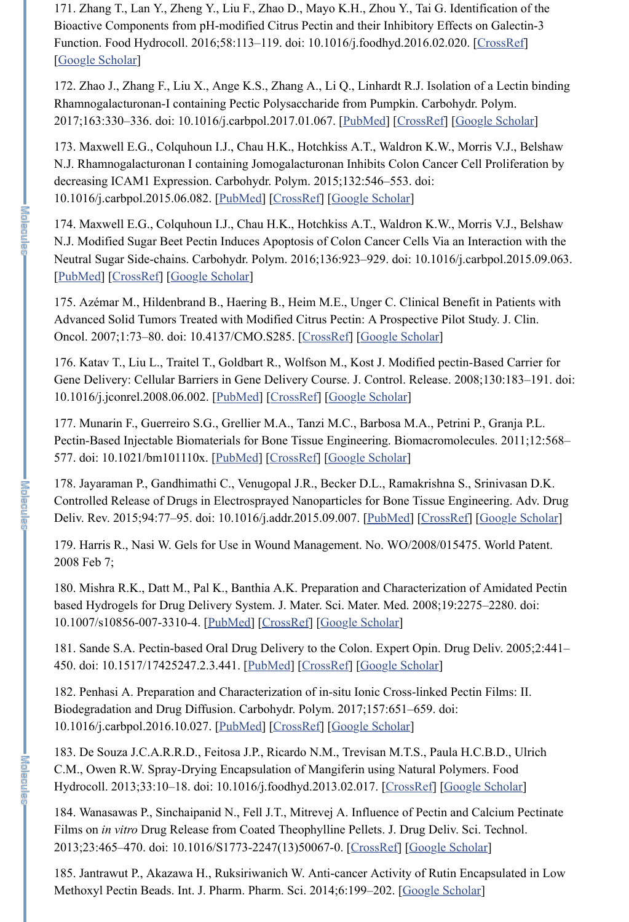171. Zhang T., Lan Y., Zheng Y., Liu F., Zhao D., Mayo K.H., Zhou Y., Tai G. Identification of the Bioactive Components from pH-modified Citrus Pectin and their Inhibitory Effects on Galectin-3 Function. Food Hydrocoll. 2016;58:113–119. doi: 10.1016/j.foodhyd.2016.02.020. [CrossRef] [Google Scholar]

172. Zhao J., Zhang F., Liu X., Ange K.S., Zhang A., Li Q., Linhardt R.J. Isolation of a Lectin binding Rhamnogalacturonan-I containing Pectic Polysaccharide from Pumpkin. Carbohydr. Polym. 2017;163:330–336. doi: 10.1016/j.carbpol.2017.01.067. [PubMed] [CrossRef] [Google Scholar]

173. Maxwell E.G., Colquhoun I.J., Chau H.K., Hotchkiss A.T., Waldron K.W., Morris V.J., Belshaw N.J. Rhamnogalacturonan I containing Jomogalacturonan Inhibits Colon Cancer Cell Proliferation by decreasing ICAM1 Expression. Carbohydr. Polym. 2015;132:546–553. doi: 10.1016/j.carbpol.2015.06.082. [PubMed] [CrossRef] [Google Scholar]

174. Maxwell E.G., Colquhoun I.J., Chau H.K., Hotchkiss A.T., Waldron K.W., Morris V.J., Belshaw N.J. Modified Sugar Beet Pectin Induces Apoptosis of Colon Cancer Cells Via an Interaction with the Neutral Sugar Side-chains. Carbohydr. Polym. 2016;136:923–929. doi: 10.1016/j.carbpol.2015.09.063. [PubMed] [CrossRef] [Google Scholar]

175. Azémar M., Hildenbrand B., Haering B., Heim M.E., Unger C. Clinical Benefit in Patients with Advanced Solid Tumors Treated with Modified Citrus Pectin: A Prospective Pilot Study. J. Clin. Oncol. 2007;1:73–80. doi: 10.4137/CMO.S285. [CrossRef] [Google Scholar]

176. Katav T., Liu L., Traitel T., Goldbart R., Wolfson M., Kost J. Modified pectin-Based Carrier for Gene Delivery: Cellular Barriers in Gene Delivery Course. J. Control. Release. 2008;130:183–191. doi: 10.1016/j.jconrel.2008.06.002. [PubMed] [CrossRef] [Google Scholar]

185. Jantrawut P., Akazawa H., Ruksiriwanich W. Anti-cancer Activity of Rutin Encapsulated in Low Methoxyl Pectin Beads. Int. J. Pharm. Pharm. Sci. 2014;6:199-202. [Google Scholar]

**I Kiningela** 

177. Munarin F., Guerreiro S.G., Grellier M.A., Tanzi M.C., Barbosa M.A., Petrini P., Granja P.L. Pectin-Based Injectable Biomaterials for Bone Tissue Engineering. Biomacromolecules. 2011;12:568– 577. doi: 10.1021/bm101110x. [PubMed] [CrossRef] [Google Scholar]

178. Jayaraman P., Gandhimathi C., Venugopal J.R., Becker D.L., Ramakrishna S., Srinivasan D.K. Controlled Release of Drugs in Electrosprayed Nanoparticles for Bone Tissue Engineering. Adv. Drug Deliv. Rev. 2015;94:77–95. doi: 10.1016/j.addr.2015.09.007. [PubMed] [CrossRef] [Google Scholar]

179. Harris R., Nasi W. Gels for Use in Wound Management. No. WO/2008/015475. World Patent. 2008 Feb 7;

180. Mishra R.K., Datt M., Pal K., Banthia A.K. Preparation and Characterization of Amidated Pectin based Hydrogels for Drug Delivery System. J. Mater. Sci. Mater. Med. 2008;19:2275–2280. doi: 10.1007/s10856-007-3310-4. [PubMed] [CrossRef] [Google Scholar]

181. Sande S.A. Pectin-based Oral Drug Delivery to the Colon. Expert Opin. Drug Deliv. 2005;2:441– 450. doi: 10.1517/17425247.2.3.441. [PubMed] [CrossRef] [Google Scholar]

182. Penhasi A. Preparation and Characterization of in-situ Ionic Cross-linked Pectin Films: II.

Biodegradation and Drug Diffusion. Carbohydr. Polym. 2017;157:651–659. doi: 10.1016/j.carbpol.2016.10.027. [PubMed] [CrossRef] [Google Scholar]

183. De Souza J.C.A.R.R.D., Feitosa J.P., Ricardo N.M., Trevisan M.T.S., Paula H.C.B.D., Ulrich C.M., Owen R.W. Spray-Drying Encapsulation of Mangiferin using Natural Polymers. Food Hydrocoll. 2013;33:10–18. doi: 10.1016/j.foodhyd.2013.02.017. [CrossRef] [Google Scholar]

184. Wanasawas P., Sinchaipanid N., Fell J.T., Mitrevej A. Influence of Pectin and Calcium Pectinate Films on *in vitro* Drug Release from Coated Theophylline Pellets. J. Drug Deliv. Sci. Technol. 2013;23:465–470. doi: 10.1016/S1773-2247(13)50067-0. [CrossRef] [Google Scholar]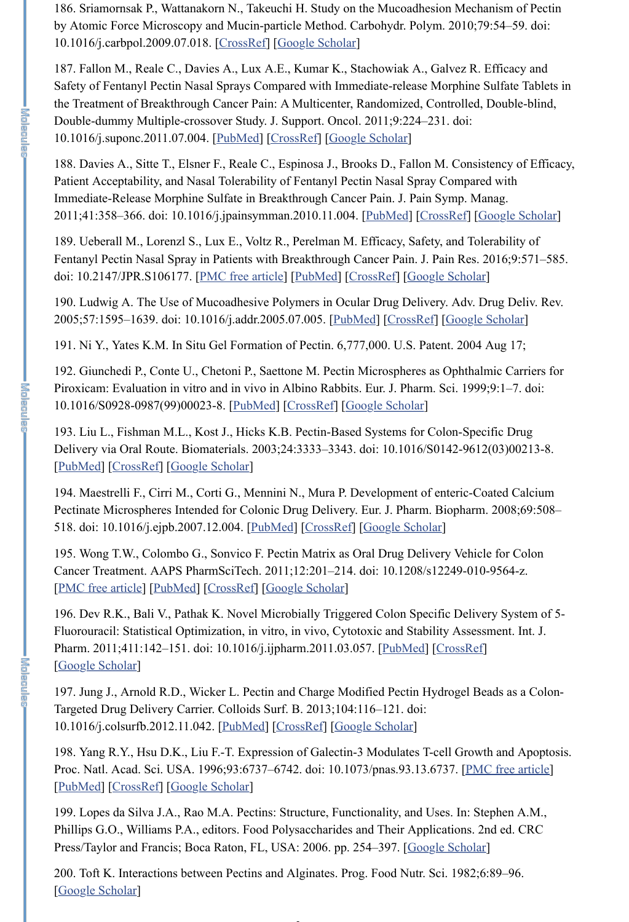186. Sriamornsak P., Wattanakorn N., Takeuchi H. Study on the Mucoadhesion Mechanism of Pectin by Atomic Force Microscopy and Mucin-particle Method. Carbohydr. Polym. 2010;79:54–59. doi: 10.1016/j.carbpol.2009.07.018. [CrossRef] [Google Scholar]

187. Fallon M., Reale C., Davies A., Lux A.E., Kumar K., Stachowiak A., Galvez R. Efficacy and Safety of Fentanyl Pectin Nasal Sprays Compared with Immediate-release Morphine Sulfate Tablets in the Treatment of Breakthrough Cancer Pain: A Multicenter, Randomized, Controlled, Double-blind, Double-dummy Multiple-crossover Study. J. Support. Oncol. 2011;9:224–231. doi: 10.1016/j.suponc.2011.07.004. [PubMed] [CrossRef] [Google Scholar]

189. Ueberall M., Lorenzl S., Lux E., Voltz R., Perelman M. Efficacy, Safety, and Tolerability of Fentanyl Pectin Nasal Spray in Patients with Breakthrough Cancer Pain. J. Pain Res. 2016;9:571–585. doi: 10.2147/JPR.S106177. [PMC free article] [PubMed] [CrossRef] [Google Scholar]

188. Davies A., Sitte T., Elsner F., Reale C., Espinosa J., Brooks D., Fallon M. Consistency of Efficacy, Patient Acceptability, and Nasal Tolerability of Fentanyl Pectin Nasal Spray Compared with Immediate-Release Morphine Sulfate in Breakthrough Cancer Pain. J. Pain Symp. Manag. 2011;41:358–366. doi: 10.1016/j.jpainsymman.2010.11.004. [PubMed] [CrossRef] [Google Scholar]

190. Ludwig A. The Use of Mucoadhesive Polymers in Ocular Drug Delivery. Adv. Drug Deliv. Rev. 2005;57:1595–1639. doi: 10.1016/j.addr.2005.07.005. [PubMed] [CrossRef] [Google Scholar]

191. Ni Y., Yates K.M. In Situ Gel Formation of Pectin. 6,777,000. U.S. Patent. 2004 Aug 17;

199. Lopes da Silva J.A., Rao M.A. Pectins: Structure, Functionality, and Uses. In: Stephen A.M., Phillips G.O., Williams P.A., editors. Food Polysaccharides and Their Applications. 2nd ed. CRC Press/Taylor and Francis; Boca Raton, FL, USA: 2006. pp. 254–397. [Google Scholar]

192. Giunchedi P., Conte U., Chetoni P., Saettone M. Pectin Microspheres as Ophthalmic Carriers for Piroxicam: Evaluation in vitro and in vivo in Albino Rabbits. Eur. J. Pharm. Sci. 1999;9:1–7. doi: 10.1016/S0928-0987(99)00023-8. [PubMed] [CrossRef] [Google Scholar]

200. Toft K. Interactions between Pectins and Alginates. Prog. Food Nutr. Sci. 1982;6:89–96. [Google Scholar]

193. Liu L., Fishman M.L., Kost J., Hicks K.B. Pectin-Based Systems for Colon-Specific Drug Delivery via Oral Route. Biomaterials. 2003;24:3333–3343. doi: 10.1016/S0142-9612(03)00213-8. [PubMed] [CrossRef] [Google Scholar]

194. Maestrelli F., Cirri M., Corti G., Mennini N., Mura P. Development of enteric-Coated Calcium Pectinate Microspheres Intended for Colonic Drug Delivery. Eur. J. Pharm. Biopharm. 2008;69:508– 518. doi: 10.1016/j.ejpb.2007.12.004. [PubMed] [CrossRef] [Google Scholar]

195. Wong T.W., Colombo G., Sonvico F. Pectin Matrix as Oral Drug Delivery Vehicle for Colon Cancer Treatment. AAPS PharmSciTech. 2011;12:201–214. doi: 10.1208/s12249-010-9564-z. [PMC free article] [PubMed] [CrossRef] [Google Scholar]

196. Dev R.K., Bali V., Pathak K. Novel Microbially Triggered Colon Specific Delivery System of 5- Fluorouracil: Statistical Optimization, in vitro, in vivo, Cytotoxic and Stability Assessment. Int. J. Pharm. 2011;411:142-151. doi: 10.1016/j.ijpharm.2011.03.057. [PubMed] [CrossRef] [Google Scholar]

197. Jung J., Arnold R.D., Wicker L. Pectin and Charge Modified Pectin Hydrogel Beads as a Colon-Targeted Drug Delivery Carrier. Colloids Surf. B. 2013;104:116–121. doi: 10.1016/j.colsurfb.2012.11.042. [PubMed] [CrossRef] [Google Scholar]

【圣草属型

- 医直面足量

198. Yang R.Y., Hsu D.K., Liu F.-T. Expression of Galectin-3 Modulates T-cell Growth and Apoptosis. Proc. Natl. Acad. Sci. USA. 1996;93:6737–6742. doi: 10.1073/pnas.93.13.6737. [PMC free article] [PubMed] [CrossRef] [Google Scholar]

2+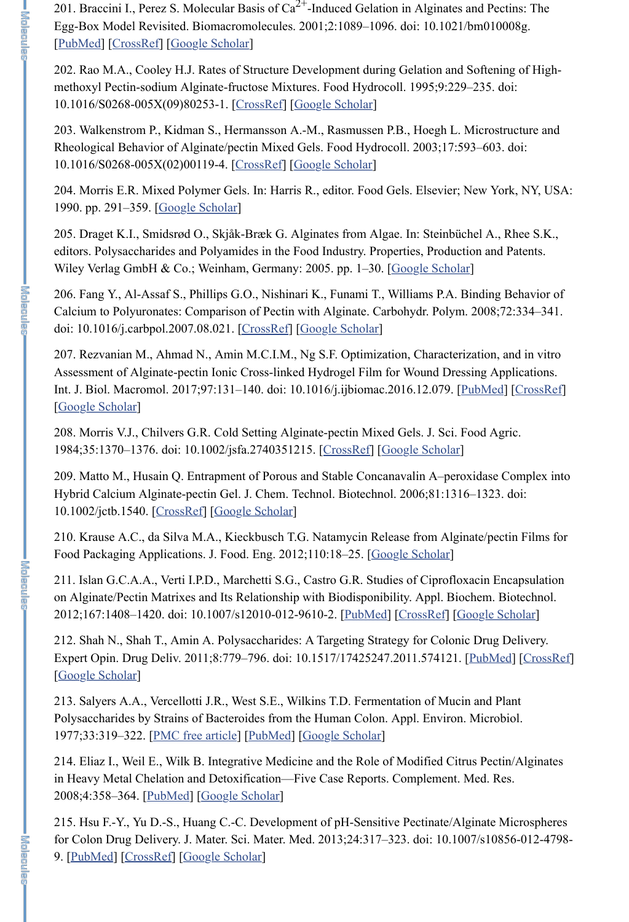201. Braccini I., Perez S. Molecular Basis of  $Ca^{2+}$ -Induced Gelation in Alginates and Pectins: The Egg-Box Model Revisited. Biomacromolecules. 2001;2:1089–1096. doi: 10.1021/bm010008g. [PubMed] [CrossRef] [Google Scholar]

202. Rao M.A., Cooley H.J. Rates of Structure Development during Gelation and Softening of Highmethoxyl Pectin-sodium Alginate-fructose Mixtures. Food Hydrocoll. 1995;9:229–235. doi: 10.1016/S0268-005X(09)80253-1. [CrossRef] [Google Scholar]

205. Draget K.I., Smidsrød O., Skjåk-Bræk G. Alginates from Algae. In: Steinbüchel A., Rhee S.K., editors. Polysaccharides and Polyamides in the Food Industry. Properties, Production and Patents. Wiley Verlag GmbH & Co.; Weinham, Germany: 2005. pp. 1-30. [Google Scholar]

203. Walkenstrom P., Kidman S., Hermansson A.-M., Rasmussen P.B., Hoegh L. Microstructure and Rheological Behavior of Alginate/pectin Mixed Gels. Food Hydrocoll. 2003;17:593–603. doi: 10.1016/S0268-005X(02)00119-4. [CrossRef] [Google Scholar]

207. Rezvanian M., Ahmad N., Amin M.C.I.M., Ng S.F. Optimization, Characterization, and in vitro Assessment of Alginate-pectin Ionic Cross-linked Hydrogel Film for Wound Dressing Applications. Int. J. Biol. Macromol. 2017;97:131–140. doi: 10.1016/j.ijbiomac.2016.12.079. [PubMed] [CrossRef] [Google Scholar]

204. Morris E.R. Mixed Polymer Gels. In: Harris R., editor. Food Gels. Elsevier; New York, NY, USA: 1990. pp. 291–359. [Google Scholar]

210. Krause A.C., da Silva M.A., Kieckbusch T.G. Natamycin Release from Alginate/pectin Films for Food Packaging Applications. J. Food. Eng. 2012;110:18-25. [Google Scholar]

206. Fang Y., Al-Assaf S., Phillips G.O., Nishinari K., Funami T., Williams P.A. Binding Behavior of Calcium to Polyuronates: Comparison of Pectin with Alginate. Carbohydr. Polym. 2008;72:334–341. doi: 10.1016/j.carbpol.2007.08.021. [CrossRef] [Google Scholar]

208. Morris V.J., Chilvers G.R. Cold Setting Alginate-pectin Mixed Gels. J. Sci. Food Agric. 1984;35:1370–1376. doi: 10.1002/jsfa.2740351215. [CrossRef] [Google Scholar]

209. Matto M., Husain Q. Entrapment of Porous and Stable Concanavalin A–peroxidase Complex into Hybrid Calcium Alginate-pectin Gel. J. Chem. Technol. Biotechnol. 2006;81:1316–1323. doi: 10.1002/jctb.1540. [CrossRef] [Google Scholar]

211. Islan G.C.A.A., Verti I.P.D., Marchetti S.G., Castro G.R. Studies of Ciprofloxacin Encapsulation on Alginate/Pectin Matrixes and Its Relationship with Biodisponibility. Appl. Biochem. Biotechnol. 2012;167:1408–1420. doi: 10.1007/s12010-012-9610-2. [PubMed] [CrossRef] [Google Scholar]

212. Shah N., Shah T., Amin A. Polysaccharides: A Targeting Strategy for Colonic Drug Delivery. Expert Opin. Drug Deliv. 2011;8:779–796. doi: 10.1517/17425247.2011.574121. [PubMed] [CrossRef] [Google Scholar]

213. Salyers A.A., Vercellotti J.R., West S.E., Wilkins T.D. Fermentation of Mucin and Plant

Polysaccharides by Strains of Bacteroides from the Human Colon. Appl. Environ. Microbiol. 1977;33:319–322. [PMC free article] [PubMed] [Google Scholar]

214. Eliaz I., Weil E., Wilk B. Integrative Medicine and the Role of Modified Citrus Pectin/Alginates in Heavy Metal Chelation and Detoxification—Five Case Reports. Complement. Med. Res. 2008;4:358–364. [PubMed] [Google Scholar]

215. Hsu F.-Y., Yu D.-S., Huang C.-C. Development of pH-Sensitive Pectinate/Alginate Microspheres for Colon Drug Delivery. J. Mater. Sci. Mater. Med. 2013;24:317–323. doi: 10.1007/s10856-012-4798- 9. [PubMed] [CrossRef] [Google Scholar]

<u>I ved ander</u>

**I**<br>Speels

 $\frac{1}{2}$  is a set of  $\frac{1}{2}$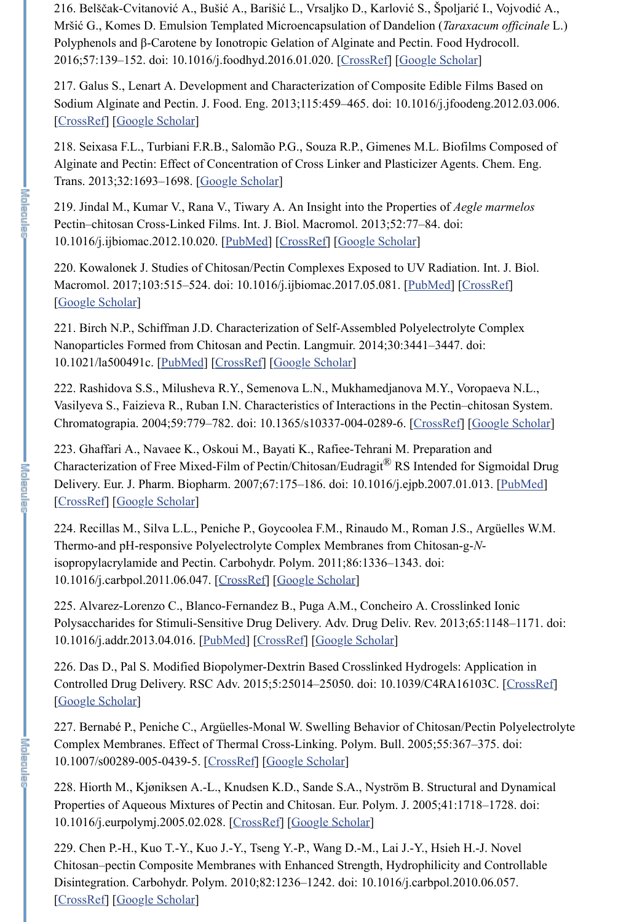216. Belščak-Cvitanović A., Bušić A., Barišić L., Vrsaljko D., Karlović S., Špoljarić I., Vojvodić A., Mršić G., Komes D. Emulsion Templated Microencapsulation of Dandelion (*Taraxacum officinale* L.) Polyphenols and β-Carotene by Ionotropic Gelation of Alginate and Pectin. Food Hydrocoll. 2016;57:139–152. doi: 10.1016/j.foodhyd.2016.01.020. [CrossRef] [Google Scholar]

217. Galus S., Lenart A. Development and Characterization of Composite Edible Films Based on Sodium Alginate and Pectin. J. Food. Eng. 2013;115:459–465. doi: 10.1016/j.jfoodeng.2012.03.006. [CrossRef] [Google Scholar]

218. Seixasa F.L., Turbiani F.R.B., Salomão P.G., Souza R.P., Gimenes M.L. Biofilms Composed of Alginate and Pectin: Effect of Concentration of Cross Linker and Plasticizer Agents. Chem. Eng. Trans. 2013;32:1693–1698. [Google Scholar]

219. Jindal M., Kumar V., Rana V., Tiwary A. An Insight into the Properties of *Aegle marmelos* Pectin–chitosan Cross-Linked Films. Int. J. Biol. Macromol. 2013;52:77–84. doi: 10.1016/j.ijbiomac.2012.10.020. [PubMed] [CrossRef] [Google Scholar]

220. Kowalonek J. Studies of Chitosan/Pectin Complexes Exposed to UV Radiation. Int. J. Biol. Macromol. 2017;103:515–524. doi: 10.1016/j.ijbiomac.2017.05.081. [PubMed] [CrossRef] [Google Scholar]

221. Birch N.P., Schiffman J.D. Characterization of Self-Assembled Polyelectrolyte Complex Nanoparticles Formed from Chitosan and Pectin. Langmuir. 2014;30:3441–3447. doi: 10.1021/la500491c. [PubMed] [CrossRef] [Google Scholar]

222. Rashidova S.S., Milusheva R.Y., Semenova L.N., Mukhamedjanova M.Y., Voropaeva N.L., Vasilyeva S., Faizieva R., Ruban I.N. Characteristics of Interactions in the Pectin–chitosan System. Chromatograpia. 2004;59:779–782. doi: 10.1365/s10337-004-0289-6. [CrossRef] [Google Scholar]

223. Ghaffari A., Navaee K., Oskoui M., Bayati K., Rafiee-Tehrani M. Preparation and Characterization of Free Mixed-Film of Pectin/Chitosan/Eudragit<sup>®</sup> RS Intended for Sigmoidal Drug Delivery. Eur. J. Pharm. Biopharm. 2007;67:175–186. doi: 10.1016/j.ejpb.2007.01.013. [PubMed] [CrossRef] [Google Scholar]

224. Recillas M., Silva L.L., Peniche P., Goycoolea F.M., Rinaudo M., Roman J.S., Argüelles W.M. Thermo-and pH-responsive Polyelectrolyte Complex Membranes from Chitosan-g-*N*isopropylacrylamide and Pectin. Carbohydr. Polym. 2011;86:1336–1343. doi: 10.1016/j.carbpol.2011.06.047. [CrossRef] [Google Scholar]

225. Alvarez-Lorenzo C., Blanco-Fernandez B., Puga A.M., Concheiro A. Crosslinked Ionic Polysaccharides for Stimuli-Sensitive Drug Delivery. Adv. Drug Deliv. Rev. 2013;65:1148–1171. doi: 10.1016/j.addr.2013.04.016. [PubMed] [CrossRef] [Google Scholar]

226. Das D., Pal S. Modified Biopolymer-Dextrin Based Crosslinked Hydrogels: Application in Controlled Drug Delivery. RSC Adv. 2015;5:25014–25050. doi: 10.1039/C4RA16103C. [CrossRef] [Google Scholar]

227. Bernabé P., Peniche C., Argüelles-Monal W. Swelling Behavior of Chitosan/Pectin Polyelectrolyte Complex Membranes. Effect of Thermal Cross-Linking. Polym. Bull. 2005;55:367–375. doi: 10.1007/s00289-005-0439-5. [CrossRef] [Google Scholar]

228. Hiorth M., Kjøniksen A.-L., Knudsen K.D., Sande S.A., Nyström B. Structural and Dynamical Properties of Aqueous Mixtures of Pectin and Chitosan. Eur. Polym. J. 2005;41:1718–1728. doi: 10.1016/j.eurpolymj.2005.02.028. [CrossRef] [Google Scholar]

229. Chen P.-H., Kuo T.-Y., Kuo J.-Y., Tseng Y.-P., Wang D.-M., Lai J.-Y., Hsieh H.-J. Novel Chitosan–pectin Composite Membranes with Enhanced Strength, Hydrophilicity and Controllable Disintegration. Carbohydr. Polym. 2010;82:1236–1242. doi: 10.1016/j.carbpol.2010.06.057. [CrossRef] [Google Scholar]

- 李宣通是三面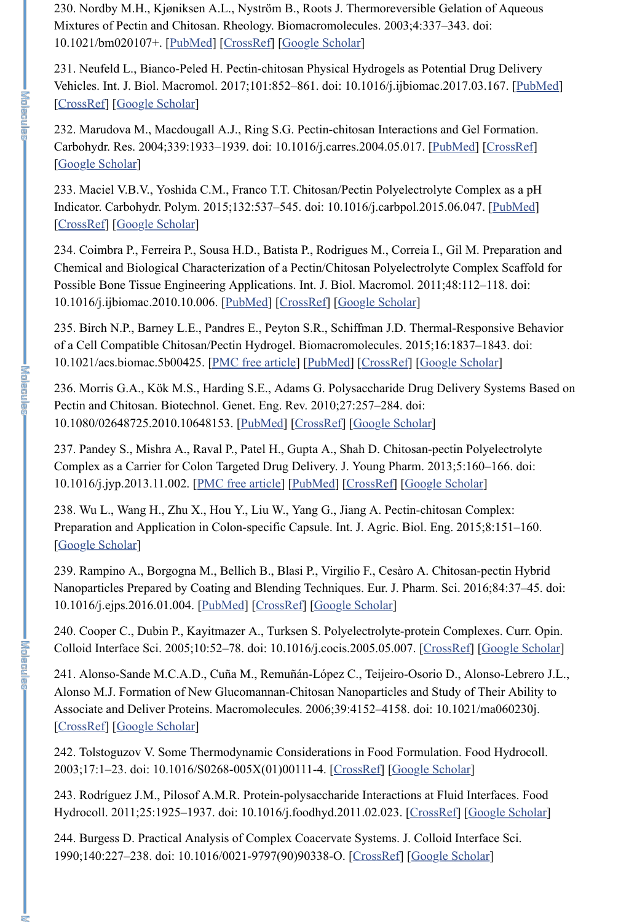230. Nordby M.H., Kjøniksen A.L., Nyström B., Roots J. Thermoreversible Gelation of Aqueous Mixtures of Pectin and Chitosan. Rheology. Biomacromolecules. 2003;4:337–343. doi: 10.1021/bm020107+. [PubMed] [CrossRef] [Google Scholar]

231. Neufeld L., Bianco-Peled H. Pectin-chitosan Physical Hydrogels as Potential Drug Delivery Vehicles. Int. J. Biol. Macromol. 2017;101:852–861. doi: 10.1016/j.ijbiomac.2017.03.167. [PubMed] [CrossRef] [Google Scholar]

232. Marudova M., Macdougall A.J., Ring S.G. Pectin-chitosan Interactions and Gel Formation. Carbohydr. Res. 2004;339:1933–1939. doi: 10.1016/j.carres.2004.05.017. [PubMed] [CrossRef] [Google Scholar]

233. Maciel V.B.V., Yoshida C.M., Franco T.T. Chitosan/Pectin Polyelectrolyte Complex as a pH Indicator. Carbohydr. Polym. 2015;132:537–545. doi: 10.1016/j.carbpol.2015.06.047. [PubMed] [CrossRef] [Google Scholar]

234. Coimbra P., Ferreira P., Sousa H.D., Batista P., Rodrigues M., Correia I., Gil M. Preparation and Chemical and Biological Characterization of a Pectin/Chitosan Polyelectrolyte Complex Scaffold for Possible Bone Tissue Engineering Applications. Int. J. Biol. Macromol. 2011;48:112–118. doi: 10.1016/j.ijbiomac.2010.10.006. [PubMed] [CrossRef] [Google Scholar]

235. Birch N.P., Barney L.E., Pandres E., Peyton S.R., Schiffman J.D. Thermal-Responsive Behavior of a Cell Compatible Chitosan/Pectin Hydrogel. Biomacromolecules. 2015;16:1837–1843. doi: 10.1021/acs.biomac.5b00425. [PMC free article] [PubMed] [CrossRef] [Google Scholar]

236. Morris G.A., Kӧk M.S., Harding S.E., Adams G. Polysaccharide Drug Delivery Systems Based on Pectin and Chitosan. Biotechnol. Genet. Eng. Rev. 2010;27:257–284. doi: 10.1080/02648725.2010.10648153. [PubMed] [CrossRef] [Google Scholar]

237. Pandey S., Mishra A., Raval P., Patel H., Gupta A., Shah D. Chitosan-pectin Polyelectrolyte Complex as a Carrier for Colon Targeted Drug Delivery. J. Young Pharm. 2013;5:160–166. doi: 10.1016/j.jyp.2013.11.002. [PMC free article] [PubMed] [CrossRef] [Google Scholar]

238. Wu L., Wang H., Zhu X., Hou Y., Liu W., Yang G., Jiang A. Pectin-chitosan Complex: Preparation and Application in Colon-specific Capsule. Int. J. Agric. Biol. Eng. 2015;8:151–160. [Google Scholar]

239. Rampino A., Borgogna M., Bellich B., Blasi P., Virgilio F., Cesàro A. Chitosan-pectin Hybrid Nanoparticles Prepared by Coating and Blending Techniques. Eur. J. Pharm. Sci. 2016;84:37–45. doi: 10.1016/j.ejps.2016.01.004. [PubMed] [CrossRef] [Google Scholar]

240. Cooper C., Dubin P., Kayitmazer A., Turksen S. Polyelectrolyte-protein Complexes. Curr. Opin. Colloid Interface Sci. 2005;10:52–78. doi: 10.1016/j.cocis.2005.05.007. [CrossRef] [Google Scholar]

241. Alonso-Sande M.C.A.D., Cuña M., Remuñán-López C., Teijeiro-Osorio D., Alonso-Lebrero J.L., Alonso M.J. Formation of New Glucomannan-Chitosan Nanoparticles and Study of Their Ability to Associate and Deliver Proteins. Macromolecules. 2006;39:4152–4158. doi: 10.1021/ma060230j. [CrossRef] [Google Scholar]

**I**<br>Solonelo

242. Tolstoguzov V. Some Thermodynamic Considerations in Food Formulation. Food Hydrocoll. 2003;17:1–23. doi: 10.1016/S0268-005X(01)00111-4. [CrossRef] [Google Scholar]

243. Rodríguez J.M., Pilosof A.M.R. Protein-polysaccharide Interactions at Fluid Interfaces. Food Hydrocoll. 2011;25:1925–1937. doi: 10.1016/j.foodhyd.2011.02.023. [CrossRef] [Google Scholar]

244. Burgess D. Practical Analysis of Complex Coacervate Systems. J. Colloid Interface Sci. 1990;140:227–238. doi: 10.1016/0021-9797(90)90338-O. [CrossRef] [Google Scholar]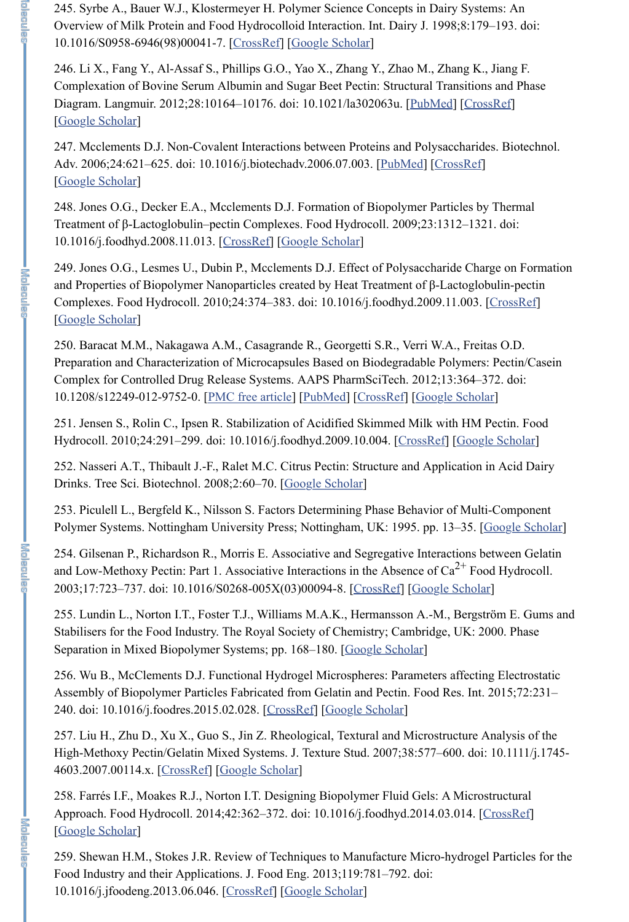245. Syrbe A., Bauer W.J., Klostermeyer H. Polymer Science Concepts in Dairy Systems: An Overview of Milk Protein and Food Hydrocolloid Interaction. Int. Dairy J. 1998;8:179–193. doi: 10.1016/S0958-6946(98)00041-7. [CrossRef] [Google Scholar]

246. Li X., Fang Y., Al-Assaf S., Phillips G.O., Yao X., Zhang Y., Zhao M., Zhang K., Jiang F. Complexation of Bovine Serum Albumin and Sugar Beet Pectin: Structural Transitions and Phase Diagram. Langmuir. 2012;28:10164–10176. doi: 10.1021/la302063u. [PubMed] [CrossRef] [Google Scholar]

247. Mcclements D.J. Non-Covalent Interactions between Proteins and Polysaccharides. Biotechnol. Adv. 2006;24:621–625. doi: 10.1016/j.biotechadv.2006.07.003. [PubMed] [CrossRef] [Google Scholar]

248. Jones O.G., Decker E.A., Mcclements D.J. Formation of Biopolymer Particles by Thermal Treatment of β-Lactoglobulin–pectin Complexes. Food Hydrocoll. 2009;23:1312–1321. doi: 10.1016/j.foodhyd.2008.11.013. [CrossRef] [Google Scholar]

253. Piculell L., Bergfeld K., Nilsson S. Factors Determining Phase Behavior of Multi-Component Polymer Systems. Nottingham University Press; Nottingham, UK: 1995. pp. 13–35. [Google Scholar]

249. Jones O.G., Lesmes U., Dubin P., Mcclements D.J. Effect of Polysaccharide Charge on Formation and Properties of Biopolymer Nanoparticles created by Heat Treatment of β-Lactoglobulin-pectin Complexes. Food Hydrocoll. 2010;24:374–383. doi: 10.1016/j.foodhyd.2009.11.003. [CrossRef] [Google Scholar]

255. Lundin L., Norton I.T., Foster T.J., Williams M.A.K., Hermansson A.-M., Bergström E. Gums and Stabilisers for the Food Industry. The Royal Society of Chemistry; Cambridge, UK: 2000. Phase Separation in Mixed Biopolymer Systems; pp. 168–180. [Google Scholar]

250. Baracat M.M., Nakagawa A.M., Casagrande R., Georgetti S.R., Verri W.A., Freitas O.D. Preparation and Characterization of Microcapsules Based on Biodegradable Polymers: Pectin/Casein Complex for Controlled Drug Release Systems. AAPS PharmSciTech. 2012;13:364–372. doi: 10.1208/s12249-012-9752-0. [PMC free article] [PubMed] [CrossRef] [Google Scholar]

258. Farrés I.F., Moakes R.J., Norton I.T. Designing Biopolymer Fluid Gels: A Microstructural Approach. Food Hydrocoll. 2014;42:362-372. doi: 10.1016/j.foodhyd.2014.03.014. [CrossRef] [Google Scholar]

251. Jensen S., Rolin C., Ipsen R. Stabilization of Acidified Skimmed Milk with HM Pectin. Food Hydrocoll. 2010;24:291–299. doi: 10.1016/j.foodhyd.2009.10.004. [CrossRef] [Google Scholar]

252. Nasseri A.T., Thibault J.-F., Ralet M.C. Citrus Pectin: Structure and Application in Acid Dairy Drinks. Tree Sci. Biotechnol. 2008;2:60–70. [Google Scholar]

254. Gilsenan P., Richardson R., Morris E. Associative and Segregative Interactions between Gelatin and Low-Methoxy Pectin: Part 1. Associative Interactions in the Absence of  $Ca^{2+}$  Food Hydrocoll. 2003;17:723–737. doi: 10.1016/S0268-005X(03)00094-8. [CrossRef] [Google Scholar]

256. Wu B., McClements D.J. Functional Hydrogel Microspheres: Parameters affecting Electrostatic Assembly of Biopolymer Particles Fabricated from Gelatin and Pectin. Food Res. Int. 2015;72:231– 240. doi: 10.1016/j.foodres.2015.02.028. [CrossRef] [Google Scholar]

**There** 

257. Liu H., Zhu D., Xu X., Guo S., Jin Z. Rheological, Textural and Microstructure Analysis of the High-Methoxy Pectin/Gelatin Mixed Systems. J. Texture Stud. 2007;38:577–600. doi: 10.1111/j.1745- 4603.2007.00114.x. [CrossRef] [Google Scholar]

259. Shewan H.M., Stokes J.R. Review of Techniques to Manufacture Micro-hydrogel Particles for the Food Industry and their Applications. J. Food Eng. 2013;119:781–792. doi: 10.1016/j.jfoodeng.2013.06.046. [CrossRef] [Google Scholar]

 $\frac{1}{2}$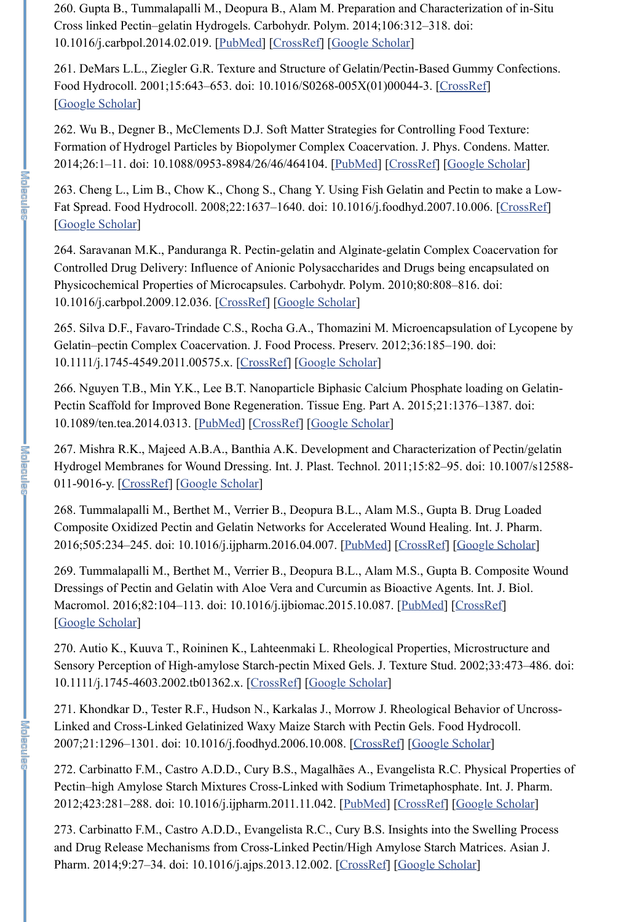260. Gupta B., Tummalapalli M., Deopura B., Alam M. Preparation and Characterization of in-Situ Cross linked Pectin–gelatin Hydrogels. Carbohydr. Polym. 2014;106:312–318. doi: 10.1016/j.carbpol.2014.02.019. [PubMed] [CrossRef] [Google Scholar]

261. DeMars L.L., Ziegler G.R. Texture and Structure of Gelatin/Pectin-Based Gummy Confections. Food Hydrocoll. 2001;15:643–653. doi: 10.1016/S0268-005X(01)00044-3. [CrossRef] [Google Scholar]

262. Wu B., Degner B., McClements D.J. Soft Matter Strategies for Controlling Food Texture: Formation of Hydrogel Particles by Biopolymer Complex Coacervation. J. Phys. Condens. Matter. 2014;26:1–11. doi: 10.1088/0953-8984/26/46/464104. [PubMed] [CrossRef] [Google Scholar]

263. Cheng L., Lim B., Chow K., Chong S., Chang Y. Using Fish Gelatin and Pectin to make a Low-Fat Spread. Food Hydrocoll. 2008;22:1637–1640. doi: 10.1016/j.foodhyd.2007.10.006. [CrossRef] [Google Scholar]

264. Saravanan M.K., Panduranga R. Pectin-gelatin and Alginate-gelatin Complex Coacervation for Controlled Drug Delivery: Influence of Anionic Polysaccharides and Drugs being encapsulated on Physicochemical Properties of Microcapsules. Carbohydr. Polym. 2010;80:808–816. doi: 10.1016/j.carbpol.2009.12.036. [CrossRef] [Google Scholar]

265. Silva D.F., Favaro-Trindade C.S., Rocha G.A., Thomazini M. Microencapsulation of Lycopene by Gelatin–pectin Complex Coacervation. J. Food Process. Preserv. 2012;36:185–190. doi: 10.1111/j.1745-4549.2011.00575.x. [CrossRef] [Google Scholar]

266. Nguyen T.B., Min Y.K., Lee B.T. Nanoparticle Biphasic Calcium Phosphate loading on Gelatin-Pectin Scaffold for Improved Bone Regeneration. Tissue Eng. Part A. 2015;21:1376–1387. doi: 10.1089/ten.tea.2014.0313. [PubMed] [CrossRef] [Google Scholar]

273. Carbinatto F.M., Castro A.D.D., Evangelista R.C., Cury B.S. Insights into the Swelling Process and Drug Release Mechanisms from Cross-Linked Pectin/High Amylose Starch Matrices. Asian J. Pharm. 2014;9:27–34. doi: 10.1016/j.ajps.2013.12.002. [CrossRef] [Google Scholar]

 $\frac{1}{2}$  is a magnetic

267. Mishra R.K., Majeed A.B.A., Banthia A.K. Development and Characterization of Pectin/gelatin Hydrogel Membranes for Wound Dressing. Int. J. Plast. Technol. 2011;15:82–95. doi: 10.1007/s12588- 011-9016-y. [CrossRef] [Google Scholar]

268. Tummalapalli M., Berthet M., Verrier B., Deopura B.L., Alam M.S., Gupta B. Drug Loaded Composite Oxidized Pectin and Gelatin Networks for Accelerated Wound Healing. Int. J. Pharm. 2016;505:234–245. doi: 10.1016/j.ijpharm.2016.04.007. [PubMed] [CrossRef] [Google Scholar]

269. Tummalapalli M., Berthet M., Verrier B., Deopura B.L., Alam M.S., Gupta B. Composite Wound Dressings of Pectin and Gelatin with Aloe Vera and Curcumin as Bioactive Agents. Int. J. Biol. Macromol. 2016;82:104–113. doi: 10.1016/j.ijbiomac.2015.10.087. [PubMed] [CrossRef] [Google Scholar]

270. Autio K., Kuuva T., Roininen K., Lahteenmaki L. Rheological Properties, Microstructure and Sensory Perception of High-amylose Starch-pectin Mixed Gels. J. Texture Stud. 2002;33:473–486. doi: 10.1111/j.1745-4603.2002.tb01362.x. [CrossRef] [Google Scholar]

271. Khondkar D., Tester R.F., Hudson N., Karkalas J., Morrow J. Rheological Behavior of Uncross-Linked and Cross-Linked Gelatinized Waxy Maize Starch with Pectin Gels. Food Hydrocoll. 2007;21:1296–1301. doi: 10.1016/j.foodhyd.2006.10.008. [CrossRef] [Google Scholar]

272. Carbinatto F.M., Castro A.D.D., Cury B.S., Magalhães A., Evangelista R.C. Physical Properties of Pectin–high Amylose Starch Mixtures Cross-Linked with Sodium Trimetaphosphate. Int. J. Pharm. 2012;423:281–288. doi: 10.1016/j.ijpharm.2011.11.042. [PubMed] [CrossRef] [Google Scholar]